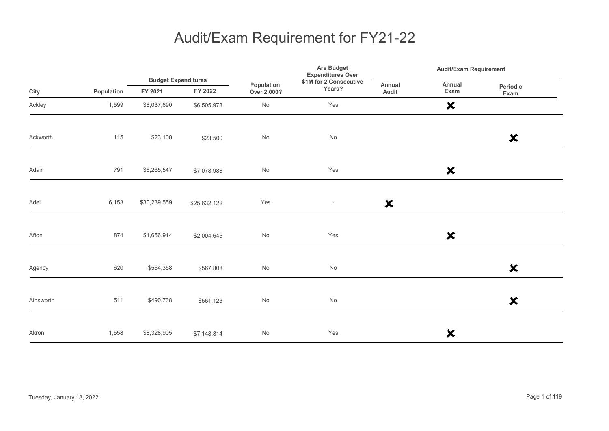|           |            |                                       |              |                              | Are Budget<br><b>Expenditures Over</b> | <b>Audit/Exam Requirement</b> |                           |                           |  |
|-----------|------------|---------------------------------------|--------------|------------------------------|----------------------------------------|-------------------------------|---------------------------|---------------------------|--|
| City      | Population | <b>Budget Expenditures</b><br>FY 2021 | FY 2022      | Population<br>Over 2,000?    | \$1M for 2 Consecutive<br>Years?       | Annual<br>Audit               | Annual<br>Exam            | Periodic<br>Exam          |  |
| Ackley    | 1,599      | \$8,037,690                           | \$6,505,973  | No                           | Yes                                    |                               | $\boldsymbol{\mathsf{x}}$ |                           |  |
| Ackworth  | 115        | \$23,100                              | \$23,500     | $\operatorname{\mathsf{No}}$ | $\operatorname{\mathsf{No}}$           |                               |                           | $\boldsymbol{\mathsf{x}}$ |  |
| Adair     | 791        | \$6,265,547                           | \$7,078,988  | $\operatorname{\mathsf{No}}$ | Yes                                    |                               | $\boldsymbol{\mathsf{x}}$ |                           |  |
| Adel      | 6,153      | \$30,239,559                          | \$25,632,122 | Yes                          | $\sim$                                 | $\boldsymbol{\mathsf{x}}$     |                           |                           |  |
| Afton     | 874        | \$1,656,914                           | \$2,004,645  | $\operatorname{\mathsf{No}}$ | Yes                                    |                               | $\boldsymbol{\mathsf{x}}$ |                           |  |
| Agency    | 620        | \$564,358                             | \$567,808    | $\operatorname{\mathsf{No}}$ | No                                     |                               |                           | $\boldsymbol{\mathsf{x}}$ |  |
| Ainsworth | 511        | \$490,738                             | \$561,123    | No                           | $\operatorname{\mathsf{No}}$           |                               |                           | $\boldsymbol{\mathsf{x}}$ |  |
| Akron     | 1,558      | \$8,328,905                           | \$7,148,814  | $\operatorname{\mathsf{No}}$ | Yes                                    |                               | ×                         |                           |  |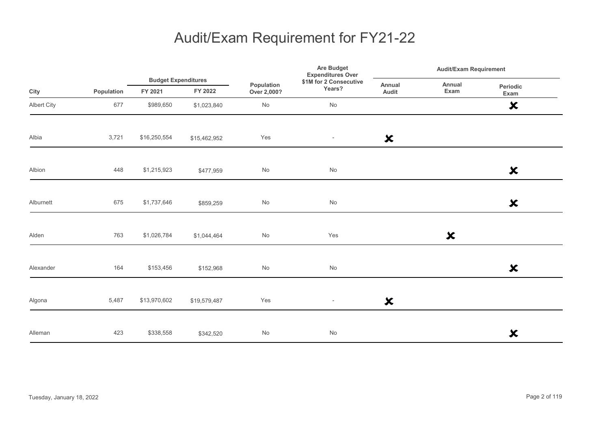|             |            |                                       |              |                           | <b>Are Budget</b><br><b>Expenditures Over</b> | <b>Audit/Exam Requirement</b> |                           |                           |
|-------------|------------|---------------------------------------|--------------|---------------------------|-----------------------------------------------|-------------------------------|---------------------------|---------------------------|
| City        | Population | <b>Budget Expenditures</b><br>FY 2021 | FY 2022      | Population<br>Over 2,000? | \$1M for 2 Consecutive<br>Years?              | Annual<br>Audit               | Annual<br>Exam            | Periodic<br>Exam          |
| Albert City | 677        | \$989,650                             | \$1,023,840  | $\mathsf{No}$             | $\operatorname{\mathsf{No}}$                  |                               |                           | $\boldsymbol{\mathsf{x}}$ |
| Albia       | 3,721      | \$16,250,554                          | \$15,462,952 | Yes                       | $\sim$                                        | $\boldsymbol{\mathsf{x}}$     |                           |                           |
| Albion      | 448        | \$1,215,923                           | \$477,959    | $\mathsf{No}$             | No                                            |                               |                           | $\boldsymbol{\mathsf{x}}$ |
| Alburnett   | 675        | \$1,737,646                           | \$859,259    | $\mathsf{No}$             | $\operatorname{\mathsf{No}}$                  |                               |                           | $\boldsymbol{\mathsf{x}}$ |
| Alden       | 763        | \$1,026,784                           | \$1,044,464  | $\mathsf{No}$             | Yes                                           |                               | $\boldsymbol{\mathsf{x}}$ |                           |
| Alexander   | 164        | \$153,456                             | \$152,968    | No                        | No                                            |                               |                           | $\boldsymbol{\mathsf{x}}$ |
| Algona      | 5,487      | \$13,970,602                          | \$19,579,487 | Yes                       | $\overline{\phantom{a}}$                      | $\boldsymbol{\mathsf{x}}$     |                           |                           |
| Alleman     | 423        | \$338,558                             | \$342,520    | $\mathsf{No}$             | No                                            |                               |                           | $\boldsymbol{\mathsf{x}}$ |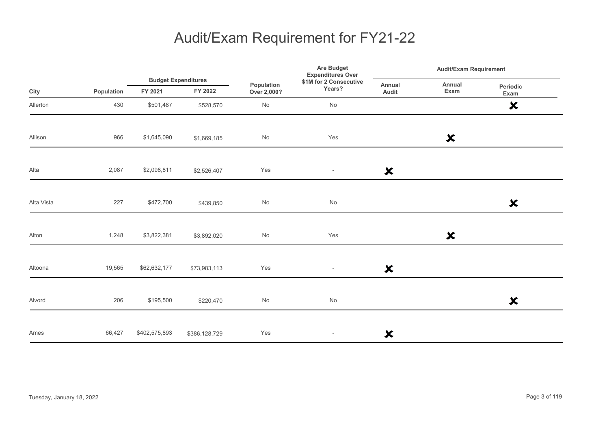|            |            |                                       |               |                                     | Are Budget<br><b>Expenditures Over</b> | <b>Audit/Exam Requirement</b> |                           |                           |
|------------|------------|---------------------------------------|---------------|-------------------------------------|----------------------------------------|-------------------------------|---------------------------|---------------------------|
| City       | Population | <b>Budget Expenditures</b><br>FY 2021 | FY 2022       | Population<br>Years?<br>Over 2,000? | \$1M for 2 Consecutive                 | Annual<br>Audit               | Annual<br>Exam            | <b>Periodic</b><br>Exam   |
| Allerton   | 430        | \$501,487                             | \$528,570     | $\mathsf{No}$                       | No                                     |                               |                           | $\boldsymbol{\mathsf{x}}$ |
| Allison    | 966        | \$1,645,090                           | \$1,669,185   | $\mathsf{No}$                       | Yes                                    |                               | $\boldsymbol{\mathsf{x}}$ |                           |
| Alta       | 2,087      | \$2,098,811                           | \$2,526,407   | Yes                                 | $\overline{\phantom{a}}$               | $\boldsymbol{\mathsf{x}}$     |                           |                           |
| Alta Vista | 227        | \$472,700                             | \$439,850     | $\mathsf{No}$                       | No                                     |                               |                           | $\boldsymbol{\mathsf{x}}$ |
| Alton      | 1,248      | \$3,822,381                           | \$3,892,020   | No                                  | Yes                                    |                               | $\boldsymbol{\mathsf{x}}$ |                           |
| Altoona    | 19,565     | \$62,632,177                          | \$73,983,113  | Yes                                 | $\overline{\phantom{a}}$               | $\boldsymbol{\mathsf{x}}$     |                           |                           |
| Alvord     | 206        | \$195,500                             | \$220,470     | No                                  | No                                     |                               |                           | $\boldsymbol{\mathsf{x}}$ |
| Ames       | 66,427     | \$402,575,893                         | \$386,128,729 | Yes                                 | $\overline{\phantom{a}}$               | $\boldsymbol{\mathsf{x}}$     |                           |                           |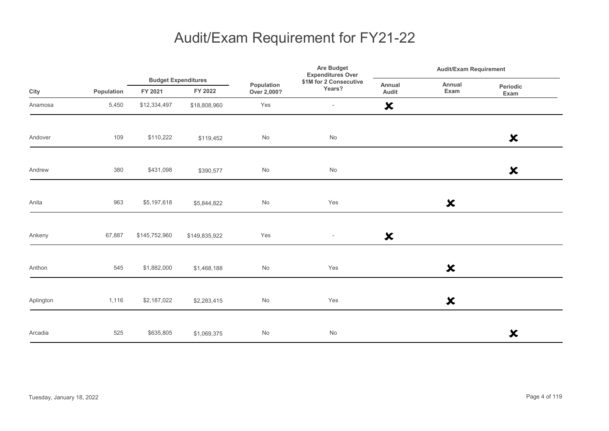|           |            |               |                                       |                              | Are Budget<br><b>Expenditures Over</b> | <b>Audit/Exam Requirement</b> |                           |                           |  |
|-----------|------------|---------------|---------------------------------------|------------------------------|----------------------------------------|-------------------------------|---------------------------|---------------------------|--|
| City      | Population | FY 2021       | <b>Budget Expenditures</b><br>FY 2022 | Population<br>Over 2,000?    | \$1M for 2 Consecutive<br>Years?       | Annual<br>Audit               | Annual<br>Exam            | Periodic<br>Exam          |  |
| Anamosa   | 5,450      | \$12,334,497  | \$18,808,960                          | Yes                          | $\overline{\phantom{a}}$               | $\boldsymbol{\mathsf{x}}$     |                           |                           |  |
| Andover   | 109        | \$110,222     | \$119,452                             | $\operatorname{\mathsf{No}}$ | $\operatorname{\mathsf{No}}$           |                               |                           | $\boldsymbol{\mathsf{x}}$ |  |
| Andrew    | 380        | \$431,098     | \$390,577                             | $\operatorname{\mathsf{No}}$ | No                                     |                               |                           | $\boldsymbol{\mathsf{x}}$ |  |
| Anita     | 963        | \$5,197,618   | \$5,844,822                           | No                           | Yes                                    |                               | $\boldsymbol{\mathsf{x}}$ |                           |  |
| Ankeny    | 67,887     | \$145,752,960 | \$149,835,922                         | Yes                          | $\overline{\phantom{a}}$               | $\boldsymbol{\mathsf{x}}$     |                           |                           |  |
| Anthon    | 545        | \$1,882,000   | \$1,468,188                           | No                           | Yes                                    |                               | $\boldsymbol{\mathsf{x}}$ |                           |  |
| Aplington | 1,116      | \$2,187,022   | \$2,283,415                           | $\mathsf{No}$                | Yes                                    |                               | $\boldsymbol{\mathsf{x}}$ |                           |  |
| Arcadia   | 525        | \$635,805     | \$1,069,375                           | No                           | No                                     |                               |                           | $\boldsymbol{\mathsf{x}}$ |  |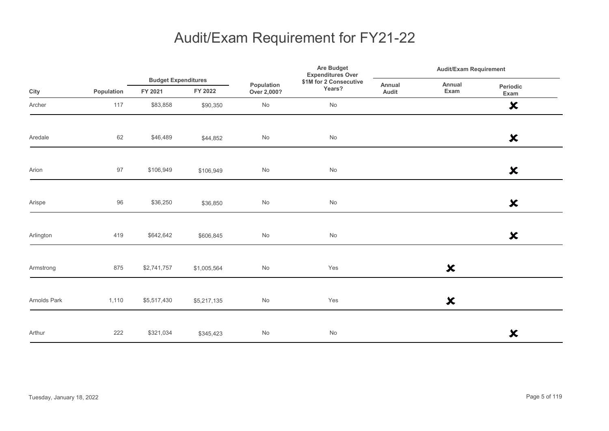|              |            |                                       |             |                              | <b>Are Budget</b><br><b>Expenditures Over</b> |                 | <b>Audit/Exam Requirement</b> |                           |  |
|--------------|------------|---------------------------------------|-------------|------------------------------|-----------------------------------------------|-----------------|-------------------------------|---------------------------|--|
| City         | Population | <b>Budget Expenditures</b><br>FY 2021 | FY 2022     | Population<br>Over 2,000?    | \$1M for 2 Consecutive<br>Years?              | Annual<br>Audit | Annual<br>Exam                | Periodic<br>Exam          |  |
| Archer       | 117        | \$83,858                              | \$90,350    | $\operatorname{\mathsf{No}}$ | No                                            |                 |                               | $\boldsymbol{\mathsf{x}}$ |  |
| Aredale      | 62         | \$46,489                              | \$44,852    | No                           | No                                            |                 |                               | $\boldsymbol{\mathsf{x}}$ |  |
| Arion        | $97\,$     | \$106,949                             | \$106,949   | $\mathsf{No}$                | $\operatorname{\mathsf{No}}$                  |                 |                               | $\boldsymbol{\mathsf{x}}$ |  |
| Arispe       | $96\,$     | \$36,250                              | \$36,850    | $\operatorname{\mathsf{No}}$ | $\operatorname{\mathsf{No}}$                  |                 |                               | $\boldsymbol{\mathsf{x}}$ |  |
| Arlington    | 419        | \$642,642                             | \$606,845   | $\mathsf{No}$                | $\operatorname{\mathsf{No}}$                  |                 |                               | $\boldsymbol{\mathsf{x}}$ |  |
| Armstrong    | 875        | \$2,741,757                           | \$1,005,564 | $\mathsf{No}$                | Yes                                           |                 | $\boldsymbol{\mathsf{x}}$     |                           |  |
| Arnolds Park | 1,110      | \$5,517,430                           | \$5,217,135 | No                           | Yes                                           |                 | $\boldsymbol{\mathsf{x}}$     |                           |  |
| Arthur       | 222        | \$321,034                             | \$345,423   | $\mathsf{No}$                | $\operatorname{\mathsf{No}}$                  |                 |                               | $\boldsymbol{\mathsf{x}}$ |  |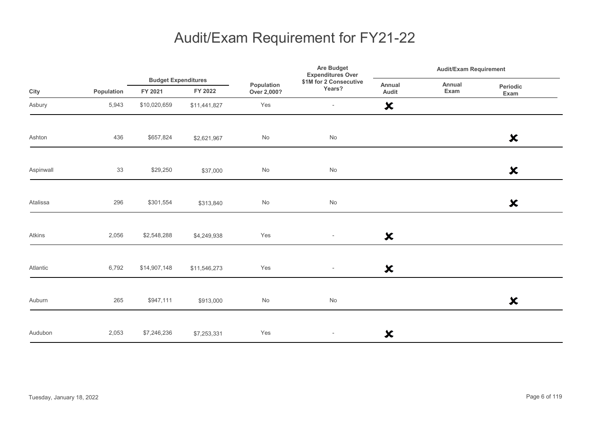|           |            | <b>Budget Expenditures</b> |              | Are Budget<br><b>Expenditures Over</b> | <b>Audit/Exam Requirement</b>    |                           |                |                           |  |
|-----------|------------|----------------------------|--------------|----------------------------------------|----------------------------------|---------------------------|----------------|---------------------------|--|
| City      | Population | FY 2021                    | FY 2022      | Population<br>Over 2,000?              | \$1M for 2 Consecutive<br>Years? | Annual<br>Audit           | Annual<br>Exam | Periodic<br>Exam          |  |
| Asbury    | 5,943      | \$10,020,659               | \$11,441,827 | Yes                                    | $\overline{\phantom{a}}$         | $\boldsymbol{\mathsf{x}}$ |                |                           |  |
| Ashton    | 436        | \$657,824                  | \$2,621,967  | No                                     | No                               |                           |                | $\boldsymbol{\mathsf{x}}$ |  |
| Aspinwall | 33         | \$29,250                   | \$37,000     | $\operatorname{\mathsf{No}}$           | $\operatorname{\mathsf{No}}$     |                           |                | $\boldsymbol{\mathsf{x}}$ |  |
| Atalissa  | 296        | \$301,554                  | \$313,840    | No                                     | $\operatorname{\mathsf{No}}$     |                           |                | $\boldsymbol{\mathsf{x}}$ |  |
| Atkins    | 2,056      | \$2,548,288                | \$4,249,938  | Yes                                    | $\sim$                           | $\boldsymbol{\mathsf{x}}$ |                |                           |  |
| Atlantic  | 6,792      | \$14,907,148               | \$11,546,273 | Yes                                    | $\overline{\phantom{a}}$         | $\boldsymbol{\mathsf{x}}$ |                |                           |  |
| Auburn    | 265        | \$947,111                  | \$913,000    | $\mathsf{No}$                          | No                               |                           |                | $\boldsymbol{\mathsf{x}}$ |  |
| Audubon   | 2,053      | \$7,246,236                | \$7,253,331  | Yes                                    | $\overline{\phantom{a}}$         | $\boldsymbol{\mathsf{x}}$ |                |                           |  |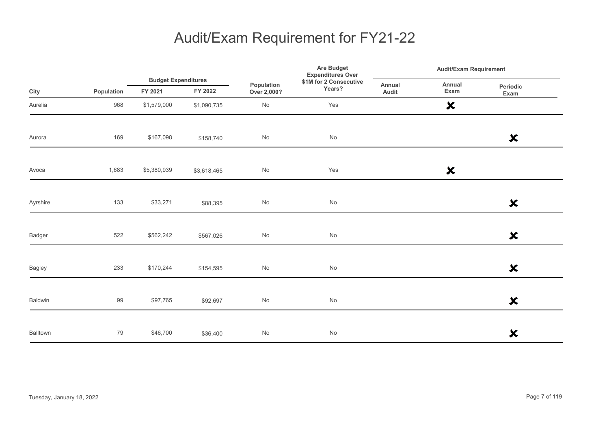|               |            |                                       |             | Are Budget<br><b>Expenditures Over</b> | <b>Audit/Exam Requirement</b>    |                 |                           |                           |
|---------------|------------|---------------------------------------|-------------|----------------------------------------|----------------------------------|-----------------|---------------------------|---------------------------|
| City          | Population | <b>Budget Expenditures</b><br>FY 2021 | FY 2022     | Population<br>Over 2,000?              | \$1M for 2 Consecutive<br>Years? | Annual<br>Audit | Annual<br>Exam            | Periodic<br>Exam          |
| Aurelia       | 968        | \$1,579,000                           | \$1,090,735 | No                                     | Yes                              |                 | $\boldsymbol{\mathsf{x}}$ |                           |
| Aurora        | 169        | \$167,098                             | \$158,740   | $\operatorname{\mathsf{No}}$           | No                               |                 |                           | $\boldsymbol{\mathsf{x}}$ |
| Avoca         | 1,683      | \$5,380,939                           | \$3,618,465 | $\operatorname{\mathsf{No}}$           | Yes                              |                 | $\boldsymbol{\mathsf{x}}$ |                           |
| Ayrshire      | 133        | \$33,271                              | \$88,395    | No                                     | No                               |                 |                           | $\boldsymbol{\mathsf{x}}$ |
| Badger        | 522        | \$562,242                             | \$567,026   | $\operatorname{\mathsf{No}}$           | No                               |                 |                           | $\boldsymbol{\mathsf{x}}$ |
| <b>Bagley</b> | 233        | \$170,244                             | \$154,595   | $\operatorname{\mathsf{No}}$           | No                               |                 |                           | $\boldsymbol{\mathsf{x}}$ |
| Baldwin       | 99         | \$97,765                              | \$92,697    | No                                     | No                               |                 |                           | $\boldsymbol{\mathsf{x}}$ |
| Balltown      | 79         | \$46,700                              | \$36,400    | $\mathsf{No}$                          | No                               |                 |                           | $\boldsymbol{\mathsf{x}}$ |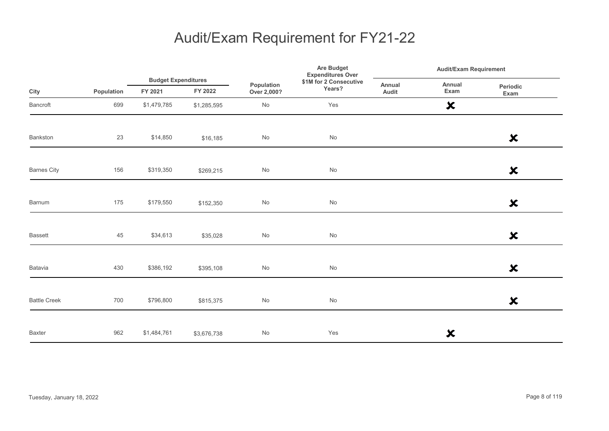|                     |            |                                       |             |                           | Are Budget<br><b>Expenditures Over</b> | <b>Audit/Exam Requirement</b> |                           |                           |
|---------------------|------------|---------------------------------------|-------------|---------------------------|----------------------------------------|-------------------------------|---------------------------|---------------------------|
| City                | Population | <b>Budget Expenditures</b><br>FY 2021 | FY 2022     | Population<br>Over 2,000? | \$1M for 2 Consecutive<br>Years?       | Annual<br>Audit               | Annual<br>Exam            | Periodic<br>Exam          |
| Bancroft            | 699        | \$1,479,785                           | \$1,285,595 | $\mathsf{No}$             | Yes                                    |                               | $\boldsymbol{\mathsf{x}}$ |                           |
| Bankston            | 23         | \$14,850                              | \$16,185    | $\mathsf{No}$             | $\operatorname{\mathsf{No}}$           |                               |                           | $\boldsymbol{\mathsf{x}}$ |
| <b>Barnes City</b>  | 156        | \$319,350                             | \$269,215   | $\mathsf{No}$             | $\mathsf{No}$                          |                               |                           | $\boldsymbol{\mathsf{x}}$ |
| Barnum              | 175        | \$179,550                             | \$152,350   | No                        | $\mathsf{No}$                          |                               |                           | $\boldsymbol{\mathsf{x}}$ |
| <b>Bassett</b>      | 45         | \$34,613                              | \$35,028    | $\mathsf{No}$             | $\operatorname{\mathsf{No}}$           |                               |                           | $\boldsymbol{\mathsf{x}}$ |
| Batavia             | 430        | \$386,192                             | \$395,108   | $\mathsf{No}$             | $\mathsf{No}$                          |                               |                           | $\boldsymbol{\mathsf{x}}$ |
| <b>Battle Creek</b> | 700        | \$796,800                             | \$815,375   | $\mathsf{No}$             | $\operatorname{\mathsf{No}}$           |                               |                           | $\boldsymbol{\mathsf{x}}$ |
| <b>Baxter</b>       | 962        | \$1,484,761                           | \$3,676,738 | $\mathsf{No}$             | Yes                                    |                               | ×                         |                           |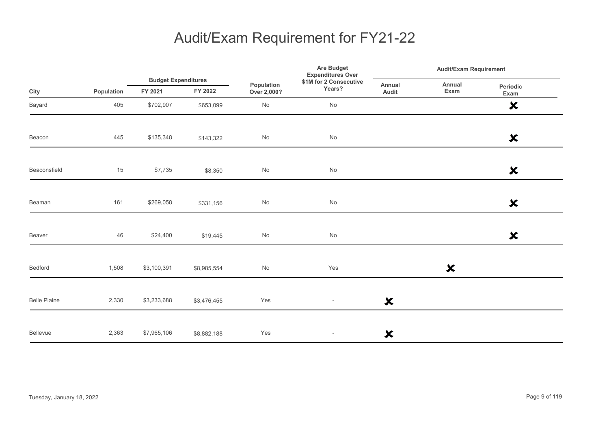|                     |            |                                       |             |                              | Are Budget<br><b>Expenditures Over</b> | <b>Audit/Exam Requirement</b> |                           |                           |  |
|---------------------|------------|---------------------------------------|-------------|------------------------------|----------------------------------------|-------------------------------|---------------------------|---------------------------|--|
| City                | Population | <b>Budget Expenditures</b><br>FY 2021 | FY 2022     | Population<br>Over 2,000?    | \$1M for 2 Consecutive<br>Years?       | Annual<br>Audit               | Annual<br>Exam            | Periodic<br>Exam          |  |
| Bayard              | 405        | \$702,907                             | \$653,099   | $\operatorname{\mathsf{No}}$ | No                                     |                               |                           | $\boldsymbol{\mathsf{x}}$ |  |
| Beacon              | 445        | \$135,348                             | \$143,322   | No                           | No                                     |                               |                           | $\boldsymbol{\mathsf{x}}$ |  |
| Beaconsfield        | 15         | \$7,735                               | \$8,350     | $\mathsf{No}$                | No                                     |                               |                           | $\boldsymbol{\mathsf{x}}$ |  |
| Beaman              | 161        | \$269,058                             | \$331,156   | $\operatorname{\mathsf{No}}$ | No                                     |                               |                           | $\boldsymbol{\mathsf{x}}$ |  |
| Beaver              | 46         | \$24,400                              | \$19,445    | No                           | No                                     |                               |                           | $\boldsymbol{\mathsf{x}}$ |  |
| Bedford             | 1,508      | \$3,100,391                           | \$8,985,554 | No                           | Yes                                    |                               | $\boldsymbol{\mathsf{x}}$ |                           |  |
| <b>Belle Plaine</b> | 2,330      | \$3,233,688                           | \$3,476,455 | Yes                          | $\overline{\phantom{a}}$               | $\boldsymbol{\mathsf{x}}$     |                           |                           |  |
| Bellevue            | 2,363      | \$7,965,106                           | \$8,882,188 | Yes                          | $\overline{\phantom{a}}$               | ×                             |                           |                           |  |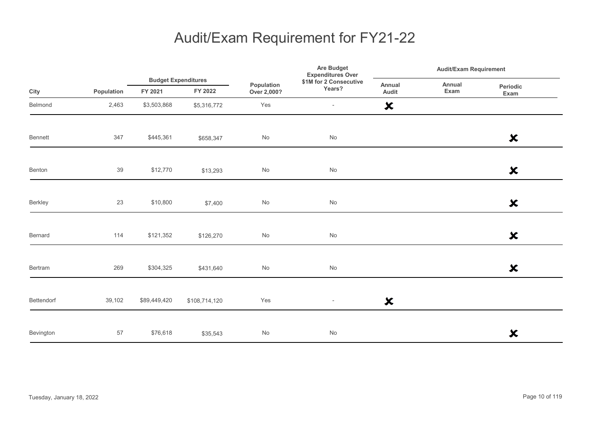|            |            |                                       |               | <b>Are Budget</b><br><b>Expenditures Over</b> |                                  | <b>Audit/Exam Requirement</b> |                |                           |
|------------|------------|---------------------------------------|---------------|-----------------------------------------------|----------------------------------|-------------------------------|----------------|---------------------------|
| City       | Population | <b>Budget Expenditures</b><br>FY 2021 | FY 2022       | Population<br>Over 2,000?                     | \$1M for 2 Consecutive<br>Years? | Annual<br>Audit               | Annual<br>Exam | Periodic<br>Exam          |
| Belmond    | 2,463      | \$3,503,868                           | \$5,316,772   | Yes                                           | $\overline{\phantom{a}}$         | $\boldsymbol{\mathsf{x}}$     |                |                           |
| Bennett    | 347        | \$445,361                             | \$658,347     | $\mathsf{No}$                                 | No                               |                               |                | $\boldsymbol{\mathsf{x}}$ |
| Benton     | 39         | \$12,770                              | \$13,293      | $\mathsf{No}$                                 | No                               |                               |                | $\boldsymbol{\mathsf{x}}$ |
| Berkley    | 23         | \$10,800                              | \$7,400       | $\mathsf{No}$                                 | $\operatorname{\mathsf{No}}$     |                               |                | $\boldsymbol{\mathsf{x}}$ |
| Bernard    | 114        | \$121,352                             | \$126,270     | $\mathsf{No}$                                 | No                               |                               |                | $\boldsymbol{\mathsf{x}}$ |
| Bertram    | 269        | \$304,325                             | \$431,640     | $\mathsf{No}$                                 | $\operatorname{\mathsf{No}}$     |                               |                | $\boldsymbol{\mathsf{x}}$ |
| Bettendorf | 39,102     | \$89,449,420                          | \$108,714,120 | Yes                                           | $\overline{\phantom{a}}$         | $\boldsymbol{\mathsf{x}}$     |                |                           |
| Bevington  | 57         | \$76,618                              | \$35,543      | $\mathsf{No}$                                 | No                               |                               |                | $\boldsymbol{\mathsf{x}}$ |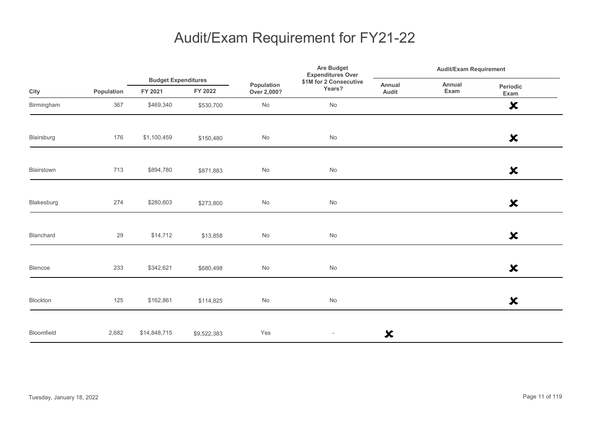|            |            |                                       |             |                           | Are Budget<br><b>Expenditures Over</b> | <b>Audit/Exam Requirement</b> |                |                           |  |
|------------|------------|---------------------------------------|-------------|---------------------------|----------------------------------------|-------------------------------|----------------|---------------------------|--|
| City       | Population | <b>Budget Expenditures</b><br>FY 2021 | FY 2022     | Population<br>Over 2,000? | \$1M for 2 Consecutive<br>Years?       | Annual<br>Audit               | Annual<br>Exam | Periodic<br>Exam          |  |
| Birmingham | 367        | \$469,340                             | \$530,700   | $\mathsf{No}$             | No                                     |                               |                | $\boldsymbol{\mathsf{x}}$ |  |
| Blairsburg | 176        | \$1,100,459                           | \$150,480   | No                        | No                                     |                               |                | $\boldsymbol{\mathsf{x}}$ |  |
| Blairstown | 713        | \$894,780                             | \$871,883   | $\mathsf{No}$             | $\mathsf{No}$                          |                               |                | $\boldsymbol{\mathsf{x}}$ |  |
| Blakesburg | 274        | \$280,603                             | \$273,800   | $\mathsf{No}$             | $\mathsf{No}$                          |                               |                | $\boldsymbol{\mathsf{x}}$ |  |
| Blanchard  | 29         | \$14,712                              | \$13,858    | $\mathsf{No}$             | $\mathsf{No}$                          |                               |                | $\boldsymbol{\mathsf{x}}$ |  |
| Blencoe    | 233        | \$342,621                             | \$680,498   | $\mathsf{No}$             | $\mathsf{No}$                          |                               |                | $\boldsymbol{\mathsf{x}}$ |  |
| Blockton   | 125        | \$162,861                             | \$114,825   | $\mathsf{No}$             | $\mathsf{No}$                          |                               |                | $\boldsymbol{\mathsf{x}}$ |  |
| Bloomfield | 2,682      | \$14,848,715                          | \$9,522,383 | Yes                       | $\overline{\phantom{a}}$               | ×                             |                |                           |  |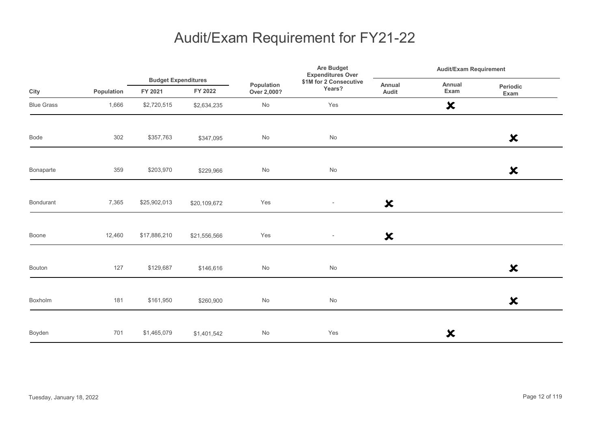|                   |            |                                       |              |                           | <b>Are Budget</b><br><b>Expenditures Over</b> | <b>Audit/Exam Requirement</b> |                           |                           |
|-------------------|------------|---------------------------------------|--------------|---------------------------|-----------------------------------------------|-------------------------------|---------------------------|---------------------------|
| City              | Population | <b>Budget Expenditures</b><br>FY 2021 | FY 2022      | Population<br>Over 2,000? | \$1M for 2 Consecutive<br>Years?              | Annual<br>Audit               | Annual<br>Exam            | Periodic<br>Exam          |
| <b>Blue Grass</b> | 1,666      | \$2,720,515                           | \$2,634,235  | No                        | Yes                                           |                               | $\boldsymbol{\mathsf{x}}$ |                           |
| Bode              | 302        | \$357,763                             | \$347,095    | No                        | $\operatorname{\mathsf{No}}$                  |                               |                           | $\boldsymbol{\mathsf{x}}$ |
| Bonaparte         | 359        | \$203,970                             | \$229,966    | No                        | $\operatorname{\mathsf{No}}$                  |                               |                           | $\boldsymbol{\mathsf{x}}$ |
| Bondurant         | 7,365      | \$25,902,013                          | \$20,109,672 | Yes                       | $\overline{\phantom{a}}$                      | $\boldsymbol{\mathsf{x}}$     |                           |                           |
| Boone             | 12,460     | \$17,886,210                          | \$21,556,566 | Yes                       | $\overline{\phantom{a}}$                      | $\boldsymbol{\mathsf{x}}$     |                           |                           |
| <b>Bouton</b>     | 127        | \$129,687                             | \$146,616    | No                        | $\operatorname{\mathsf{No}}$                  |                               |                           | $\boldsymbol{\mathsf{x}}$ |
| Boxholm           | 181        | \$161,950                             | \$260,900    | No                        | No                                            |                               |                           | $\boldsymbol{\mathsf{x}}$ |
| Boyden            | 701        | \$1,465,079                           | \$1,401,542  | No                        | Yes                                           |                               | ×                         |                           |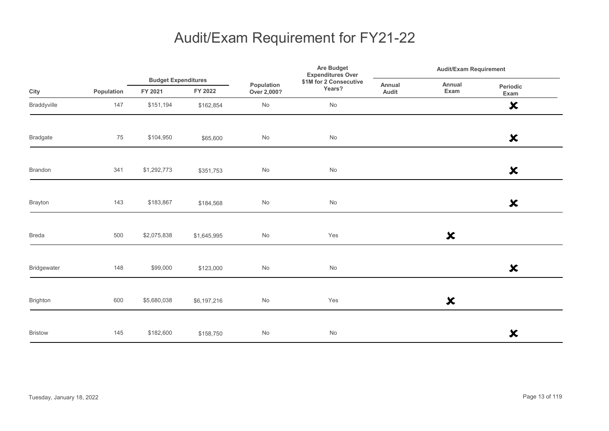|                 |            | <b>Budget Expenditures</b> |             |                           | <b>Are Budget</b><br><b>Expenditures Over</b> | <b>Audit/Exam Requirement</b> |                           |                           |
|-----------------|------------|----------------------------|-------------|---------------------------|-----------------------------------------------|-------------------------------|---------------------------|---------------------------|
| City            | Population | FY 2021                    | FY 2022     | Population<br>Over 2,000? | \$1M for 2 Consecutive<br>Years?              | Annual<br>Audit               | Annual<br>Exam            | Periodic<br>Exam          |
| Braddyville     | 147        | \$151,194                  | \$162,854   | $\mathsf{No}$             | $\operatorname{\mathsf{No}}$                  |                               |                           | $\boldsymbol{\mathsf{x}}$ |
| <b>Bradgate</b> | 75         | \$104,950                  | \$65,600    | $\mathsf{No}$             | $\operatorname{\mathsf{No}}$                  |                               |                           | $\boldsymbol{\mathsf{x}}$ |
| Brandon         | 341        | \$1,292,773                | \$351,753   | $\mathsf{No}$             | $\operatorname{\mathsf{No}}$                  |                               |                           | $\boldsymbol{\mathsf{x}}$ |
| Brayton         | 143        | \$183,867                  | \$184,568   | $\mathsf{No}$             | $\operatorname{\mathsf{No}}$                  |                               |                           | $\boldsymbol{\mathsf{x}}$ |
| <b>Breda</b>    | 500        | \$2,075,838                | \$1,645,995 | $\mathsf{No}$             | Yes                                           |                               | $\boldsymbol{\mathsf{x}}$ |                           |
| Bridgewater     | 148        | \$99,000                   | \$123,000   | $\mathsf{No}$             | $\operatorname{\mathsf{No}}$                  |                               |                           | $\boldsymbol{\mathsf{x}}$ |
| Brighton        | 600        | \$5,680,038                | \$6,197,216 | No                        | Yes                                           |                               | $\boldsymbol{\mathsf{x}}$ |                           |
| <b>Bristow</b>  | 145        | \$182,600                  | \$158,750   | $\mathsf{No}$             | $\operatorname{\mathsf{No}}$                  |                               |                           | $\boldsymbol{\mathsf{x}}$ |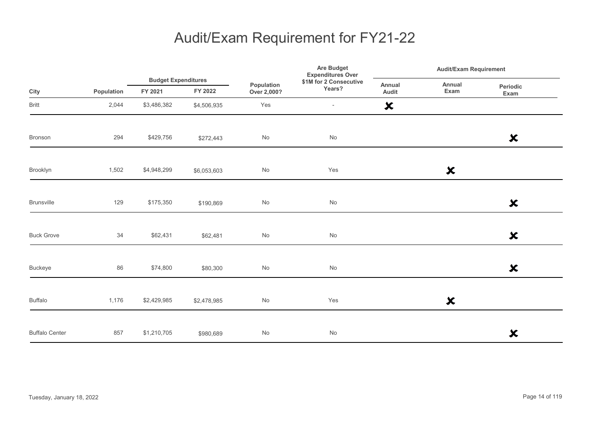|                       |            |                                       |             |                           | Are Budget<br><b>Expenditures Over</b> |                           | <b>Audit/Exam Requirement</b> |                           |  |
|-----------------------|------------|---------------------------------------|-------------|---------------------------|----------------------------------------|---------------------------|-------------------------------|---------------------------|--|
| City                  | Population | <b>Budget Expenditures</b><br>FY 2021 | FY 2022     | Population<br>Over 2,000? | \$1M for 2 Consecutive<br>Years?       | Annual<br>Audit           | Annual<br>Exam                | Periodic<br>Exam          |  |
| <b>Britt</b>          | 2,044      | \$3,486,382                           | \$4,506,935 | Yes                       | $\overline{\phantom{a}}$               | $\boldsymbol{\mathsf{x}}$ |                               |                           |  |
| Bronson               | 294        | \$429,756                             | \$272,443   | $\mathsf{No}$             | $\operatorname{\mathsf{No}}$           |                           |                               | $\boldsymbol{\mathsf{x}}$ |  |
| Brooklyn              | 1,502      | \$4,948,299                           | \$6,053,603 | $\mathsf{No}$             | Yes                                    |                           | $\boldsymbol{\mathsf{x}}$     |                           |  |
| <b>Brunsville</b>     | 129        | \$175,350                             | \$190,869   | No                        | $\operatorname{\mathsf{No}}$           |                           |                               | $\boldsymbol{\mathsf{x}}$ |  |
| <b>Buck Grove</b>     | 34         | \$62,431                              | \$62,481    | $\mathsf{No}$             | $\operatorname{\mathsf{No}}$           |                           |                               | $\boldsymbol{\mathsf{x}}$ |  |
| <b>Buckeye</b>        | 86         | \$74,800                              | \$80,300    | No                        | No                                     |                           |                               | $\boldsymbol{\mathsf{x}}$ |  |
| <b>Buffalo</b>        | 1,176      | \$2,429,985                           | \$2,478,985 | $\mathsf{No}$             | Yes                                    |                           | $\boldsymbol{\mathsf{x}}$     |                           |  |
| <b>Buffalo Center</b> | 857        | \$1,210,705                           | \$980,689   | $\mathsf{No}$             | No                                     |                           |                               | $\boldsymbol{\mathsf{x}}$ |  |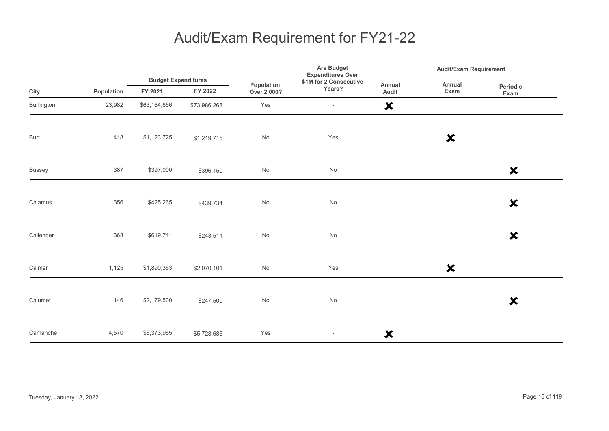|               |            |                                       |              | \$1M for 2 Consecutive<br>Population<br>Years?<br>Over 2,000? | <b>Are Budget</b><br><b>Expenditures Over</b> | <b>Audit/Exam Requirement</b> |                           |                           |
|---------------|------------|---------------------------------------|--------------|---------------------------------------------------------------|-----------------------------------------------|-------------------------------|---------------------------|---------------------------|
| City          | Population | <b>Budget Expenditures</b><br>FY 2021 | FY 2022      |                                                               |                                               | Annual<br>Audit               | Annual<br>Exam            | Periodic<br>Exam          |
| Burlington    | 23,982     | \$63,164,666                          | \$73,986,268 | Yes                                                           | $\overline{\phantom{a}}$                      | $\boldsymbol{\mathsf{x}}$     |                           |                           |
| Burt          | 418        | \$1,123,725                           | \$1,219,715  | No                                                            | Yes                                           |                               | $\boldsymbol{\mathsf{x}}$ |                           |
| <b>Bussey</b> | 387        | \$397,000                             | \$396,150    | No                                                            | $\operatorname{\mathsf{No}}$                  |                               |                           | $\boldsymbol{\mathsf{x}}$ |
| Calamus       | 356        | \$425,265                             | \$439,734    | No                                                            | $\operatorname{\mathsf{No}}$                  |                               |                           | $\boldsymbol{\mathsf{x}}$ |
| Callender     | 368        | \$619,741                             | \$243,511    | No                                                            | No                                            |                               |                           | $\boldsymbol{\mathsf{x}}$ |
| Calmar        | 1,125      | \$1,890,363                           | \$2,070,101  | No                                                            | Yes                                           |                               | $\boldsymbol{\mathsf{x}}$ |                           |
| Calumet       | 146        | \$2,179,500                           | \$247,500    | No                                                            | $\operatorname{\mathsf{No}}$                  |                               |                           | $\boldsymbol{\mathsf{x}}$ |
| Camanche      | 4,570      | \$6,373,965                           | \$5,728,686  | Yes                                                           | $\overline{\phantom{a}}$                      | $\boldsymbol{\mathsf{x}}$     |                           |                           |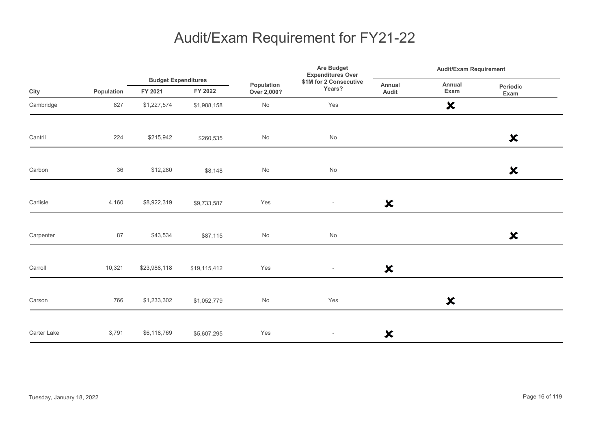|             |            |                                       |              |                           | Are Budget<br><b>Expenditures Over</b> |                           | Audit/Exam Requirement    |                           |  |
|-------------|------------|---------------------------------------|--------------|---------------------------|----------------------------------------|---------------------------|---------------------------|---------------------------|--|
| City        | Population | <b>Budget Expenditures</b><br>FY 2021 | FY 2022      | Population<br>Over 2,000? | \$1M for 2 Consecutive<br>Years?       | Annual<br>Audit           | Annual<br>Exam            | Periodic<br>Exam          |  |
| Cambridge   | 827        | \$1,227,574                           | \$1,988,158  | $\mathsf{No}$             | Yes                                    |                           | $\boldsymbol{\mathsf{x}}$ |                           |  |
| Cantril     | 224        | \$215,942                             | \$260,535    | $\mathsf{No}$             | No                                     |                           |                           | $\boldsymbol{\mathsf{x}}$ |  |
| Carbon      | 36         | \$12,280                              | \$8,148      | $\mathsf{No}$             | No                                     |                           |                           | $\boldsymbol{\mathsf{x}}$ |  |
| Carlisle    | 4,160      | \$8,922,319                           | \$9,733,587  | Yes                       | $\overline{\phantom{a}}$               | $\boldsymbol{\mathsf{x}}$ |                           |                           |  |
| Carpenter   | 87         | \$43,534                              | \$87,115     | No                        | No                                     |                           |                           | $\boldsymbol{\mathsf{x}}$ |  |
| Carroll     | 10,321     | \$23,988,118                          | \$19,115,412 | Yes                       | $\overline{\phantom{a}}$               | $\boldsymbol{\mathsf{x}}$ |                           |                           |  |
| Carson      | 766        | \$1,233,302                           | \$1,052,779  | No                        | Yes                                    |                           | $\boldsymbol{\mathsf{x}}$ |                           |  |
| Carter Lake | 3,791      | \$6,118,769                           | \$5,607,295  | Yes                       | $\overline{\phantom{a}}$               | $\boldsymbol{\mathsf{x}}$ |                           |                           |  |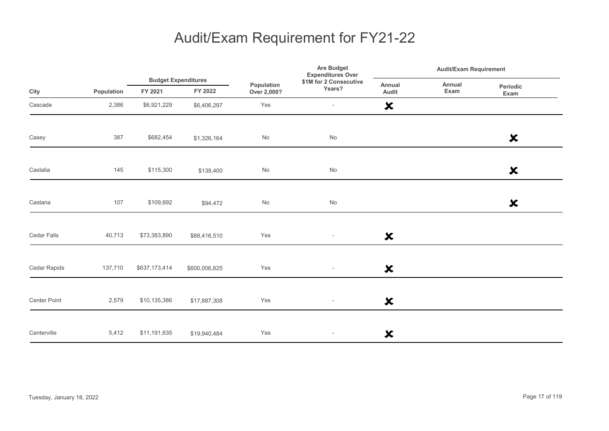|                     |            |               | <b>Budget Expenditures</b> |                           | Are Budget<br><b>Expenditures Over</b> | <b>Audit/Exam Requirement</b> |                |                           |  |
|---------------------|------------|---------------|----------------------------|---------------------------|----------------------------------------|-------------------------------|----------------|---------------------------|--|
| City                | Population | FY 2021       | FY 2022                    | Population<br>Over 2,000? | \$1M for 2 Consecutive<br>Years?       | Annual<br>Audit               | Annual<br>Exam | Periodic<br>Exam          |  |
| Cascade             | 2,386      | \$6,921,229   | \$6,406,297                | Yes                       | $\overline{\phantom{a}}$               | $\boldsymbol{\mathsf{x}}$     |                |                           |  |
| Casey               | 387        | \$682,454     | \$1,326,164                | No                        | No                                     |                               |                | $\boldsymbol{\mathsf{x}}$ |  |
| Castalia            | 145        | \$115,300     | \$139,400                  | $\mathsf{No}$             | $\mathsf{No}$                          |                               |                | $\boldsymbol{\mathsf{x}}$ |  |
| Castana             | 107        | \$109,692     | \$94,472                   | $\mathsf{No}$             | $\operatorname{\mathsf{No}}$           |                               |                | $\boldsymbol{\mathsf{x}}$ |  |
| Cedar Falls         | 40,713     | \$73,383,890  | \$88,416,510               | Yes                       | $\overline{\phantom{a}}$               | $\boldsymbol{\mathsf{x}}$     |                |                           |  |
| Cedar Rapids        | 137,710    | \$637,173,414 | \$600,006,825              | Yes                       | $\overline{\phantom{a}}$               | $\boldsymbol{\mathsf{x}}$     |                |                           |  |
| <b>Center Point</b> | 2,579      | \$10,135,386  | \$17,887,308               | Yes                       | $\overline{\phantom{a}}$               | $\boldsymbol{\mathsf{x}}$     |                |                           |  |
| Centerville         | 5,412      | \$11,191,635  | \$19,940,484               | Yes                       | $\overline{\phantom{a}}$               | ×                             |                |                           |  |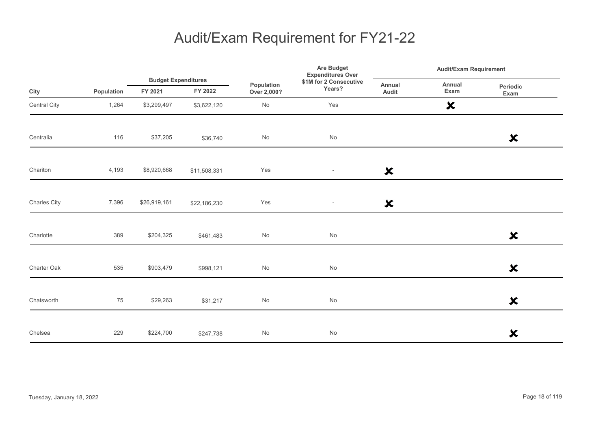|              |            |                                       |              | Are Budget<br><b>Expenditures Over</b><br>\$1M for 2 Consecutive<br>Population<br>Years?<br>Over 2,000? | <b>Audit/Exam Requirement</b> |                           |                           |                           |
|--------------|------------|---------------------------------------|--------------|---------------------------------------------------------------------------------------------------------|-------------------------------|---------------------------|---------------------------|---------------------------|
| City         | Population | <b>Budget Expenditures</b><br>FY 2021 | FY 2022      |                                                                                                         |                               | <b>Annual</b><br>Audit    | Annual<br>Exam            | Periodic<br>Exam          |
| Central City | 1,264      | \$3,299,497                           | \$3,622,120  | $\mathsf{No}$                                                                                           | Yes                           |                           | $\boldsymbol{\mathsf{x}}$ |                           |
| Centralia    | 116        | \$37,205                              | \$36,740     | $\mathsf{No}$                                                                                           | $\operatorname{\mathsf{No}}$  |                           |                           | $\boldsymbol{\mathsf{x}}$ |
| Chariton     | 4,193      | \$8,920,668                           | \$11,508,331 | Yes                                                                                                     | $\sim$                        | $\boldsymbol{\mathsf{x}}$ |                           |                           |
| Charles City | 7,396      | \$26,919,161                          | \$22,186,230 | Yes                                                                                                     | $\overline{\phantom{a}}$      | $\boldsymbol{\mathsf{x}}$ |                           |                           |
| Charlotte    | 389        | \$204,325                             | \$461,483    | $\mathsf{No}$                                                                                           | $\mathsf{No}$                 |                           |                           | $\boldsymbol{\mathsf{x}}$ |
| Charter Oak  | 535        | \$903,479                             | \$998,121    | $\mathsf{No}$                                                                                           | No                            |                           |                           | $\boldsymbol{\mathsf{x}}$ |
| Chatsworth   | 75         | \$29,263                              | \$31,217     | $\mathsf{No}$                                                                                           | No                            |                           |                           | $\boldsymbol{\mathsf{x}}$ |
| Chelsea      | 229        | \$224,700                             | \$247,738    | $\mathsf{No}$                                                                                           | $\mathsf{No}$                 |                           |                           | $\boldsymbol{\mathsf{x}}$ |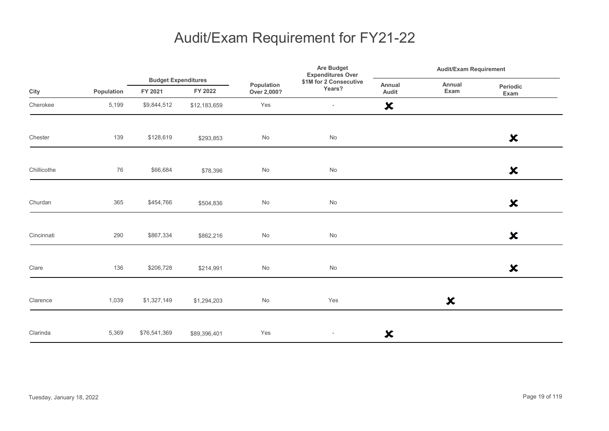|             |            |                                       |              | <b>Are Budget</b><br><b>Expenditures Over</b> | <b>Audit/Exam Requirement</b>    |                           |                           |                           |
|-------------|------------|---------------------------------------|--------------|-----------------------------------------------|----------------------------------|---------------------------|---------------------------|---------------------------|
| City        | Population | <b>Budget Expenditures</b><br>FY 2021 | FY 2022      | Population<br>Over 2,000?                     | \$1M for 2 Consecutive<br>Years? | Annual<br>Audit           | Annual<br>Exam            | Periodic<br>Exam          |
| Cherokee    | 5,199      | \$9,844,512                           | \$12,183,659 | Yes                                           | $\overline{\phantom{a}}$         | $\boldsymbol{\mathsf{x}}$ |                           |                           |
| Chester     | 139        | \$128,619                             | \$293,853    | No                                            | No                               |                           |                           | $\boldsymbol{\mathsf{x}}$ |
| Chillicothe | 76         | \$66,684                              | \$78,396     | No                                            | $\operatorname{\mathsf{No}}$     |                           |                           | $\boldsymbol{\mathsf{x}}$ |
| Churdan     | 365        | \$454,766                             | \$504,836    | No                                            | $\operatorname{\mathsf{No}}$     |                           |                           | $\boldsymbol{\mathsf{x}}$ |
| Cincinnati  | 290        | \$867,334                             | \$862,216    | No                                            | No                               |                           |                           | $\boldsymbol{\mathsf{x}}$ |
| Clare       | 136        | \$206,728                             | \$214,991    | No                                            | $\operatorname{\mathsf{No}}$     |                           |                           | $\boldsymbol{\mathsf{x}}$ |
| Clarence    | 1,039      | \$1,327,149                           | \$1,294,203  | No                                            | Yes                              |                           | $\boldsymbol{\mathsf{x}}$ |                           |
| Clarinda    | 5,369      | \$76,541,369                          | \$89,396,401 | Yes                                           | $\overline{\phantom{a}}$         | $\boldsymbol{\mathsf{x}}$ |                           |                           |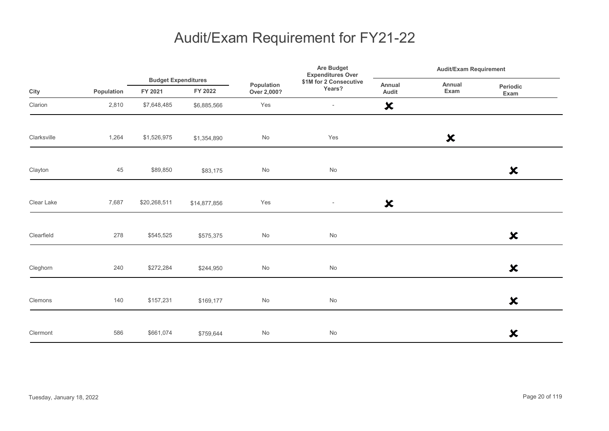|             |            | <b>Budget Expenditures</b> |              |                              | Are Budget<br><b>Expenditures Over</b> | <b>Audit/Exam Requirement</b> |                           |                           |
|-------------|------------|----------------------------|--------------|------------------------------|----------------------------------------|-------------------------------|---------------------------|---------------------------|
| City        | Population | FY 2021                    | FY 2022      | Population<br>Over 2,000?    | \$1M for 2 Consecutive<br>Years?       | Annual<br>Audit               | Annual<br>Exam            | Periodic<br>Exam          |
| Clarion     | 2,810      | \$7,648,485                | \$6,885,566  | Yes                          | $\overline{\phantom{a}}$               | $\boldsymbol{\mathsf{x}}$     |                           |                           |
| Clarksville | 1,264      | \$1,526,975                | \$1,354,890  | No                           | Yes                                    |                               | $\boldsymbol{\mathsf{x}}$ |                           |
| Clayton     | 45         | \$89,850                   | \$83,175     | No                           | No                                     |                               |                           | $\boldsymbol{\mathsf{x}}$ |
| Clear Lake  | 7,687      | \$20,268,511               | \$14,877,856 | Yes                          | $\overline{\phantom{a}}$               | $\boldsymbol{\mathsf{x}}$     |                           |                           |
| Clearfield  | 278        | \$545,525                  | \$575,375    | $\operatorname{\mathsf{No}}$ | $\operatorname{\mathsf{No}}$           |                               |                           | $\boldsymbol{\mathsf{x}}$ |
| Cleghorn    | 240        | \$272,284                  | \$244,950    | No                           | No                                     |                               |                           | $\boldsymbol{\mathsf{x}}$ |
| Clemons     | 140        | \$157,231                  | \$169,177    | No                           | No                                     |                               |                           | $\boldsymbol{\mathsf{x}}$ |
| Clermont    | 586        | \$661,074                  | \$759,644    | No                           | No                                     |                               |                           | $\boldsymbol{\mathsf{x}}$ |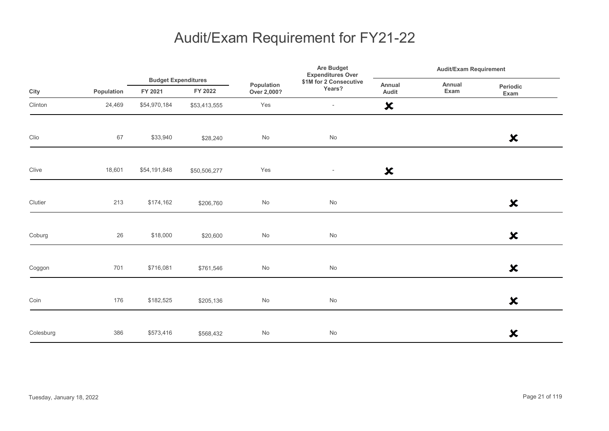|           |            |                                       |              | Are Budget<br><b>Expenditures Over</b> | <b>Audit/Exam Requirement</b>    |                           |                |                           |
|-----------|------------|---------------------------------------|--------------|----------------------------------------|----------------------------------|---------------------------|----------------|---------------------------|
| City      | Population | <b>Budget Expenditures</b><br>FY 2021 | FY 2022      | Population<br>Over 2,000?              | \$1M for 2 Consecutive<br>Years? | Annual<br>Audit           | Annual<br>Exam | Periodic<br>Exam          |
| Clinton   | 24,469     | \$54,970,184                          | \$53,413,555 | Yes                                    | $\overline{\phantom{a}}$         | $\boldsymbol{\mathsf{x}}$ |                |                           |
| Clio      | 67         | \$33,940                              | \$28,240     | $\mathsf{No}$                          | $\operatorname{\mathsf{No}}$     |                           |                | $\boldsymbol{\mathsf{x}}$ |
| Clive     | 18,601     | \$54,191,848                          | \$50,506,277 | Yes                                    | $\sim$                           | $\boldsymbol{\mathsf{x}}$ |                |                           |
| Clutier   | 213        | \$174,162                             | \$206,760    | $\mathsf{No}$                          | $\operatorname{\mathsf{No}}$     |                           |                | $\boldsymbol{\mathsf{x}}$ |
| Coburg    | 26         | \$18,000                              | \$20,600     | $\mathsf{No}$                          | $\mathsf{No}$                    |                           |                | $\boldsymbol{\mathsf{x}}$ |
| Coggon    | 701        | \$716,081                             | \$761,546    | $\mathsf{No}$                          | No                               |                           |                | $\boldsymbol{\mathsf{x}}$ |
| Coin      | 176        | \$182,525                             | \$205,136    | $\mathsf{No}$                          | No                               |                           |                | $\boldsymbol{\mathsf{x}}$ |
| Colesburg | 386        | \$573,416                             | \$568,432    | $\mathsf{No}$                          | $\mathsf{No}$                    |                           |                | $\boldsymbol{\mathsf{x}}$ |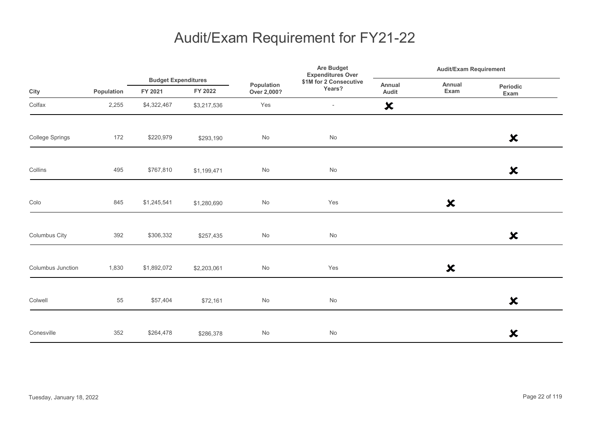|                   |            | <b>Budget Expenditures</b> |             |                           | <b>Are Budget</b><br><b>Expenditures Over</b> | <b>Audit/Exam Requirement</b> |                           |                           |
|-------------------|------------|----------------------------|-------------|---------------------------|-----------------------------------------------|-------------------------------|---------------------------|---------------------------|
| City              | Population | FY 2021                    | FY 2022     | Population<br>Over 2,000? | \$1M for 2 Consecutive<br>Years?              | Annual<br>Audit               | Annual<br>Exam            | Periodic<br>Exam          |
| Colfax            | 2,255      | \$4,322,467                | \$3,217,536 | Yes                       | $\overline{\phantom{a}}$                      | $\boldsymbol{\mathsf{x}}$     |                           |                           |
| College Springs   | 172        | \$220,979                  | \$293,190   | No                        | $\operatorname{\mathsf{No}}$                  |                               |                           | $\boldsymbol{\mathsf{x}}$ |
| Collins           | 495        | \$767,810                  | \$1,199,471 | No                        | No                                            |                               |                           | $\boldsymbol{\mathsf{x}}$ |
| Colo              | 845        | \$1,245,541                | \$1,280,690 | No                        | Yes                                           |                               | $\boldsymbol{\mathsf{x}}$ |                           |
| Columbus City     | 392        | \$306,332                  | \$257,435   | No                        | No                                            |                               |                           | $\boldsymbol{\mathsf{x}}$ |
| Columbus Junction | 1,830      | \$1,892,072                | \$2,203,061 | No                        | Yes                                           |                               | $\boldsymbol{\mathsf{x}}$ |                           |
| Colwell           | 55         | \$57,404                   | \$72,161    | $\mathsf{No}$             | $\operatorname{\mathsf{No}}$                  |                               |                           | $\boldsymbol{\mathsf{x}}$ |
| Conesville        | 352        | \$264,478                  | \$286,378   | No                        | No                                            |                               |                           | $\boldsymbol{\mathsf{x}}$ |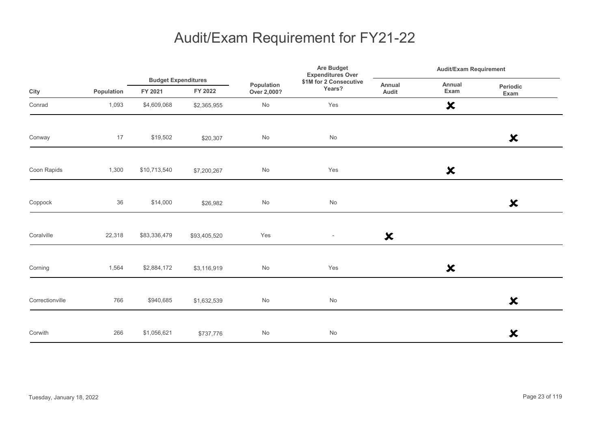|                 |            |                                       |              | Are Budget<br><b>Expenditures Over</b> | Audit/Exam Requirement           |                           |                           |                           |  |
|-----------------|------------|---------------------------------------|--------------|----------------------------------------|----------------------------------|---------------------------|---------------------------|---------------------------|--|
| City            | Population | <b>Budget Expenditures</b><br>FY 2021 | FY 2022      | Population<br>Over 2,000?              | \$1M for 2 Consecutive<br>Years? | Annual<br>Audit           | Annual<br>Exam            | <b>Periodic</b><br>Exam   |  |
| Conrad          | 1,093      | \$4,609,068                           | \$2,365,955  | $\operatorname{\mathsf{No}}$           | Yes                              |                           | $\boldsymbol{\mathsf{x}}$ |                           |  |
| Conway          | 17         | \$19,502                              | \$20,307     | $\operatorname{\mathsf{No}}$           | $\operatorname{\mathsf{No}}$     |                           |                           | $\boldsymbol{\mathsf{x}}$ |  |
| Coon Rapids     | 1,300      | \$10,713,540                          | \$7,200,267  | No                                     | Yes                              |                           | $\boldsymbol{\mathsf{x}}$ |                           |  |
| Coppock         | 36         | \$14,000                              | \$26,982     | No                                     | No                               |                           |                           | $\boldsymbol{\mathsf{x}}$ |  |
| Coralville      | 22,318     | \$83,336,479                          | \$93,405,520 | Yes                                    | $\sim$                           | $\boldsymbol{\mathsf{x}}$ |                           |                           |  |
| Corning         | 1,564      | \$2,884,172                           | \$3,116,919  | No                                     | Yes                              |                           | $\boldsymbol{\mathsf{x}}$ |                           |  |
| Correctionville | 766        | \$940,685                             | \$1,632,539  | $\mathsf{No}$                          | $\operatorname{\mathsf{No}}$     |                           |                           | $\boldsymbol{\mathsf{x}}$ |  |
| Corwith         | 266        | \$1,056,621                           | \$737,776    | No                                     | No                               |                           |                           | $\boldsymbol{\mathsf{x}}$ |  |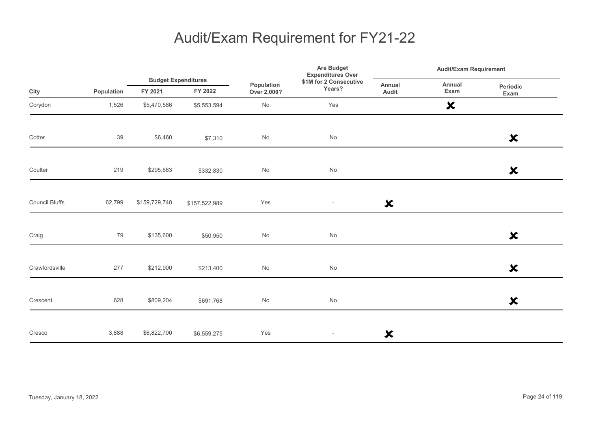|                       |            |               | <b>Budget Expenditures</b> |                           | Are Budget<br><b>Expenditures Over</b> | <b>Audit/Exam Requirement</b> |                           |                           |
|-----------------------|------------|---------------|----------------------------|---------------------------|----------------------------------------|-------------------------------|---------------------------|---------------------------|
| City                  | Population | FY 2021       | FY 2022                    | Population<br>Over 2,000? | \$1M for 2 Consecutive<br>Years?       | Annual<br>Audit               | Annual<br>Exam            | Periodic<br>Exam          |
| Corydon               | 1,526      | \$5,470,586   | \$5,553,594                | $\mathsf{No}$             | Yes                                    |                               | $\boldsymbol{\mathsf{x}}$ |                           |
| Cotter                | 39         | \$6,460       | \$7,310                    | No                        | No                                     |                               |                           | $\boldsymbol{\mathsf{x}}$ |
| Coulter               | 219        | \$295,683     | \$332,830                  | $\mathsf{No}$             | $\mathsf{No}$                          |                               |                           | $\boldsymbol{\mathsf{x}}$ |
| <b>Council Bluffs</b> | 62,799     | \$159,729,748 | \$157,522,989              | Yes                       | $\overline{\phantom{a}}$               | $\boldsymbol{\mathsf{x}}$     |                           |                           |
| Craig                 | 79         | \$135,600     | \$50,950                   | $\mathsf{No}$             | No                                     |                               |                           | $\boldsymbol{\mathsf{x}}$ |
| Crawfordsville        | 277        | \$212,900     | \$213,400                  | $\mathsf{No}$             | $\mathsf{No}$                          |                               |                           | $\boldsymbol{\mathsf{x}}$ |
| Crescent              | 628        | \$809,204     | \$691,768                  | $\mathsf{No}$             | $\mathsf{No}$                          |                               |                           | $\boldsymbol{\mathsf{x}}$ |
| Cresco                | 3,888      | \$6,822,700   | \$6,559,275                | Yes                       | $\overline{\phantom{a}}$               | $\boldsymbol{\mathsf{x}}$     |                           |                           |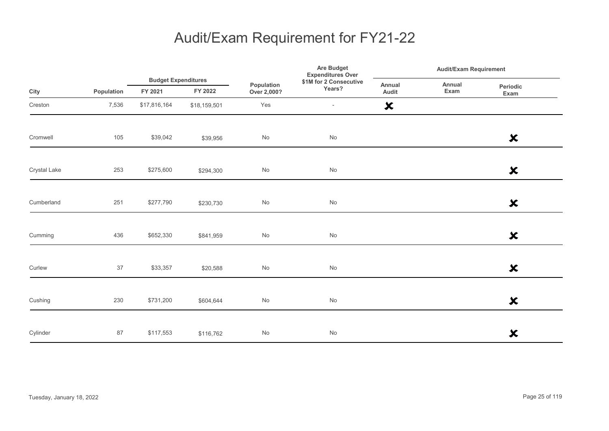|              |            |              | <b>Budget Expenditures</b> |                           | Are Budget<br><b>Expenditures Over</b> |                           | <b>Audit/Exam Requirement</b> |                           |  |
|--------------|------------|--------------|----------------------------|---------------------------|----------------------------------------|---------------------------|-------------------------------|---------------------------|--|
| City         | Population | FY 2021      | FY 2022                    | Population<br>Over 2,000? | \$1M for 2 Consecutive<br>Years?       | Annual<br>Audit           | Annual<br>Exam                | Periodic<br>Exam          |  |
| Creston      | 7,536      | \$17,816,164 | \$18,159,501               | Yes                       | $\overline{\phantom{a}}$               | $\boldsymbol{\mathsf{x}}$ |                               |                           |  |
| Cromwell     | 105        | \$39,042     | \$39,956                   | $\mathsf{No}$             | $\operatorname{\mathsf{No}}$           |                           |                               | $\boldsymbol{\mathsf{x}}$ |  |
| Crystal Lake | 253        | \$275,600    | \$294,300                  | $\mathsf{No}$             | $\mathsf{No}$                          |                           |                               | $\boldsymbol{\mathsf{x}}$ |  |
| Cumberland   | 251        | \$277,790    | \$230,730                  | $\mathsf{No}$             | $\mathsf{No}$                          |                           |                               | $\boldsymbol{\mathsf{x}}$ |  |
| Cumming      | 436        | \$652,330    | \$841,959                  | $\mathsf{No}$             | $\operatorname{\mathsf{No}}$           |                           |                               | $\boldsymbol{\mathsf{x}}$ |  |
| Curlew       | 37         | \$33,357     | \$20,588                   | $\mathsf{No}$             | $\mathsf{No}$                          |                           |                               | $\boldsymbol{\mathsf{x}}$ |  |
| Cushing      | 230        | \$731,200    | \$604,644                  | $\mathsf{No}$             | $\operatorname{\mathsf{No}}$           |                           |                               | $\boldsymbol{\mathsf{x}}$ |  |
| Cylinder     | 87         | \$117,553    | \$116,762                  | $\mathsf{No}$             | $\mathsf{No}$                          |                           |                               | $\boldsymbol{\mathsf{x}}$ |  |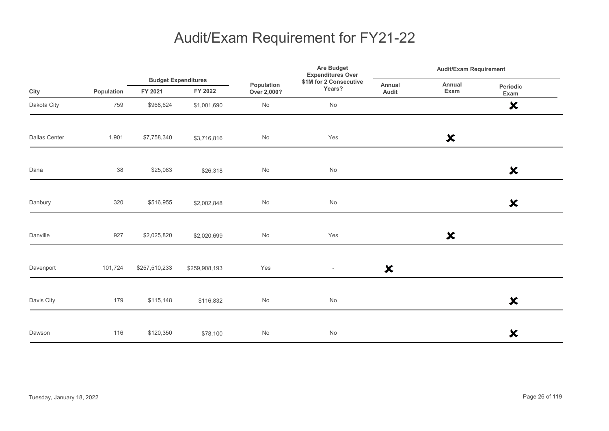|                      |            |                                       |               |                              | <b>Are Budget</b><br><b>Expenditures Over</b> | <b>Audit/Exam Requirement</b> |                           |                           |
|----------------------|------------|---------------------------------------|---------------|------------------------------|-----------------------------------------------|-------------------------------|---------------------------|---------------------------|
| City                 | Population | <b>Budget Expenditures</b><br>FY 2021 | FY 2022       | Population<br>Over 2,000?    | \$1M for 2 Consecutive<br>Years?              | Annual<br>Audit               | Annual<br>Exam            | Periodic<br>Exam          |
| Dakota City          | 759        | \$968,624                             | \$1,001,690   | $\operatorname{\mathsf{No}}$ | No                                            |                               |                           | $\boldsymbol{\mathsf{x}}$ |
| <b>Dallas Center</b> | 1,901      | \$7,758,340                           | \$3,716,816   | $\operatorname{\mathsf{No}}$ | Yes                                           |                               | $\boldsymbol{\mathsf{x}}$ |                           |
| Dana                 | 38         | \$25,083                              | \$26,318      | $\operatorname{\mathsf{No}}$ | No                                            |                               |                           | $\boldsymbol{\mathsf{x}}$ |
| Danbury              | 320        | \$516,955                             | \$2,002,848   | $\operatorname{\mathsf{No}}$ | No                                            |                               |                           | $\boldsymbol{\mathsf{x}}$ |
| Danville             | 927        | \$2,025,820                           | \$2,020,699   | $\mathsf{No}$                | Yes                                           |                               | $\boldsymbol{\mathsf{x}}$ |                           |
| Davenport            | 101,724    | \$257,510,233                         | \$259,908,193 | Yes                          | $\overline{\phantom{a}}$                      | $\boldsymbol{\mathsf{x}}$     |                           |                           |
| Davis City           | 179        | \$115,148                             | \$116,832     | No                           | No                                            |                               |                           | $\boldsymbol{\mathsf{x}}$ |
| Dawson               | 116        | \$120,350                             | \$78,100      | No                           | No                                            |                               |                           | $\boldsymbol{\mathsf{x}}$ |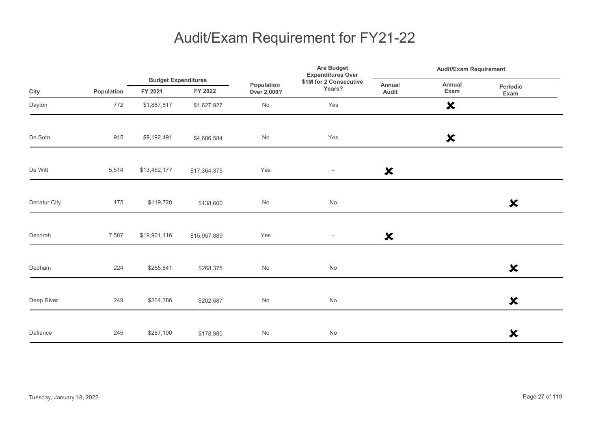|              |            |                                       |              | Population<br>Over 2,000? | <b>Are Budget</b><br><b>Expenditures Over</b> | <b>Audit/Exam Requirement</b> |                           |                           |
|--------------|------------|---------------------------------------|--------------|---------------------------|-----------------------------------------------|-------------------------------|---------------------------|---------------------------|
| City         | Population | <b>Budget Expenditures</b><br>FY 2021 | FY 2022      |                           | \$1M for 2 Consecutive<br>Years?              | Annual<br>Audit               | Annual<br>Exam            | Periodic<br>Exam          |
| Dayton       | 772        | \$1,887,817                           | \$1,627,927  | No                        | Yes                                           |                               | $\boldsymbol{\mathsf{x}}$ |                           |
| De Soto      | 915        | \$9,192,491                           | \$4,686,584  | No                        | Yes                                           |                               | $\boldsymbol{\mathsf{x}}$ |                           |
| De Witt      | 5,514      | \$13,462,177                          | \$17,364,375 | Yes                       | $\overline{\phantom{a}}$                      | $\boldsymbol{\mathsf{x}}$     |                           |                           |
| Decatur City | 175        | \$119,720                             | \$138,600    | No                        | No                                            |                               |                           | $\boldsymbol{\mathsf{x}}$ |
| Decorah      | 7,587      | \$19,961,116                          | \$15,957,889 | Yes                       | $\sim$                                        | $\boldsymbol{\mathsf{x}}$     |                           |                           |
| Dedham       | 224        | \$255,641                             | \$268,375    | No                        | No                                            |                               |                           | $\boldsymbol{\mathsf{x}}$ |
| Deep River   | 249        | \$264,386                             | \$202,587    | $\mathsf{No}$             | $\operatorname{\mathsf{No}}$                  |                               |                           | $\boldsymbol{\mathsf{x}}$ |
| Defiance     | 245        | \$257,190                             | \$178,980    | No                        | No                                            |                               |                           | $\boldsymbol{\mathsf{x}}$ |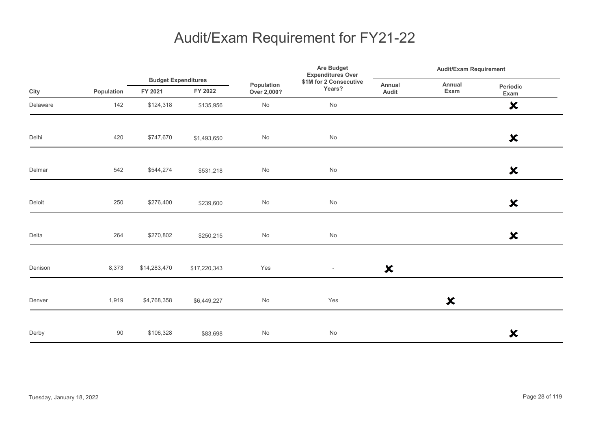|          |            | <b>Budget Expenditures</b> |              | Are Budget<br><b>Expenditures Over</b> | <b>Audit/Exam Requirement</b>    |                           |                           |                           |
|----------|------------|----------------------------|--------------|----------------------------------------|----------------------------------|---------------------------|---------------------------|---------------------------|
| City     | Population | FY 2021                    | FY 2022      | Population<br>Over 2,000?              | \$1M for 2 Consecutive<br>Years? | Annual<br>Audit           | Annual<br>Exam            | Periodic<br>Exam          |
| Delaware | 142        | \$124,318                  | \$135,956    | $\mathsf{No}$                          | $\operatorname{\mathsf{No}}$     |                           |                           | $\boldsymbol{\mathsf{x}}$ |
| Delhi    | 420        | \$747,670                  | \$1,493,650  | $\mathsf{No}$                          | $\operatorname{\mathsf{No}}$     |                           |                           | $\boldsymbol{\mathsf{x}}$ |
| Delmar   | 542        | \$544,274                  | \$531,218    | $\mathsf{No}$                          | $\mathsf{No}$                    |                           |                           | $\boldsymbol{\mathsf{x}}$ |
| Deloit   | 250        | \$276,400                  | \$239,600    | $\mathsf{No}$                          | $\operatorname{\mathsf{No}}$     |                           |                           | $\boldsymbol{\mathsf{x}}$ |
| Delta    | 264        | \$270,802                  | \$250,215    | $\mathsf{No}$                          | $\mathsf{No}$                    |                           |                           | $\boldsymbol{\mathsf{x}}$ |
| Denison  | 8,373      | \$14,283,470               | \$17,220,343 | Yes                                    | $\overline{\phantom{a}}$         | $\boldsymbol{\mathsf{x}}$ |                           |                           |
| Denver   | 1,919      | \$4,768,358                | \$6,449,227  | $\mathsf{No}$                          | Yes                              |                           | $\boldsymbol{\mathsf{x}}$ |                           |
| Derby    | 90         | \$106,328                  | \$83,698     | $\mathsf{No}$                          | $\mathsf{No}$                    |                           |                           | $\boldsymbol{\mathsf{x}}$ |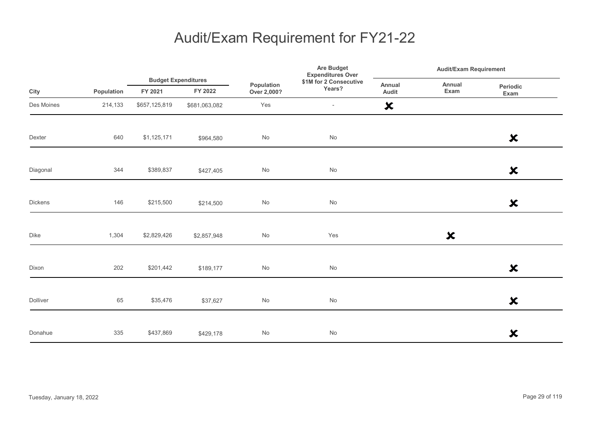|            |            |               | <b>Budget Expenditures</b> |                           | Are Budget<br><b>Expenditures Over</b> |                           | <b>Audit/Exam Requirement</b> |                           |  |
|------------|------------|---------------|----------------------------|---------------------------|----------------------------------------|---------------------------|-------------------------------|---------------------------|--|
| City       | Population | FY 2021       | FY 2022                    | Population<br>Over 2,000? | \$1M for 2 Consecutive<br>Years?       | Annual<br>Audit           | Annual<br>Exam                | Periodic<br>Exam          |  |
| Des Moines | 214,133    | \$657,125,819 | \$681,063,082              | Yes                       | $\overline{\phantom{a}}$               | $\boldsymbol{\mathsf{x}}$ |                               |                           |  |
| Dexter     | 640        | \$1,125,171   | \$964,580                  | $\mathsf{No}$             | $\operatorname{\mathsf{No}}$           |                           |                               | $\boldsymbol{\mathsf{x}}$ |  |
| Diagonal   | 344        | \$389,837     | \$427,405                  | $\mathsf{No}$             | No                                     |                           |                               | $\boldsymbol{\mathsf{x}}$ |  |
| Dickens    | 146        | \$215,500     | \$214,500                  | No                        | $\operatorname{\mathsf{No}}$           |                           |                               | $\boldsymbol{\mathsf{x}}$ |  |
| Dike       | 1,304      | \$2,829,426   | \$2,857,948                | $\mathsf{No}$             | Yes                                    |                           | $\boldsymbol{\mathsf{x}}$     |                           |  |
| Dixon      | 202        | \$201,442     | \$189,177                  | $\mathsf{No}$             | No                                     |                           |                               | $\boldsymbol{\mathsf{x}}$ |  |
| Dolliver   | 65         | \$35,476      | \$37,627                   | $\mathsf{No}$             | $\operatorname{\mathsf{No}}$           |                           |                               | $\boldsymbol{\mathsf{x}}$ |  |
| Donahue    | 335        | \$437,869     | \$429,178                  | $\mathsf{No}$             | $\mathsf{No}$                          |                           |                               | $\boldsymbol{\mathsf{x}}$ |  |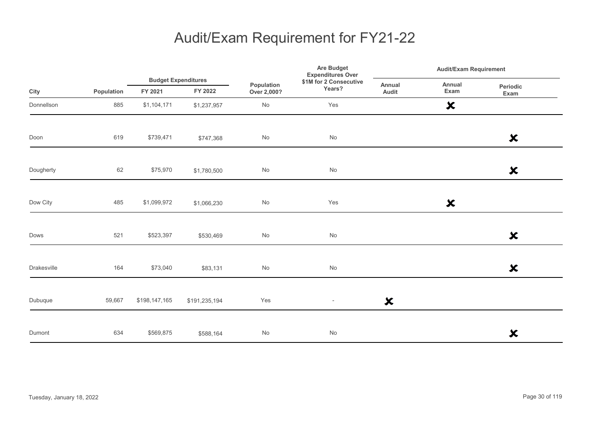|             |            |                                       |               | Population<br>Over 2,000? | <b>Are Budget</b><br><b>Expenditures Over</b> | <b>Audit/Exam Requirement</b> |                           |                           |
|-------------|------------|---------------------------------------|---------------|---------------------------|-----------------------------------------------|-------------------------------|---------------------------|---------------------------|
| City        | Population | <b>Budget Expenditures</b><br>FY 2021 | FY 2022       |                           | \$1M for 2 Consecutive<br>Years?              | Annual<br>Audit               | Annual<br>Exam            | Periodic<br>Exam          |
| Donnellson  | 885        | \$1,104,171                           | \$1,237,957   | No                        | Yes                                           |                               | $\boldsymbol{\mathsf{x}}$ |                           |
| Doon        | 619        | \$739,471                             | \$747,368     | No                        | $\operatorname{\mathsf{No}}$                  |                               |                           | $\boldsymbol{\mathsf{x}}$ |
| Dougherty   | 62         | \$75,970                              | \$1,780,500   | No                        | No                                            |                               |                           | $\boldsymbol{\mathsf{x}}$ |
| Dow City    | 485        | \$1,099,972                           | \$1,066,230   | No                        | Yes                                           |                               | $\boldsymbol{\mathsf{x}}$ |                           |
| Dows        | 521        | \$523,397                             | \$530,469     | No                        | $\operatorname{\mathsf{No}}$                  |                               |                           | $\boldsymbol{\mathsf{x}}$ |
| Drakesville | 164        | \$73,040                              | \$83,131      | No                        | $\operatorname{\mathsf{No}}$                  |                               |                           | ×                         |
| Dubuque     | 59,667     | \$198,147,165                         | \$191,235,194 | Yes                       | $\overline{\phantom{a}}$                      | $\boldsymbol{\mathsf{x}}$     |                           |                           |
| Dumont      | 634        | \$569,875                             | \$588,164     | No                        | No                                            |                               |                           | $\boldsymbol{\mathsf{x}}$ |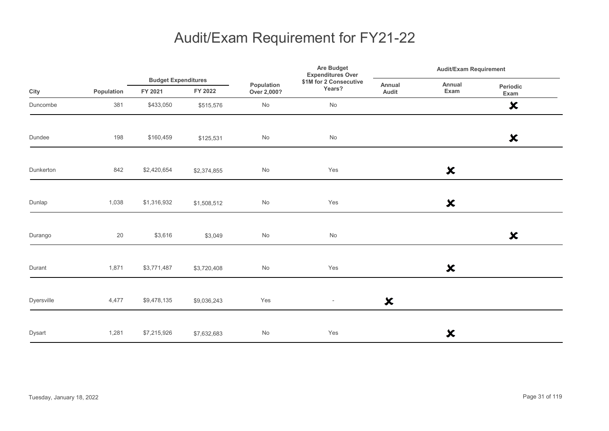|            |            |                                       |             |                              | Are Budget<br><b>Expenditures Over</b> |                           | <b>Audit/Exam Requirement</b> |                           |  |
|------------|------------|---------------------------------------|-------------|------------------------------|----------------------------------------|---------------------------|-------------------------------|---------------------------|--|
| City       | Population | <b>Budget Expenditures</b><br>FY 2021 | FY 2022     | Population<br>Over 2,000?    | \$1M for 2 Consecutive<br>Years?       | Annual<br>Audit           | Annual<br>Exam                | Periodic<br>Exam          |  |
| Duncombe   | 381        | \$433,050                             | \$515,576   | $\operatorname{\mathsf{No}}$ | $\operatorname{\mathsf{No}}$           |                           |                               | $\boldsymbol{\mathsf{x}}$ |  |
| Dundee     | 198        | \$160,459                             | \$125,531   | $\mathsf{No}$                | $\operatorname{\mathsf{No}}$           |                           |                               | $\boldsymbol{\mathsf{x}}$ |  |
| Dunkerton  | 842        | \$2,420,654                           | \$2,374,855 | No                           | Yes                                    |                           | $\boldsymbol{\mathsf{x}}$     |                           |  |
| Dunlap     | 1,038      | \$1,316,932                           | \$1,508,512 | No                           | Yes                                    |                           | $\boldsymbol{\mathsf{x}}$     |                           |  |
| Durango    | $20\,$     | \$3,616                               | \$3,049     | $\mathsf{No}$                | $\operatorname{\mathsf{No}}$           |                           |                               | $\boldsymbol{\mathsf{x}}$ |  |
| Durant     | 1,871      | \$3,771,487                           | \$3,720,408 | $\operatorname{\mathsf{No}}$ | Yes                                    |                           | $\boldsymbol{\mathsf{x}}$     |                           |  |
| Dyersville | 4,477      | \$9,478,135                           | \$9,036,243 | Yes                          | $\overline{\phantom{a}}$               | $\boldsymbol{\mathsf{x}}$ |                               |                           |  |
| Dysart     | 1,281      | \$7,215,926                           | \$7,632,683 | No                           | Yes                                    |                           | $\boldsymbol{\mathsf{x}}$     |                           |  |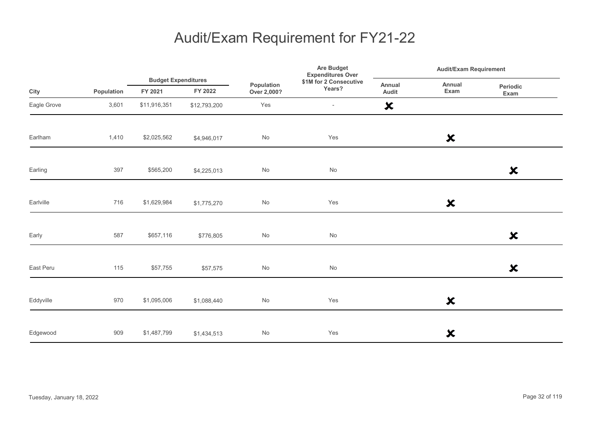|             |            |              | <b>Budget Expenditures</b> | Are Budget<br><b>Expenditures Over</b> | <b>Audit/Exam Requirement</b>    |                           |                           |                           |
|-------------|------------|--------------|----------------------------|----------------------------------------|----------------------------------|---------------------------|---------------------------|---------------------------|
| City        | Population | FY 2021      | FY 2022                    | Population<br>Over 2,000?              | \$1M for 2 Consecutive<br>Years? | Annual<br>Audit           | Annual<br>Exam            | Periodic<br>Exam          |
| Eagle Grove | 3,601      | \$11,916,351 | \$12,793,200               | Yes                                    | $\overline{\phantom{a}}$         | $\boldsymbol{\mathsf{x}}$ |                           |                           |
| Earlham     | 1,410      | \$2,025,562  | \$4,946,017                | No                                     | Yes                              |                           | $\boldsymbol{\mathsf{x}}$ |                           |
| Earling     | 397        | \$565,200    | \$4,225,013                | $\operatorname{\mathsf{No}}$           | $\operatorname{\mathsf{No}}$     |                           |                           | $\boldsymbol{\mathsf{x}}$ |
| Earlville   | 716        | \$1,629,984  | \$1,775,270                | No                                     | Yes                              |                           | $\boldsymbol{\mathsf{x}}$ |                           |
| Early       | 587        | \$657,116    | \$776,805                  | No                                     | No                               |                           |                           | $\boldsymbol{\mathsf{x}}$ |
| East Peru   | 115        | \$57,755     | \$57,575                   | No                                     | No                               |                           |                           | $\boldsymbol{\mathsf{x}}$ |
| Eddyville   | 970        | \$1,095,006  | \$1,088,440                | No                                     | Yes                              |                           | $\boldsymbol{\mathsf{x}}$ |                           |
| Edgewood    | 909        | \$1,487,799  | \$1,434,513                | No                                     | Yes                              |                           | $\boldsymbol{\mathsf{x}}$ |                           |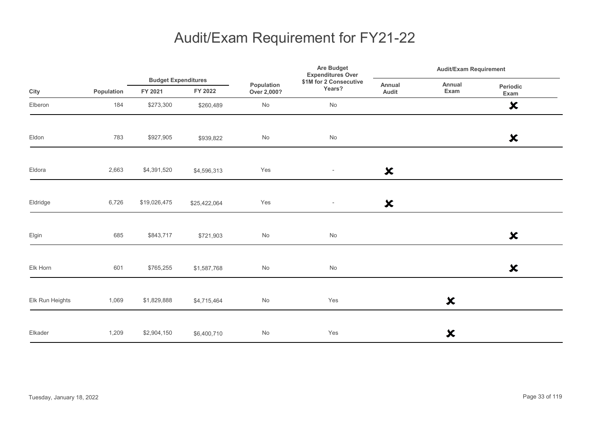|                 |            | <b>Budget Expenditures</b> |              |                           | Are Budget<br><b>Expenditures Over</b> |                           | <b>Audit/Exam Requirement</b> |                           |  |
|-----------------|------------|----------------------------|--------------|---------------------------|----------------------------------------|---------------------------|-------------------------------|---------------------------|--|
| City            | Population | FY 2021                    | FY 2022      | Population<br>Over 2,000? | \$1M for 2 Consecutive<br>Years?       | Annual<br>Audit           | Annual<br>Exam                | Periodic<br>Exam          |  |
| Elberon         | 184        | \$273,300                  | \$260,489    | No                        | No                                     |                           |                               | $\boldsymbol{\mathsf{x}}$ |  |
| Eldon           | 783        | \$927,905                  | \$939,822    | No                        | No                                     |                           |                               | $\boldsymbol{\mathsf{x}}$ |  |
| Eldora          | 2,663      | \$4,391,520                | \$4,596,313  | Yes                       | $\overline{\phantom{a}}$               | $\boldsymbol{\mathsf{x}}$ |                               |                           |  |
| Eldridge        | 6,726      | \$19,026,475               | \$25,422,064 | Yes                       | $\overline{\phantom{a}}$               | $\boldsymbol{\mathsf{x}}$ |                               |                           |  |
| Elgin           | 685        | \$843,717                  | \$721,903    | $\mathsf{No}$             | No                                     |                           |                               | $\boldsymbol{\mathsf{x}}$ |  |
| Elk Horn        | 601        | \$765,255                  | \$1,587,768  | $\mathsf{No}$             | No                                     |                           |                               | $\boldsymbol{\mathsf{x}}$ |  |
| Elk Run Heights | 1,069      | \$1,829,888                | \$4,715,464  | $\mathsf{No}$             | Yes                                    |                           | $\boldsymbol{\mathsf{x}}$     |                           |  |
| Elkader         | 1,209      | \$2,904,150                | \$6,400,710  | $\mathsf{No}$             | Yes                                    |                           | ×                             |                           |  |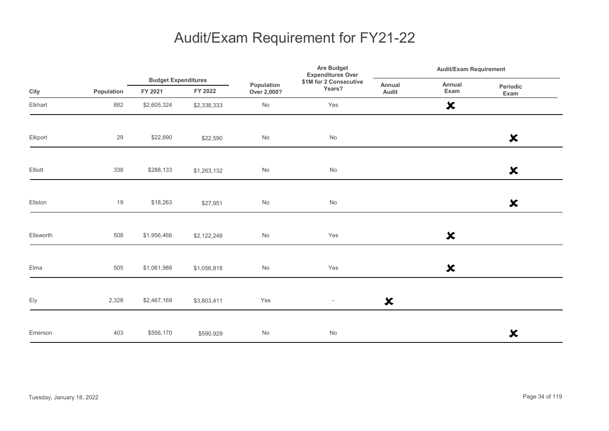|           |            |                                       |             | Are Budget<br><b>Expenditures Over</b> | <b>Audit/Exam Requirement</b>    |                           |                           |                           |  |
|-----------|------------|---------------------------------------|-------------|----------------------------------------|----------------------------------|---------------------------|---------------------------|---------------------------|--|
| City      | Population | <b>Budget Expenditures</b><br>FY 2021 | FY 2022     | Population<br>Over 2,000?              | \$1M for 2 Consecutive<br>Years? | Annual<br>Audit           | Annual<br>Exam            | Periodic<br>Exam          |  |
| Elkhart   | 882        | \$2,605,324                           | \$2,338,333 | $\mathsf{No}$                          | Yes                              |                           | $\boldsymbol{\mathsf{x}}$ |                           |  |
| Elkport   | 29         | \$22,890                              | \$22,590    | No                                     | No                               |                           |                           | $\boldsymbol{\mathsf{x}}$ |  |
| Elliott   | 338        | \$288,133                             | \$1,263,132 | $\mathsf{No}$                          | No                               |                           |                           | $\boldsymbol{\mathsf{x}}$ |  |
| Ellston   | 19         | \$18,263                              | \$27,951    | $\operatorname{\mathsf{No}}$           | No                               |                           |                           | $\boldsymbol{\mathsf{x}}$ |  |
| Ellsworth | 508        | \$1,956,466                           | \$2,122,248 | $\mathsf{No}$                          | Yes                              |                           | $\boldsymbol{\mathsf{x}}$ |                           |  |
| Elma      | 505        | \$1,061,988                           | \$1,056,818 | No                                     | Yes                              |                           | $\boldsymbol{\mathsf{x}}$ |                           |  |
| Ely       | 2,328      | \$2,467,169                           | \$3,803,411 | Yes                                    | $\overline{\phantom{a}}$         | $\boldsymbol{\mathsf{x}}$ |                           |                           |  |
| Emerson   | 403        | \$556,170                             | \$590,929   | No                                     | No                               |                           |                           | $\boldsymbol{\mathsf{x}}$ |  |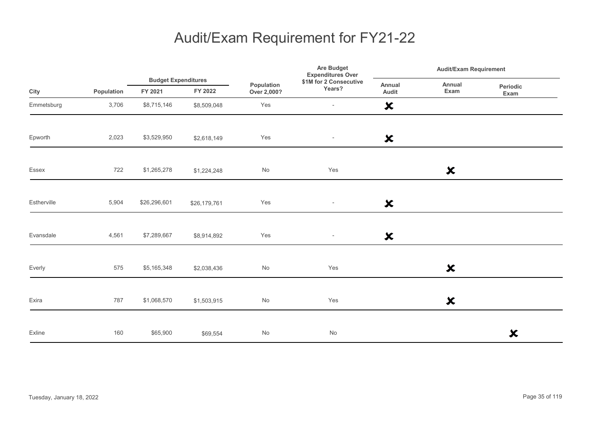|             |            |                                       |              |                              | <b>Are Budget</b><br><b>Expenditures Over</b> | <b>Audit/Exam Requirement</b> |                           |                           |  |
|-------------|------------|---------------------------------------|--------------|------------------------------|-----------------------------------------------|-------------------------------|---------------------------|---------------------------|--|
| City        | Population | <b>Budget Expenditures</b><br>FY 2021 | FY 2022      | Population<br>Over 2,000?    | \$1M for 2 Consecutive<br>Years?              | Annual<br>Audit               | Annual<br>Exam            | <b>Periodic</b><br>Exam   |  |
| Emmetsburg  | 3,706      | \$8,715,146                           | \$8,509,048  | Yes                          | $\overline{\phantom{a}}$                      | $\boldsymbol{\mathsf{x}}$     |                           |                           |  |
| Epworth     | 2,023      | \$3,529,950                           | \$2,618,149  | Yes                          | $\sim$                                        | $\boldsymbol{\mathsf{x}}$     |                           |                           |  |
| Essex       | 722        | \$1,265,278                           | \$1,224,248  | No                           | Yes                                           |                               | $\boldsymbol{\mathsf{x}}$ |                           |  |
| Estherville | 5,904      | \$26,296,601                          | \$26,179,761 | Yes                          | $\overline{\phantom{a}}$                      | $\boldsymbol{\mathsf{x}}$     |                           |                           |  |
| Evansdale   | 4,561      | \$7,289,667                           | \$8,914,892  | Yes                          | $\sim$                                        | $\boldsymbol{\mathsf{x}}$     |                           |                           |  |
| Everly      | 575        | \$5,165,348                           | \$2,038,436  | No                           | Yes                                           |                               | $\boldsymbol{\mathsf{x}}$ |                           |  |
| Exira       | 787        | \$1,068,570                           | \$1,503,915  | $\operatorname{\mathsf{No}}$ | Yes                                           |                               | $\boldsymbol{\mathsf{x}}$ |                           |  |
| Exline      | 160        | \$65,900                              | \$69,554     | No                           | No                                            |                               |                           | $\boldsymbol{\mathsf{x}}$ |  |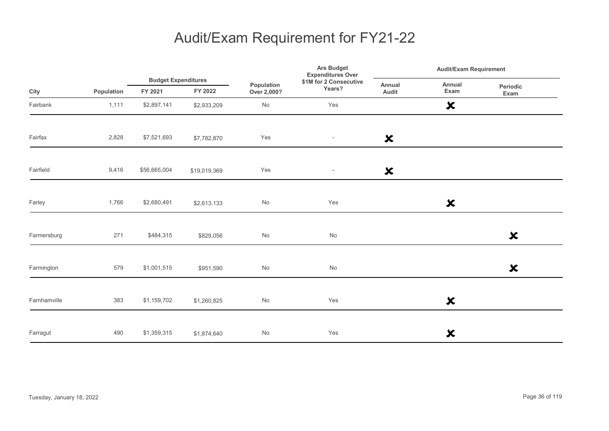|              |            |                                       |              | Are Budget<br><b>Expenditures Over</b> | <b>Audit/Exam Requirement</b>    |                           |                           |                           |
|--------------|------------|---------------------------------------|--------------|----------------------------------------|----------------------------------|---------------------------|---------------------------|---------------------------|
| City         | Population | <b>Budget Expenditures</b><br>FY 2021 | FY 2022      | Population<br>Over 2,000?              | \$1M for 2 Consecutive<br>Years? | <b>Annual</b><br>Audit    | Annual<br>Exam            | Periodic<br>Exam          |
| Fairbank     | 1,111      | \$2,897,141                           | \$2,933,209  | $\mathsf{No}$                          | Yes                              |                           | $\boldsymbol{\mathsf{x}}$ |                           |
| Fairfax      | 2,828      | \$7,521,693                           | \$7,782,870  | Yes                                    | $\overline{\phantom{a}}$         | $\boldsymbol{\mathsf{x}}$ |                           |                           |
| Fairfield    | 9,416      | \$56,665,004                          | \$19,019,369 | Yes                                    | $\sim$                           | $\boldsymbol{\mathsf{x}}$ |                           |                           |
| Farley       | 1,766      | \$2,680,491                           | \$2,613,133  | $\mathsf{No}$                          | Yes                              |                           | $\boldsymbol{\mathsf{x}}$ |                           |
| Farmersburg  | 271        | \$484,315                             | \$829,056    | $\mathsf{No}$                          | $\mathsf{No}$                    |                           |                           | $\boldsymbol{\mathsf{x}}$ |
| Farmington   | 579        | \$1,001,515                           | \$951,590    | $\mathsf{No}$                          | $\mathsf{No}$                    |                           |                           | $\boldsymbol{\mathsf{x}}$ |
| Farnhamville | 383        | \$1,159,702                           | \$1,260,825  | $\mathsf{No}$                          | Yes                              |                           | $\boldsymbol{\mathsf{x}}$ |                           |
| Farragut     | 490        | \$1,359,315                           | \$1,874,640  | No                                     | Yes                              |                           | ×                         |                           |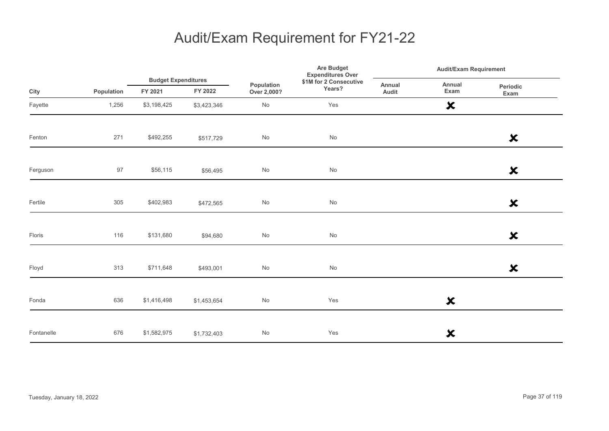|            |            |                                       |             |                           | Are Budget<br><b>Expenditures Over</b> |                 | <b>Audit/Exam Requirement</b> |                           |  |
|------------|------------|---------------------------------------|-------------|---------------------------|----------------------------------------|-----------------|-------------------------------|---------------------------|--|
| City       | Population | <b>Budget Expenditures</b><br>FY 2021 | FY 2022     | Population<br>Over 2,000? | \$1M for 2 Consecutive<br>Years?       | Annual<br>Audit | Annual<br>Exam                | Periodic<br>Exam          |  |
| Fayette    | 1,256      | \$3,198,425                           | \$3,423,346 | No                        | Yes                                    |                 | $\boldsymbol{\mathsf{x}}$     |                           |  |
| Fenton     | 271        | \$492,255                             | \$517,729   | $\mathsf{No}$             | $\operatorname{\mathsf{No}}$           |                 |                               | $\boldsymbol{\mathsf{x}}$ |  |
| Ferguson   | 97         | \$56,115                              | \$56,495    | $\mathsf{No}$             | No                                     |                 |                               | $\boldsymbol{\mathsf{x}}$ |  |
| Fertile    | 305        | \$402,983                             | \$472,565   | $\mathsf{No}$             | $\operatorname{\mathsf{No}}$           |                 |                               | $\boldsymbol{\mathsf{x}}$ |  |
| Floris     | 116        | \$131,680                             | \$94,680    | $\mathsf{No}$             | $\operatorname{\mathsf{No}}$           |                 |                               | $\boldsymbol{\mathsf{x}}$ |  |
| Floyd      | 313        | \$711,648                             | \$493,001   | $\mathsf{No}$             | $\operatorname{\mathsf{No}}$           |                 |                               | $\boldsymbol{\mathsf{x}}$ |  |
| Fonda      | 636        | \$1,416,498                           | \$1,453,654 | $\mathsf{No}$             | Yes                                    |                 | $\boldsymbol{\mathsf{x}}$     |                           |  |
| Fontanelle | 676        | \$1,582,975                           | \$1,732,403 | $\mathsf{No}$             | Yes                                    |                 | ×                             |                           |  |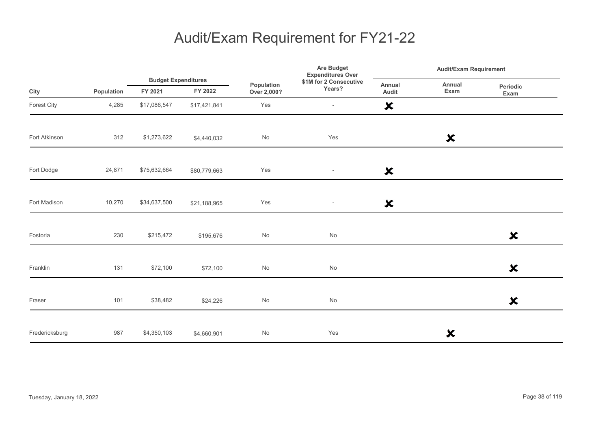|                |            |              | <b>Budget Expenditures</b> |                           | Are Budget<br><b>Expenditures Over</b> |                           | <b>Audit/Exam Requirement</b> |                           |  |
|----------------|------------|--------------|----------------------------|---------------------------|----------------------------------------|---------------------------|-------------------------------|---------------------------|--|
| City           | Population | FY 2021      | FY 2022                    | Population<br>Over 2,000? | \$1M for 2 Consecutive<br>Years?       | Annual<br>Audit           | Annual<br>Exam                | Periodic<br>Exam          |  |
| Forest City    | 4,285      | \$17,086,547 | \$17,421,841               | Yes                       | $\overline{\phantom{a}}$               | $\boldsymbol{\mathsf{x}}$ |                               |                           |  |
| Fort Atkinson  | 312        | \$1,273,622  | \$4,440,032                | No                        | Yes                                    |                           | $\boldsymbol{\mathsf{x}}$     |                           |  |
| Fort Dodge     | 24,871     | \$75,632,664 | \$80,779,663               | Yes                       | $\overline{\phantom{a}}$               | $\boldsymbol{\mathsf{x}}$ |                               |                           |  |
| Fort Madison   | 10,270     | \$34,637,500 | \$21,188,965               | Yes                       | $\overline{\phantom{a}}$               | $\boldsymbol{\mathsf{x}}$ |                               |                           |  |
| Fostoria       | 230        | \$215,472    | \$195,676                  | No                        | No                                     |                           |                               | $\boldsymbol{\mathsf{x}}$ |  |
| Franklin       | 131        | \$72,100     | \$72,100                   | No                        | No                                     |                           |                               | $\boldsymbol{\mathsf{x}}$ |  |
| Fraser         | 101        | \$38,482     | \$24,226                   | No                        | No                                     |                           |                               | $\boldsymbol{\mathsf{x}}$ |  |
| Fredericksburg | 987        | \$4,350,103  | \$4,660,901                | No                        | Yes                                    |                           | ×                             |                           |  |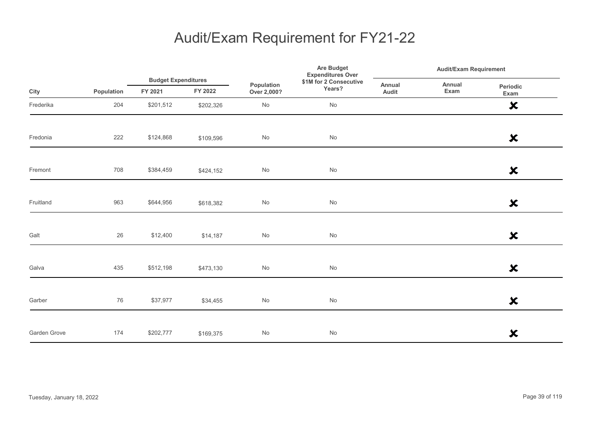|              |            |                                       |           |                              | Are Budget<br><b>Expenditures Over</b> |                 | <b>Audit/Exam Requirement</b> |                           |
|--------------|------------|---------------------------------------|-----------|------------------------------|----------------------------------------|-----------------|-------------------------------|---------------------------|
| City         | Population | <b>Budget Expenditures</b><br>FY 2021 | FY 2022   | Population<br>Over 2,000?    | \$1M for 2 Consecutive<br>Years?       | Annual<br>Audit | Annual<br>Exam                | Periodic<br>Exam          |
| Frederika    | 204        | \$201,512                             | \$202,326 | No                           | No                                     |                 |                               | $\boldsymbol{\mathsf{x}}$ |
| Fredonia     | 222        | \$124,868                             | \$109,596 | $\operatorname{\mathsf{No}}$ | $\operatorname{\mathsf{No}}$           |                 |                               | $\boldsymbol{\mathsf{x}}$ |
| Fremont      | 708        | \$384,459                             | \$424,152 | No                           | No                                     |                 |                               | $\boldsymbol{\mathsf{x}}$ |
| Fruitland    | 963        | \$644,956                             | \$618,382 | No                           | No                                     |                 |                               | $\boldsymbol{\mathsf{x}}$ |
| Galt         | 26         | \$12,400                              | \$14,187  | $\operatorname{\mathsf{No}}$ | $\operatorname{\mathsf{No}}$           |                 |                               | $\boldsymbol{\mathsf{x}}$ |
| Galva        | 435        | \$512,198                             | \$473,130 | $\operatorname{\mathsf{No}}$ | No                                     |                 |                               | $\boldsymbol{\mathsf{x}}$ |
| Garber       | 76         | \$37,977                              | \$34,455  | No                           | $\operatorname{\mathsf{No}}$           |                 |                               | $\boldsymbol{\mathsf{x}}$ |
| Garden Grove | 174        | \$202,777                             | \$169,375 | $\operatorname{\mathsf{No}}$ | $\mathsf{No}$                          |                 |                               | $\boldsymbol{\mathsf{x}}$ |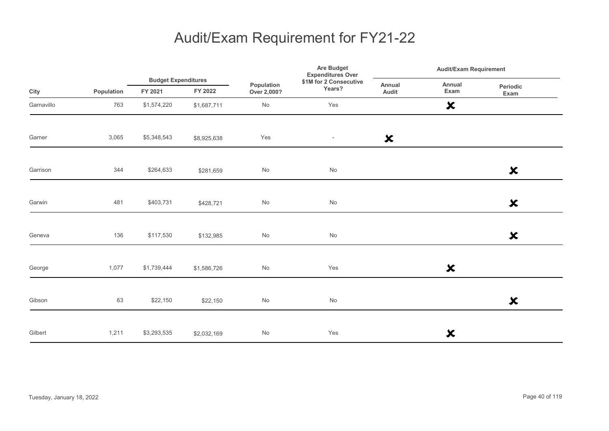|            |            |                                       |             |                           | <b>Are Budget</b><br><b>Expenditures Over</b> | <b>Audit/Exam Requirement</b> |                           |                           |
|------------|------------|---------------------------------------|-------------|---------------------------|-----------------------------------------------|-------------------------------|---------------------------|---------------------------|
| City       | Population | <b>Budget Expenditures</b><br>FY 2021 | FY 2022     | Population<br>Over 2,000? | \$1M for 2 Consecutive<br>Years?              | Annual<br>Audit               | Annual<br>Exam            | Periodic<br>Exam          |
| Garnavillo | 763        | \$1,574,220                           | \$1,687,711 | No                        | Yes                                           |                               | $\boldsymbol{\mathsf{x}}$ |                           |
| Garner     | 3,065      | \$5,348,543                           | \$8,925,638 | Yes                       | $\overline{\phantom{a}}$                      | $\boldsymbol{\mathsf{x}}$     |                           |                           |
| Garrison   | 344        | \$264,633                             | \$281,659   | No                        | $\operatorname{\mathsf{No}}$                  |                               |                           | $\boldsymbol{\mathsf{x}}$ |
| Garwin     | 481        | \$403,731                             | \$428,721   | No                        | $\operatorname{\mathsf{No}}$                  |                               |                           | $\boldsymbol{\mathsf{x}}$ |
| Geneva     | 136        | \$117,530                             | \$132,985   | No                        | $\operatorname{\mathsf{No}}$                  |                               |                           | $\boldsymbol{\mathsf{x}}$ |
| George     | 1,077      | \$1,739,444                           | \$1,586,726 | No                        | Yes                                           |                               | $\boldsymbol{\mathsf{x}}$ |                           |
| Gibson     | 63         | \$22,150                              | \$22,150    | No                        | $\operatorname{\mathsf{No}}$                  |                               |                           | $\boldsymbol{\mathsf{x}}$ |
| Gilbert    | 1,211      | \$3,293,535                           | \$2,032,169 | No                        | Yes                                           |                               | ×                         |                           |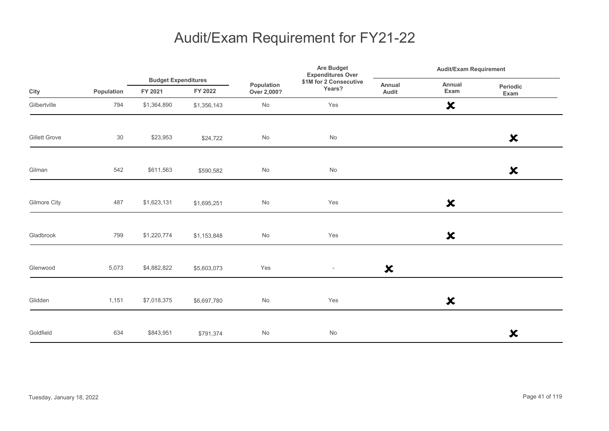|               |            |                                       |             | Are Budget<br><b>Expenditures Over</b> |                                  | <b>Audit/Exam Requirement</b> |                           |                           |
|---------------|------------|---------------------------------------|-------------|----------------------------------------|----------------------------------|-------------------------------|---------------------------|---------------------------|
| City          | Population | <b>Budget Expenditures</b><br>FY 2021 | FY 2022     | Population<br>Over 2,000?              | \$1M for 2 Consecutive<br>Years? | Annual<br>Audit               | Annual<br>Exam            | Periodic<br>Exam          |
| Gilbertville  | 794        | \$1,364,890                           | \$1,356,143 | $\mathsf{No}$                          | Yes                              |                               | $\boldsymbol{\mathsf{x}}$ |                           |
| Gillett Grove | 30         | \$23,953                              | \$24,722    | $\mathsf{No}$                          | $\operatorname{\mathsf{No}}$     |                               |                           | $\boldsymbol{\mathsf{x}}$ |
| Gilman        | 542        | \$611,563                             | \$590,582   | $\mathsf{No}$                          | $\mathsf{No}$                    |                               |                           | $\boldsymbol{\mathsf{x}}$ |
| Gilmore City  | 487        | \$1,623,131                           | \$1,695,251 | $\mathsf{No}$                          | Yes                              |                               | $\boldsymbol{\mathsf{x}}$ |                           |
| Gladbrook     | 799        | \$1,220,774                           | \$1,153,848 | $\mathsf{No}$                          | Yes                              |                               | $\boldsymbol{\mathsf{x}}$ |                           |
| Glenwood      | 5,073      | \$4,882,822                           | \$5,603,073 | Yes                                    | $\overline{\phantom{a}}$         | $\boldsymbol{\mathsf{x}}$     |                           |                           |
| Glidden       | 1,151      | \$7,018,375                           | \$6,697,780 | $\mathsf{No}$                          | Yes                              |                               | $\boldsymbol{\mathsf{x}}$ |                           |
| Goldfield     | 634        | \$843,951                             | \$791,374   | $\mathsf{No}$                          | $\mathsf{No}$                    |                               |                           | $\boldsymbol{\mathsf{x}}$ |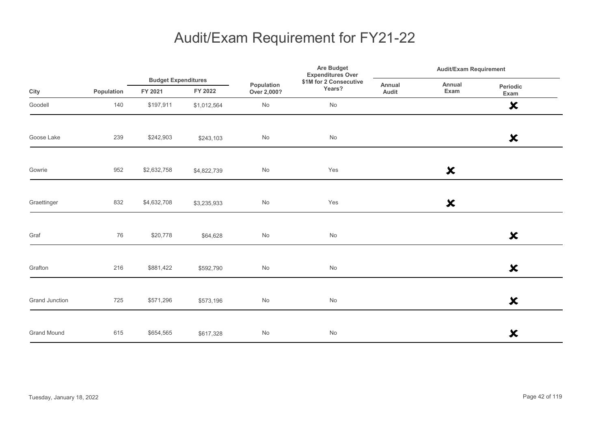|                    |            |                                       |             |                           | <b>Are Budget</b><br><b>Expenditures Over</b> | <b>Audit/Exam Requirement</b> |                           |                           |
|--------------------|------------|---------------------------------------|-------------|---------------------------|-----------------------------------------------|-------------------------------|---------------------------|---------------------------|
| City               | Population | <b>Budget Expenditures</b><br>FY 2021 | FY 2022     | Population<br>Over 2,000? | \$1M for 2 Consecutive<br>Years?              | Annual<br>Audit               | Annual<br>Exam            | Periodic<br>Exam          |
| Goodell            | 140        | \$197,911                             | \$1,012,564 | No                        | No                                            |                               |                           | $\boldsymbol{\mathsf{x}}$ |
| Goose Lake         | 239        | \$242,903                             | \$243,103   | No                        | $\operatorname{\mathsf{No}}$                  |                               |                           | $\boldsymbol{\mathsf{x}}$ |
| Gowrie             | 952        | \$2,632,758                           | \$4,822,739 | No                        | Yes                                           |                               | $\boldsymbol{\mathsf{x}}$ |                           |
| Graettinger        | 832        | \$4,632,708                           | \$3,235,933 | No                        | Yes                                           |                               | $\boldsymbol{\mathsf{x}}$ |                           |
| Graf               | 76         | \$20,778                              | \$64,628    | No                        | $\operatorname{\mathsf{No}}$                  |                               |                           | $\boldsymbol{\mathsf{x}}$ |
| Grafton            | 216        | \$881,422                             | \$592,790   | No                        | No                                            |                               |                           | $\boldsymbol{\mathsf{x}}$ |
| Grand Junction     | 725        | \$571,296                             | \$573,196   | No                        | No                                            |                               |                           | $\boldsymbol{\mathsf{x}}$ |
| <b>Grand Mound</b> | 615        | \$654,565                             | \$617,328   | No                        | No                                            |                               |                           | ×                         |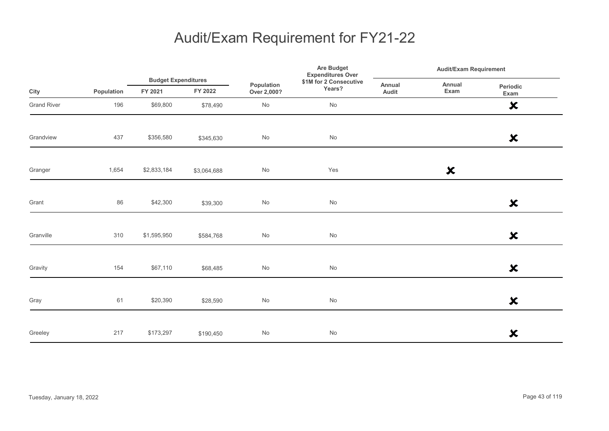|                    |            |                                       |             | Are Budget<br><b>Expenditures Over</b> |                                  | <b>Audit/Exam Requirement</b> |                           |                           |
|--------------------|------------|---------------------------------------|-------------|----------------------------------------|----------------------------------|-------------------------------|---------------------------|---------------------------|
| City               | Population | <b>Budget Expenditures</b><br>FY 2021 | FY 2022     | Population<br>Over 2,000?              | \$1M for 2 Consecutive<br>Years? | Annual<br>Audit               | Annual<br>Exam            | Periodic<br>Exam          |
| <b>Grand River</b> | 196        | \$69,800                              | \$78,490    | $\mathsf{No}$                          | No                               |                               |                           | $\boldsymbol{\mathsf{x}}$ |
| Grandview          | 437        | \$356,580                             | \$345,630   | $\mathsf{No}$                          | $\operatorname{\mathsf{No}}$     |                               |                           | $\boldsymbol{\mathsf{x}}$ |
| Granger            | 1,654      | \$2,833,184                           | \$3,064,688 | $\mathsf{No}$                          | Yes                              |                               | $\boldsymbol{\mathsf{x}}$ |                           |
| Grant              | 86         | \$42,300                              | \$39,300    | $\mathsf{No}$                          | $\mathsf{No}$                    |                               |                           | $\boldsymbol{\mathsf{x}}$ |
| Granville          | 310        | \$1,595,950                           | \$584,768   | $\mathsf{No}$                          | $\operatorname{\mathsf{No}}$     |                               |                           | $\boldsymbol{\mathsf{x}}$ |
| Gravity            | 154        | \$67,110                              | \$68,485    | $\mathsf{No}$                          | $\mathsf{No}$                    |                               |                           | $\boldsymbol{\mathsf{x}}$ |
| Gray               | 61         | \$20,390                              | \$28,590    | $\mathsf{No}$                          | $\operatorname{\mathsf{No}}$     |                               |                           | $\boldsymbol{\mathsf{x}}$ |
| Greeley            | 217        | \$173,297                             | \$190,450   | $\mathsf{No}$                          | $\mathsf{No}$                    |                               |                           | $\boldsymbol{\mathsf{x}}$ |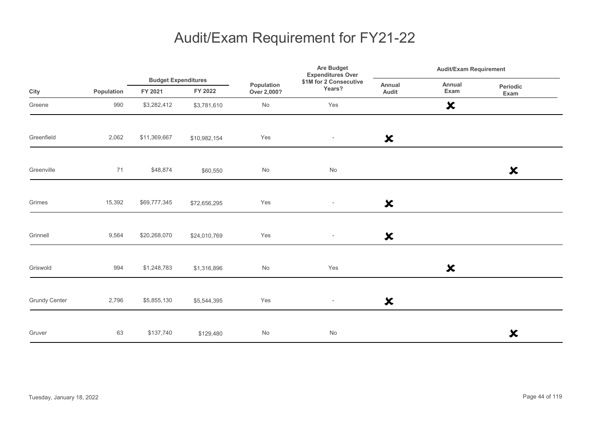|                      |            |                                       |              | Are Budget<br><b>Expenditures Over</b> | <b>Audit/Exam Requirement</b>    |                           |                           |                           |  |
|----------------------|------------|---------------------------------------|--------------|----------------------------------------|----------------------------------|---------------------------|---------------------------|---------------------------|--|
| City                 | Population | <b>Budget Expenditures</b><br>FY 2021 | FY 2022      | Population<br>Over 2,000?              | \$1M for 2 Consecutive<br>Years? | Annual<br>Audit           | Annual<br>Exam            | Periodic<br>Exam          |  |
| Greene               | 990        | \$3,282,412                           | \$3,781,610  | No                                     | Yes                              |                           | $\boldsymbol{\mathsf{x}}$ |                           |  |
| Greenfield           | 2,062      | \$11,369,667                          | \$10,982,154 | Yes                                    | $\overline{\phantom{a}}$         | $\boldsymbol{\mathsf{x}}$ |                           |                           |  |
| Greenville           | 71         | \$48,874                              | \$60,550     | $\mathsf{No}$                          | No                               |                           |                           | $\boldsymbol{\mathsf{x}}$ |  |
| Grimes               | 15,392     | \$69,777,345                          | \$72,656,295 | Yes                                    | $\overline{\phantom{a}}$         | $\boldsymbol{\mathsf{x}}$ |                           |                           |  |
| Grinnell             | 9,564      | \$20,268,070                          | \$24,010,769 | Yes                                    | $\overline{\phantom{a}}$         | $\boldsymbol{\mathsf{x}}$ |                           |                           |  |
| Griswold             | 994        | \$1,248,783                           | \$1,316,896  | $\mathsf{No}$                          | Yes                              |                           | $\boldsymbol{\mathsf{x}}$ |                           |  |
| <b>Grundy Center</b> | 2,796      | \$5,855,130                           | \$5,544,395  | Yes                                    | $\overline{\phantom{a}}$         | $\boldsymbol{\mathsf{x}}$ |                           |                           |  |
| Gruver               | 63         | \$137,740                             | \$129,480    | No                                     | No                               |                           |                           | $\boldsymbol{\mathsf{x}}$ |  |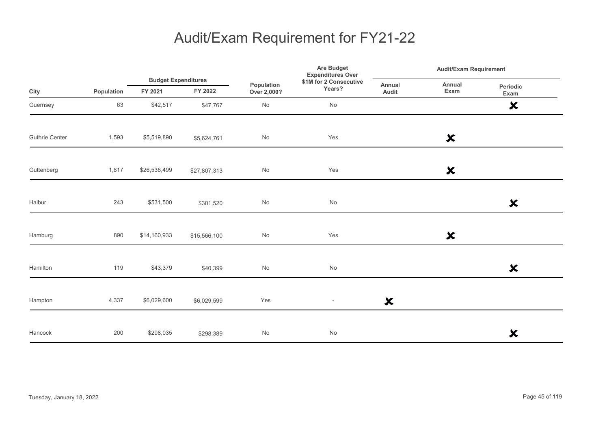|                       |            |                                       |              | Are Budget<br><b>Expenditures Over</b> |                                  | <b>Audit/Exam Requirement</b> |                           |                           |
|-----------------------|------------|---------------------------------------|--------------|----------------------------------------|----------------------------------|-------------------------------|---------------------------|---------------------------|
| City                  | Population | <b>Budget Expenditures</b><br>FY 2021 | FY 2022      | Population<br>Over 2,000?              | \$1M for 2 Consecutive<br>Years? | Annual<br>Audit               | Annual<br>Exam            | Periodic<br>Exam          |
| Guernsey              | 63         | \$42,517                              | \$47,767     | No                                     | No                               |                               |                           | $\boldsymbol{\mathsf{x}}$ |
| <b>Guthrie Center</b> | 1,593      | \$5,519,890                           | \$5,624,761  | No                                     | Yes                              |                               | $\boldsymbol{\mathsf{x}}$ |                           |
| Guttenberg            | 1,817      | \$26,536,499                          | \$27,807,313 | $\mathsf{No}$                          | Yes                              |                               | $\boldsymbol{\mathsf{x}}$ |                           |
| Halbur                | 243        | \$531,500                             | \$301,520    | $\mathsf{No}$                          | $\mathsf{No}$                    |                               |                           | $\boldsymbol{\mathsf{x}}$ |
| Hamburg               | 890        | \$14,160,933                          | \$15,566,100 | No                                     | Yes                              |                               | $\boldsymbol{\mathsf{x}}$ |                           |
| Hamilton              | 119        | \$43,379                              | \$40,399     | $\mathsf{No}$                          | $\mathsf{No}$                    |                               |                           | $\boldsymbol{\mathsf{x}}$ |
| Hampton               | 4,337      | \$6,029,600                           | \$6,029,599  | Yes                                    | $\overline{\phantom{a}}$         | $\boldsymbol{\mathsf{x}}$     |                           |                           |
| Hancock               | 200        | \$298,035                             | \$298,389    | $\mathsf{No}$                          | $\mathsf{No}$                    |                               |                           | $\boldsymbol{\mathsf{x}}$ |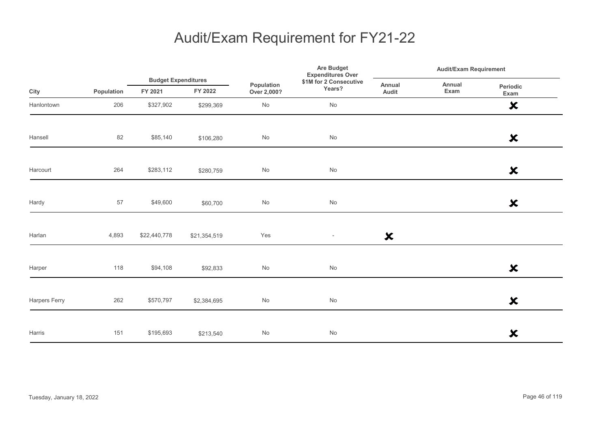|               |            |                                       |              | Are Budget<br><b>Expenditures Over</b> | <b>Audit/Exam Requirement</b>    |                           |                |                           |
|---------------|------------|---------------------------------------|--------------|----------------------------------------|----------------------------------|---------------------------|----------------|---------------------------|
| City          | Population | <b>Budget Expenditures</b><br>FY 2021 | FY 2022      | Population<br>Over 2,000?              | \$1M for 2 Consecutive<br>Years? | Annual<br>Audit           | Annual<br>Exam | Periodic<br>Exam          |
| Hanlontown    | 206        | \$327,902                             | \$299,369    | No                                     | No                               |                           |                | $\boldsymbol{\mathsf{x}}$ |
| Hansell       | 82         | \$85,140                              | \$106,280    | $\mathsf{No}$                          | $\operatorname{\mathsf{No}}$     |                           |                | $\boldsymbol{\mathsf{x}}$ |
| Harcourt      | 264        | \$283,112                             | \$280,759    | No                                     | No                               |                           |                | $\boldsymbol{\mathsf{x}}$ |
| Hardy         | 57         | \$49,600                              | \$60,700     | $\mathsf{No}$                          | $\operatorname{\mathsf{No}}$     |                           |                | $\boldsymbol{\mathsf{x}}$ |
| Harlan        | 4,893      | \$22,440,778                          | \$21,354,519 | Yes                                    | $\overline{\phantom{a}}$         | $\boldsymbol{\mathsf{x}}$ |                |                           |
| Harper        | 118        | \$94,108                              | \$92,833     | No                                     | No                               |                           |                | $\boldsymbol{\mathsf{x}}$ |
| Harpers Ferry | 262        | \$570,797                             | \$2,384,695  | $\mathsf{No}$                          | No                               |                           |                | $\boldsymbol{\mathsf{x}}$ |
| Harris        | 151        | \$195,693                             | \$213,540    | No                                     | No                               |                           |                | $\boldsymbol{\mathsf{x}}$ |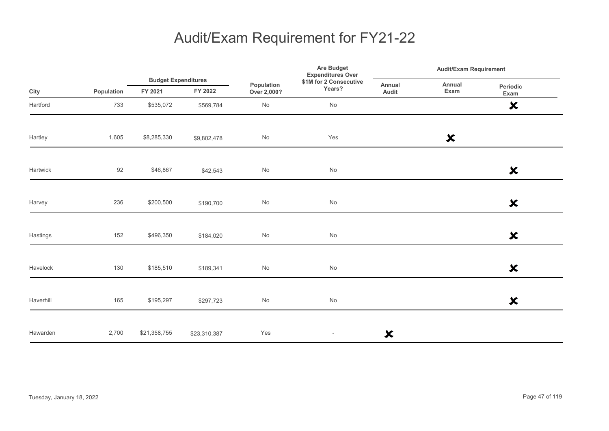|           |            |                                       |              | Are Budget<br><b>Expenditures Over</b><br>\$1M for 2 Consecutive<br>Population<br>Years?<br>Over 2,000? |                          | <b>Audit/Exam Requirement</b> |                           |                           |
|-----------|------------|---------------------------------------|--------------|---------------------------------------------------------------------------------------------------------|--------------------------|-------------------------------|---------------------------|---------------------------|
| City      | Population | <b>Budget Expenditures</b><br>FY 2021 | FY 2022      |                                                                                                         |                          | Annual<br>Audit               | Annual<br>Exam            | Periodic<br>Exam          |
| Hartford  | 733        | \$535,072                             | \$569,784    | $\mathsf{No}$                                                                                           | No                       |                               |                           | $\boldsymbol{\mathsf{x}}$ |
| Hartley   | 1,605      | \$8,285,330                           | \$9,802,478  | No                                                                                                      | Yes                      |                               | $\boldsymbol{\mathsf{x}}$ |                           |
| Hartwick  | 92         | \$46,867                              | \$42,543     | $\mathsf{No}$                                                                                           | $\mathsf{No}$            |                               |                           | $\boldsymbol{\mathsf{x}}$ |
| Harvey    | 236        | \$200,500                             | \$190,700    | $\mathsf{No}$                                                                                           | $\mathsf{No}$            |                               |                           | $\boldsymbol{\mathsf{x}}$ |
| Hastings  | 152        | \$496,350                             | \$184,020    | $\mathsf{No}$                                                                                           | No                       |                               |                           | $\boldsymbol{\mathsf{x}}$ |
| Havelock  | 130        | \$185,510                             | \$189,341    | $\mathsf{No}$                                                                                           | $\mathsf{No}$            |                               |                           | $\boldsymbol{\mathsf{x}}$ |
| Haverhill | 165        | \$195,297                             | \$297,723    | $\mathsf{No}$                                                                                           | $\mathsf{No}$            |                               |                           | $\boldsymbol{\mathsf{x}}$ |
| Hawarden  | 2,700      | \$21,358,755                          | \$23,310,387 | Yes                                                                                                     | $\overline{\phantom{a}}$ | $\boldsymbol{\mathsf{x}}$     |                           |                           |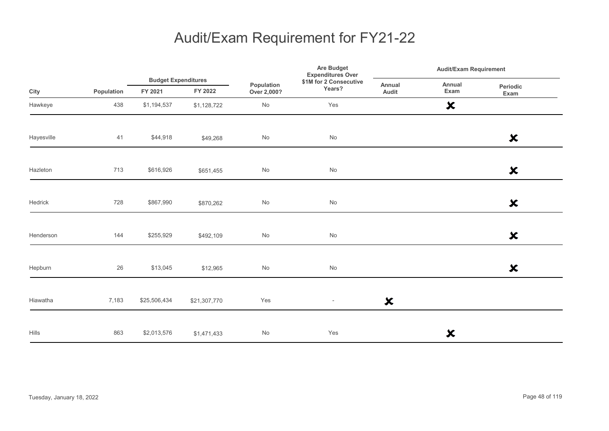|            |            |                                       |              |                           | <b>Are Budget</b><br><b>Expenditures Over</b> |                           | <b>Audit/Exam Requirement</b> |                           |
|------------|------------|---------------------------------------|--------------|---------------------------|-----------------------------------------------|---------------------------|-------------------------------|---------------------------|
| City       | Population | <b>Budget Expenditures</b><br>FY 2021 | FY 2022      | Population<br>Over 2,000? | \$1M for 2 Consecutive<br>Years?              | Annual<br>Audit           | Annual<br>Exam                | Periodic<br>Exam          |
| Hawkeye    | 438        | \$1,194,537                           | \$1,128,722  | No                        | Yes                                           |                           | $\boldsymbol{\mathsf{x}}$     |                           |
| Hayesville | 41         | \$44,918                              | \$49,268     | No                        | $\operatorname{\mathsf{No}}$                  |                           |                               | $\boldsymbol{\mathsf{x}}$ |
| Hazleton   | 713        | \$616,926                             | \$651,455    | $\mathsf{No}$             | $\operatorname{\mathsf{No}}$                  |                           |                               | $\boldsymbol{\mathsf{x}}$ |
| Hedrick    | 728        | \$867,990                             | \$870,262    | No                        | $\operatorname{\mathsf{No}}$                  |                           |                               | $\boldsymbol{\mathsf{x}}$ |
| Henderson  | 144        | \$255,929                             | \$492,109    | No                        | No                                            |                           |                               | $\boldsymbol{\mathsf{x}}$ |
| Hepburn    | 26         | \$13,045                              | \$12,965     | No                        | $\operatorname{\mathsf{No}}$                  |                           |                               | ×                         |
| Hiawatha   | 7,183      | \$25,506,434                          | \$21,307,770 | Yes                       | $\overline{\phantom{a}}$                      | $\boldsymbol{\mathsf{x}}$ |                               |                           |
| Hills      | 863        | \$2,013,576                           | \$1,471,433  | No                        | Yes                                           |                           | $\boldsymbol{\mathsf{x}}$     |                           |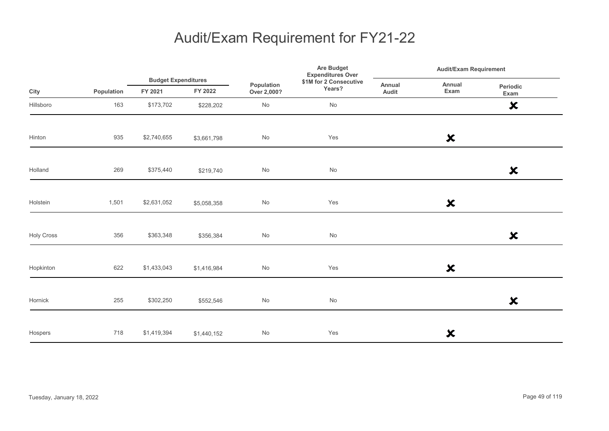|                   |            | <b>Budget Expenditures</b> |             | Are Budget<br><b>Expenditures Over</b> |                                  | <b>Audit/Exam Requirement</b> |                           |                           |
|-------------------|------------|----------------------------|-------------|----------------------------------------|----------------------------------|-------------------------------|---------------------------|---------------------------|
| City              | Population | FY 2021                    | FY 2022     | Population<br>Over 2,000?              | \$1M for 2 Consecutive<br>Years? | Annual<br>Audit               | Annual<br>Exam            | Periodic<br>Exam          |
| Hillsboro         | 163        | \$173,702                  | \$228,202   | No                                     | No                               |                               |                           | $\boldsymbol{\mathsf{x}}$ |
| Hinton            | 935        | \$2,740,655                | \$3,661,798 | No                                     | Yes                              |                               | $\boldsymbol{\mathsf{x}}$ |                           |
| Holland           | 269        | \$375,440                  | \$219,740   | No                                     | $\operatorname{\mathsf{No}}$     |                               |                           | $\boldsymbol{\mathsf{x}}$ |
| Holstein          | 1,501      | \$2,631,052                | \$5,058,358 | No                                     | Yes                              |                               | $\boldsymbol{\mathsf{x}}$ |                           |
| <b>Holy Cross</b> | 356        | \$363,348                  | \$356,384   | No                                     | No                               |                               |                           | $\boldsymbol{\mathsf{x}}$ |
| Hopkinton         | 622        | \$1,433,043                | \$1,416,984 | No                                     | Yes                              |                               | $\boldsymbol{\mathsf{x}}$ |                           |
| Hornick           | 255        | \$302,250                  | \$552,546   | No                                     | $\operatorname{\mathsf{No}}$     |                               |                           | $\boldsymbol{\mathsf{x}}$ |
| Hospers           | 718        | \$1,419,394                | \$1,440,152 | No                                     | Yes                              |                               | ×                         |                           |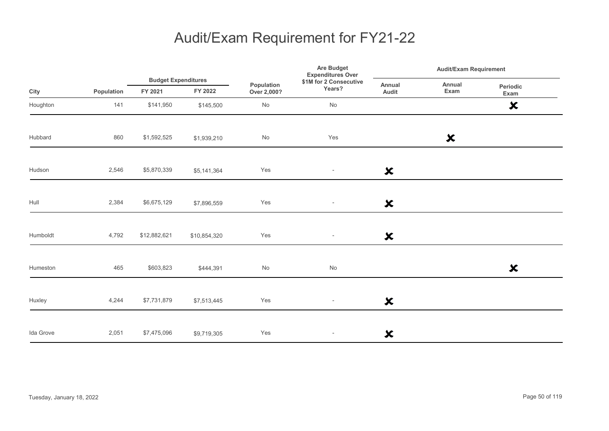|           |            |                                       |              | Population<br>Over 2,000? | Are Budget<br><b>Expenditures Over</b> | <b>Audit/Exam Requirement</b> |                           |                           |
|-----------|------------|---------------------------------------|--------------|---------------------------|----------------------------------------|-------------------------------|---------------------------|---------------------------|
| City      | Population | <b>Budget Expenditures</b><br>FY 2021 | FY 2022      |                           | \$1M for 2 Consecutive<br>Years?       | Annual<br>Audit               | Annual<br>Exam            | Periodic<br>Exam          |
| Houghton  | 141        | \$141,950                             | \$145,500    | $\mathsf{No}$             | No                                     |                               |                           | $\boldsymbol{\mathsf{x}}$ |
| Hubbard   | 860        | \$1,592,525                           | \$1,939,210  | No                        | Yes                                    |                               | $\boldsymbol{\mathsf{x}}$ |                           |
| Hudson    | 2,546      | \$5,870,339                           | \$5,141,364  | Yes                       | $\overline{\phantom{a}}$               | $\boldsymbol{\mathsf{x}}$     |                           |                           |
| Hull      | 2,384      | \$6,675,129                           | \$7,896,559  | Yes                       | $\overline{\phantom{a}}$               | $\boldsymbol{\mathsf{x}}$     |                           |                           |
| Humboldt  | 4,792      | \$12,882,621                          | \$10,854,320 | Yes                       | $\overline{\phantom{a}}$               | $\boldsymbol{\mathsf{x}}$     |                           |                           |
| Humeston  | 465        | \$603,823                             | \$444,391    | $\mathsf{No}$             | $\mathsf{No}$                          |                               |                           | $\boldsymbol{\mathsf{x}}$ |
| Huxley    | 4,244      | \$7,731,879                           | \$7,513,445  | Yes                       | $\overline{\phantom{a}}$               | $\boldsymbol{\mathsf{x}}$     |                           |                           |
| Ida Grove | 2,051      | \$7,475,096                           | \$9,719,305  | Yes                       | $\overline{\phantom{a}}$               | $\boldsymbol{\mathsf{x}}$     |                           |                           |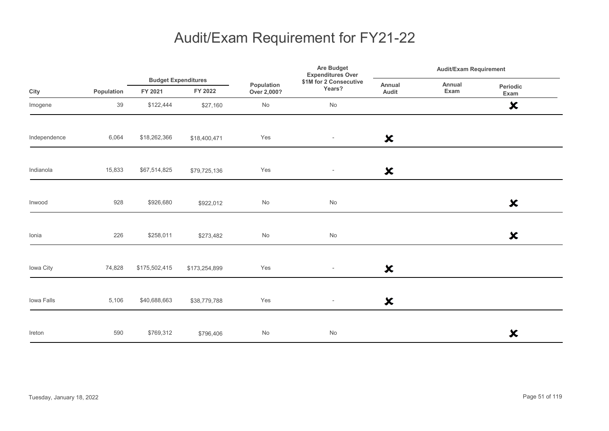|              |            |                                       |               | <b>Expenditures Over</b><br>Population<br>Years?<br>Over 2,000? | Are Budget               | <b>Audit/Exam Requirement</b> |                |                           |
|--------------|------------|---------------------------------------|---------------|-----------------------------------------------------------------|--------------------------|-------------------------------|----------------|---------------------------|
| City         | Population | <b>Budget Expenditures</b><br>FY 2021 | FY 2022       |                                                                 | \$1M for 2 Consecutive   | Annual<br>Audit               | Annual<br>Exam | Periodic<br>Exam          |
| Imogene      | 39         | \$122,444                             | \$27,160      | $\mathsf{No}$                                                   | No                       |                               |                | $\boldsymbol{\mathsf{x}}$ |
| Independence | 6,064      | \$18,262,366                          | \$18,400,471  | Yes                                                             | $\overline{\phantom{a}}$ | $\boldsymbol{\mathsf{x}}$     |                |                           |
| Indianola    | 15,833     | \$67,514,825                          | \$79,725,136  | Yes                                                             | $\overline{\phantom{a}}$ | $\boldsymbol{\mathsf{x}}$     |                |                           |
| Inwood       | 928        | \$926,680                             | \$922,012     | $\mathsf{No}$                                                   | $\mathsf{No}$            |                               |                | $\boldsymbol{\mathsf{x}}$ |
| Ionia        | 226        | \$258,011                             | \$273,482     | No                                                              | No                       |                               |                | $\boldsymbol{\mathsf{x}}$ |
| Iowa City    | 74,828     | \$175,502,415                         | \$173,254,899 | Yes                                                             | $\overline{\phantom{a}}$ | $\boldsymbol{\mathsf{x}}$     |                |                           |
| Iowa Falls   | 5,106      | \$40,688,663                          | \$38,779,788  | Yes                                                             | $\overline{\phantom{a}}$ | $\boldsymbol{\mathsf{x}}$     |                |                           |
| Ireton       | 590        | \$769,312                             | \$796,406     | $\mathsf{No}$                                                   | $\mathsf{No}$            |                               |                | $\boldsymbol{\mathsf{x}}$ |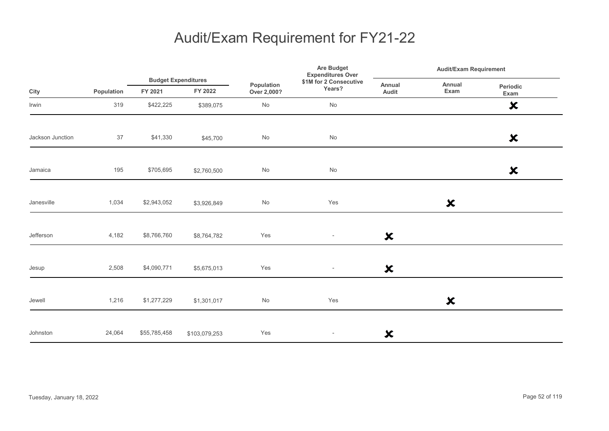|                  |            |                                       |               | <b>Are Budget</b><br><b>Expenditures Over</b><br>\$1M for 2 Consecutive<br>Population<br>Years?<br>Over 2,000? | <b>Audit/Exam Requirement</b> |                           |                           |                           |
|------------------|------------|---------------------------------------|---------------|----------------------------------------------------------------------------------------------------------------|-------------------------------|---------------------------|---------------------------|---------------------------|
| City             | Population | <b>Budget Expenditures</b><br>FY 2021 | FY 2022       |                                                                                                                |                               | Annual<br>Audit           | Annual<br>Exam            | Periodic<br>Exam          |
| Irwin            | 319        | \$422,225                             | \$389,075     | No                                                                                                             | No                            |                           |                           | $\boldsymbol{\mathsf{x}}$ |
| Jackson Junction | 37         | \$41,330                              | \$45,700      | No                                                                                                             | $\operatorname{\mathsf{No}}$  |                           |                           | $\boldsymbol{\mathsf{x}}$ |
| Jamaica          | 195        | \$705,695                             | \$2,760,500   | No                                                                                                             | No                            |                           |                           | $\boldsymbol{\mathsf{x}}$ |
| Janesville       | 1,034      | \$2,943,052                           | \$3,926,849   | No                                                                                                             | Yes                           |                           | $\boldsymbol{\mathsf{x}}$ |                           |
| Jefferson        | 4,182      | \$8,766,760                           | \$8,764,782   | Yes                                                                                                            | $\overline{\phantom{a}}$      | $\boldsymbol{\mathsf{x}}$ |                           |                           |
| Jesup            | 2,508      | \$4,090,771                           | \$5,675,013   | Yes                                                                                                            | $\overline{\phantom{a}}$      | $\boldsymbol{\mathsf{x}}$ |                           |                           |
| Jewell           | 1,216      | \$1,277,229                           | \$1,301,017   | No                                                                                                             | Yes                           |                           | $\boldsymbol{\mathsf{x}}$ |                           |
| Johnston         | 24,064     | \$55,785,458                          | \$103,079,253 | Yes                                                                                                            | $\overline{\phantom{a}}$      | ×                         |                           |                           |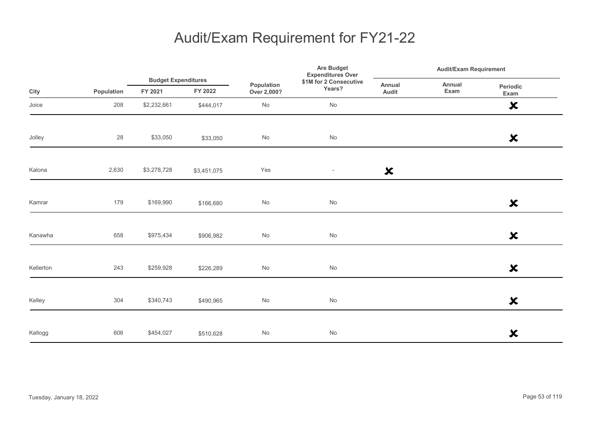|           |            | <b>Budget Expenditures</b> |             |                           | Are Budget<br><b>Expenditures Over</b> |                           | <b>Audit/Exam Requirement</b> |                           |  |
|-----------|------------|----------------------------|-------------|---------------------------|----------------------------------------|---------------------------|-------------------------------|---------------------------|--|
| City      | Population | FY 2021                    | FY 2022     | Population<br>Over 2,000? | \$1M for 2 Consecutive<br>Years?       | Annual<br>Audit           | Annual<br>Exam                | Periodic<br>Exam          |  |
| Joice     | 208        | \$2,232,661                | \$444,017   | No                        | No                                     |                           |                               | $\boldsymbol{\mathsf{x}}$ |  |
| Jolley    | 28         | \$33,050                   | \$33,050    | $\mathsf{No}$             | $\operatorname{\mathsf{No}}$           |                           |                               | $\boldsymbol{\mathsf{x}}$ |  |
| Kalona    | 2,630      | \$3,278,728                | \$3,451,075 | Yes                       | $\overline{\phantom{a}}$               | $\boldsymbol{\mathsf{x}}$ |                               |                           |  |
| Kamrar    | 179        | \$169,990                  | \$166,680   | $\mathsf{No}$             | $\operatorname{\mathsf{No}}$           |                           |                               | $\boldsymbol{\mathsf{x}}$ |  |
| Kanawha   | 658        | \$975,434                  | \$906,982   | $\mathsf{No}$             | $\operatorname{\mathsf{No}}$           |                           |                               | $\boldsymbol{\mathsf{x}}$ |  |
| Kellerton | 243        | \$259,928                  | \$226,289   | $\mathsf{No}$             | $\operatorname{\mathsf{No}}$           |                           |                               | $\boldsymbol{\mathsf{x}}$ |  |
| Kelley    | 304        | \$340,743                  | \$490,965   | $\mathsf{No}$             | $\operatorname{\mathsf{No}}$           |                           |                               | $\boldsymbol{\mathsf{x}}$ |  |
| Kellogg   | 606        | \$454,027                  | \$510,628   | $\mathsf{No}$             | $\mathsf{No}$                          |                           |                               | $\boldsymbol{\mathsf{x}}$ |  |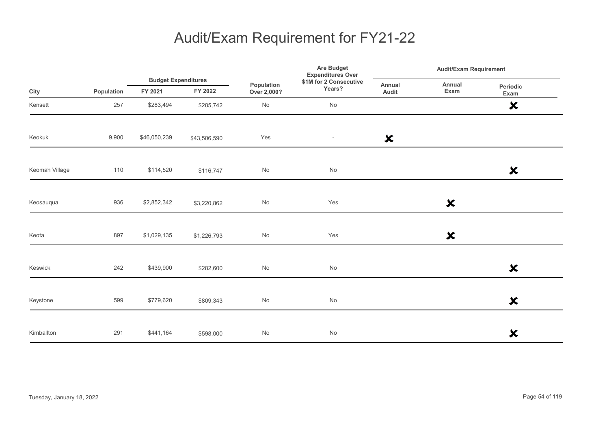|                |            |                                       |              | Are Budget<br><b>Expenditures Over</b><br>\$1M for 2 Consecutive<br>Population<br>Years?<br>Over 2,000? | <b>Audit/Exam Requirement</b> |                           |                           |                           |
|----------------|------------|---------------------------------------|--------------|---------------------------------------------------------------------------------------------------------|-------------------------------|---------------------------|---------------------------|---------------------------|
| City           | Population | <b>Budget Expenditures</b><br>FY 2021 | FY 2022      |                                                                                                         |                               | Annual<br>Audit           | Annual<br>Exam            | Periodic<br>Exam          |
| Kensett        | 257        | \$283,494                             | \$285,742    | No                                                                                                      | No                            |                           |                           | $\boldsymbol{\mathsf{x}}$ |
| Keokuk         | 9,900      | \$46,050,239                          | \$43,506,590 | Yes                                                                                                     | $\overline{\phantom{a}}$      | $\boldsymbol{\mathsf{x}}$ |                           |                           |
| Keomah Village | 110        | \$114,520                             | \$116,747    | No                                                                                                      | No                            |                           |                           | $\boldsymbol{\mathsf{x}}$ |
| Keosauqua      | 936        | \$2,852,342                           | \$3,220,862  | No                                                                                                      | Yes                           |                           | $\boldsymbol{\mathsf{x}}$ |                           |
| Keota          | 897        | \$1,029,135                           | \$1,226,793  | $\operatorname{\mathsf{No}}$                                                                            | Yes                           |                           | $\boldsymbol{\mathsf{x}}$ |                           |
| Keswick        | 242        | \$439,900                             | \$282,600    | No                                                                                                      | $\operatorname{\mathsf{No}}$  |                           |                           | $\boldsymbol{\mathsf{x}}$ |
| Keystone       | 599        | \$779,620                             | \$809,343    | No                                                                                                      | No                            |                           |                           | $\boldsymbol{\mathsf{x}}$ |
| Kimballton     | 291        | \$441,164                             | \$598,000    | No                                                                                                      | $\operatorname{\mathsf{No}}$  |                           |                           | $\boldsymbol{\mathsf{x}}$ |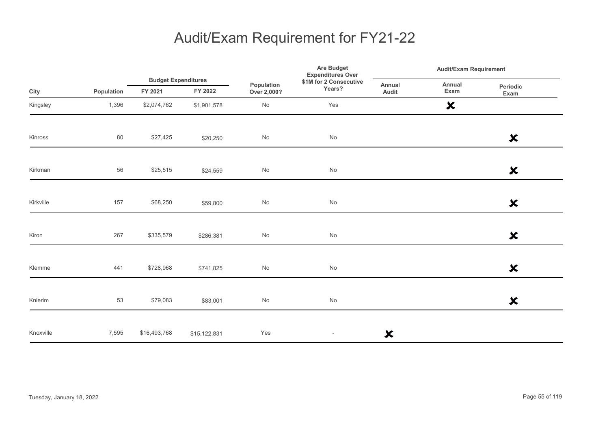|           |            |                                       |              | Population<br>Over 2,000? | Are Budget<br><b>Expenditures Over</b> | <b>Audit/Exam Requirement</b> |                           |                           |
|-----------|------------|---------------------------------------|--------------|---------------------------|----------------------------------------|-------------------------------|---------------------------|---------------------------|
| City      | Population | <b>Budget Expenditures</b><br>FY 2021 | FY 2022      |                           | \$1M for 2 Consecutive<br>Years?       | Annual<br>Audit               | Annual<br>Exam            | Periodic<br>Exam          |
| Kingsley  | 1,396      | \$2,074,762                           | \$1,901,578  | $\mathsf{No}$             | Yes                                    |                               | $\boldsymbol{\mathsf{x}}$ |                           |
| Kinross   | 80         | \$27,425                              | \$20,250     | $\mathsf{No}$             | $\operatorname{\mathsf{No}}$           |                               |                           | $\boldsymbol{\mathsf{x}}$ |
| Kirkman   | 56         | \$25,515                              | \$24,559     | $\mathsf{No}$             | $\mathsf{No}$                          |                               |                           | $\boldsymbol{\mathsf{x}}$ |
| Kirkville | 157        | \$68,250                              | \$59,800     | $\mathsf{No}$             | $\operatorname{\mathsf{No}}$           |                               |                           | $\boldsymbol{\mathsf{x}}$ |
| Kiron     | 267        | \$335,579                             | \$286,381    | $\mathsf{No}$             | $\operatorname{\mathsf{No}}$           |                               |                           | $\boldsymbol{\mathsf{x}}$ |
| Klemme    | 441        | \$728,968                             | \$741,825    | $\mathsf{No}$             | $\operatorname{\mathsf{No}}$           |                               |                           | $\boldsymbol{\mathsf{x}}$ |
| Knierim   | 53         | \$79,083                              | \$83,001     | $\mathsf{No}$             | $\operatorname{\mathsf{No}}$           |                               |                           | $\boldsymbol{\mathsf{x}}$ |
| Knoxville | 7,595      | \$16,493,768                          | \$15,122,831 | Yes                       | $\overline{\phantom{a}}$               | $\boldsymbol{\mathsf{x}}$     |                           |                           |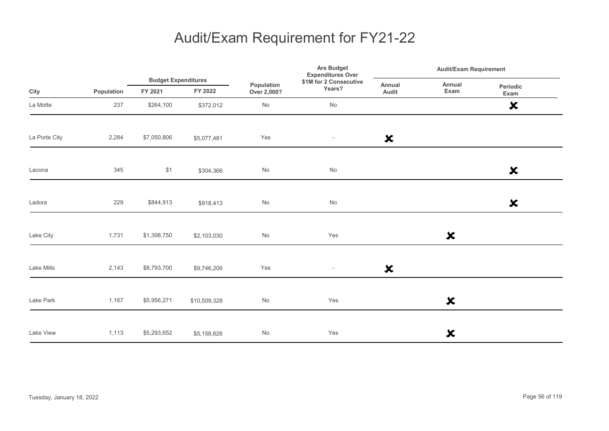|               |            | <b>Budget Expenditures</b> |              |                              | <b>Are Budget</b><br><b>Expenditures Over</b> | <b>Audit/Exam Requirement</b> |                           |                           |
|---------------|------------|----------------------------|--------------|------------------------------|-----------------------------------------------|-------------------------------|---------------------------|---------------------------|
| City          | Population | FY 2021                    | FY 2022      | Population<br>Over 2,000?    | \$1M for 2 Consecutive<br>Years?              | Annual<br>Audit               | Annual<br>Exam            | Periodic<br>Exam          |
| La Motte      | 237        | \$264,100                  | \$372,012    | No                           | No                                            |                               |                           | $\boldsymbol{\mathsf{x}}$ |
| La Porte City | 2,284      | \$7,050,806                | \$5,077,481  | Yes                          | $\overline{\phantom{a}}$                      | $\boldsymbol{\mathsf{x}}$     |                           |                           |
| Lacona        | 345        | \$1                        | \$304,366    | $\operatorname{\mathsf{No}}$ | No                                            |                               |                           | $\boldsymbol{\mathsf{x}}$ |
| Ladora        | 229        | \$844,913                  | \$918,413    | No                           | No                                            |                               |                           | $\boldsymbol{\mathsf{x}}$ |
| Lake City     | 1,731      | \$1,398,750                | \$2,103,030  | No                           | Yes                                           |                               | $\boldsymbol{\mathsf{x}}$ |                           |
| Lake Mills    | 2,143      | \$8,793,700                | \$9,746,206  | Yes                          | $\sim$                                        | $\boldsymbol{\mathsf{x}}$     |                           |                           |
| Lake Park     | 1,167      | \$5,956,271                | \$10,509,328 | No                           | Yes                                           |                               | $\boldsymbol{\mathsf{x}}$ |                           |
| Lake View     | 1,113      | \$5,293,652                | \$5,158,626  | No                           | Yes                                           |                               | ×                         |                           |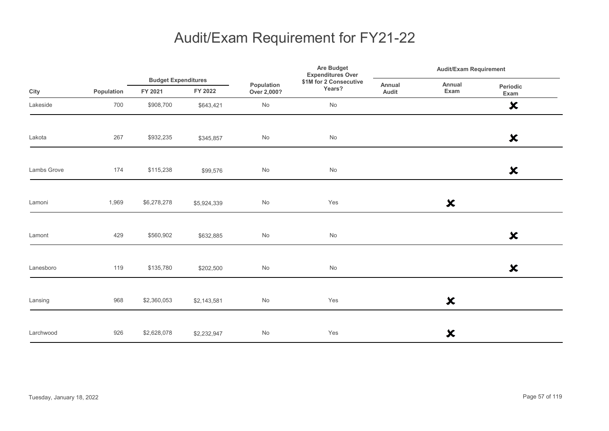|             |            |                                       |             |                           | <b>Are Budget</b><br><b>Expenditures Over</b> | <b>Audit/Exam Requirement</b> |                           |                           |  |
|-------------|------------|---------------------------------------|-------------|---------------------------|-----------------------------------------------|-------------------------------|---------------------------|---------------------------|--|
| City        | Population | <b>Budget Expenditures</b><br>FY 2021 | FY 2022     | Population<br>Over 2,000? | \$1M for 2 Consecutive<br>Years?              | Annual<br>Audit               | Annual<br>Exam            | Periodic<br>Exam          |  |
| Lakeside    | 700        | \$908,700                             | \$643,421   | No                        | No                                            |                               |                           | $\boldsymbol{\mathsf{x}}$ |  |
| Lakota      | 267        | \$932,235                             | \$345,857   | $\mathsf{No}$             | No                                            |                               |                           | $\boldsymbol{\mathsf{x}}$ |  |
| Lambs Grove | 174        | \$115,238                             | \$99,576    | $\mathsf{No}$             | No                                            |                               |                           | $\boldsymbol{\mathsf{x}}$ |  |
| Lamoni      | 1,969      | \$6,278,278                           | \$5,924,339 | $\mathsf{No}$             | Yes                                           |                               | $\boldsymbol{\mathsf{x}}$ |                           |  |
| Lamont      | 429        | \$560,902                             | \$632,885   | $\mathsf{No}$             | $\operatorname{\mathsf{No}}$                  |                               |                           | $\boldsymbol{\mathsf{x}}$ |  |
| Lanesboro   | 119        | \$135,780                             | \$202,500   | $\mathsf{No}$             | $\operatorname{\mathsf{No}}$                  |                               |                           | $\boldsymbol{\mathsf{x}}$ |  |
| Lansing     | 968        | \$2,360,053                           | \$2,143,581 | $\mathsf{No}$             | Yes                                           |                               | $\boldsymbol{\mathsf{x}}$ |                           |  |
| Larchwood   | 926        | \$2,628,078                           | \$2,232,947 | $\mathsf{No}$             | Yes                                           |                               | $\boldsymbol{\mathsf{x}}$ |                           |  |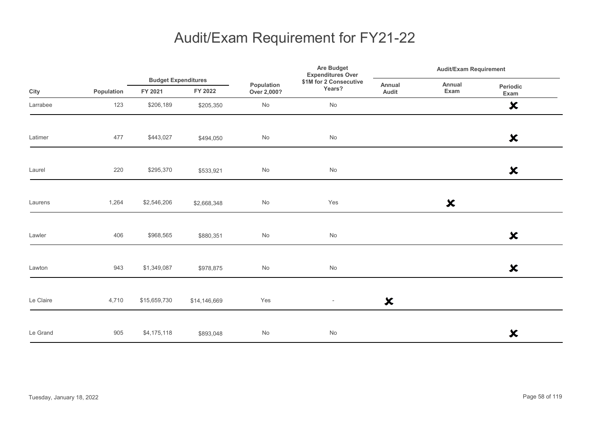|           |            | <b>Budget Expenditures</b> |              | Are Budget<br><b>Expenditures Over</b> |                                  | <b>Audit/Exam Requirement</b> |                           |                           |
|-----------|------------|----------------------------|--------------|----------------------------------------|----------------------------------|-------------------------------|---------------------------|---------------------------|
| City      | Population | FY 2021                    | FY 2022      | Population<br>Over 2,000?              | \$1M for 2 Consecutive<br>Years? | Annual<br>Audit               | Annual<br>Exam            | Periodic<br>Exam          |
| Larrabee  | 123        | \$206,189                  | \$205,350    | $\operatorname{\mathsf{No}}$           | No                               |                               |                           | $\boldsymbol{\mathsf{x}}$ |
| Latimer   | 477        | \$443,027                  | \$494,050    | No                                     | No                               |                               |                           | $\boldsymbol{\mathsf{x}}$ |
| Laurel    | 220        | \$295,370                  | \$533,921    | $\mathsf{No}$                          | No                               |                               |                           | $\boldsymbol{\mathsf{x}}$ |
| Laurens   | 1,264      | \$2,546,206                | \$2,668,348  | $\operatorname{\mathsf{No}}$           | Yes                              |                               | $\boldsymbol{\mathsf{x}}$ |                           |
| Lawler    | 406        | \$968,565                  | \$880,351    | $\operatorname{\mathsf{No}}$           | No                               |                               |                           | $\boldsymbol{\mathsf{x}}$ |
| Lawton    | 943        | \$1,349,087                | \$978,875    | No                                     | No                               |                               |                           | $\boldsymbol{\mathsf{x}}$ |
| Le Claire | 4,710      | \$15,659,730               | \$14,146,669 | Yes                                    | $\overline{\phantom{a}}$         | $\boldsymbol{\mathsf{x}}$     |                           |                           |
| Le Grand  | 905        | \$4,175,118                | \$893,048    | No                                     | No                               |                               |                           | $\boldsymbol{\mathsf{x}}$ |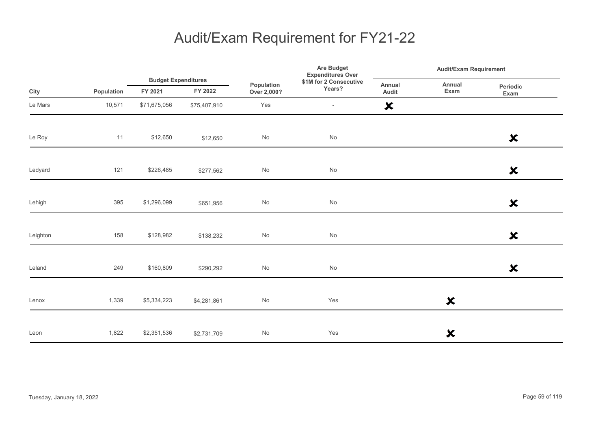|          |            | <b>Budget Expenditures</b> |              |                           | Are Budget<br><b>Expenditures Over</b> |                           | <b>Audit/Exam Requirement</b> |                           |  |
|----------|------------|----------------------------|--------------|---------------------------|----------------------------------------|---------------------------|-------------------------------|---------------------------|--|
| City     | Population | FY 2021                    | FY 2022      | Population<br>Over 2,000? | \$1M for 2 Consecutive<br>Years?       | Annual<br>Audit           | Annual<br>Exam                | Periodic<br>Exam          |  |
| Le Mars  | 10,571     | \$71,675,056               | \$75,407,910 | Yes                       | $\overline{\phantom{a}}$               | $\boldsymbol{\mathsf{x}}$ |                               |                           |  |
| Le Roy   | 11         | \$12,650                   | \$12,650     | $\mathsf{No}$             | $\operatorname{\mathsf{No}}$           |                           |                               | $\boldsymbol{\mathsf{x}}$ |  |
| Ledyard  | 121        | \$226,485                  | \$277,562    | $\mathsf{No}$             | No                                     |                           |                               | $\boldsymbol{\mathsf{x}}$ |  |
| Lehigh   | 395        | \$1,296,099                | \$651,956    | $\mathsf{No}$             | $\operatorname{\mathsf{No}}$           |                           |                               | $\boldsymbol{\mathsf{x}}$ |  |
| Leighton | 158        | \$128,982                  | \$138,232    | $\mathsf{No}$             | $\operatorname{\mathsf{No}}$           |                           |                               | $\boldsymbol{\mathsf{x}}$ |  |
| Leland   | 249        | \$160,809                  | \$290,292    | $\mathsf{No}$             | No                                     |                           |                               | $\boldsymbol{\mathsf{x}}$ |  |
| Lenox    | 1,339      | \$5,334,223                | \$4,281,861  | $\mathsf{No}$             | Yes                                    |                           | $\boldsymbol{\mathsf{x}}$     |                           |  |
| Leon     | 1,822      | \$2,351,536                | \$2,731,709  | $\mathsf{No}$             | Yes                                    |                           | ×                             |                           |  |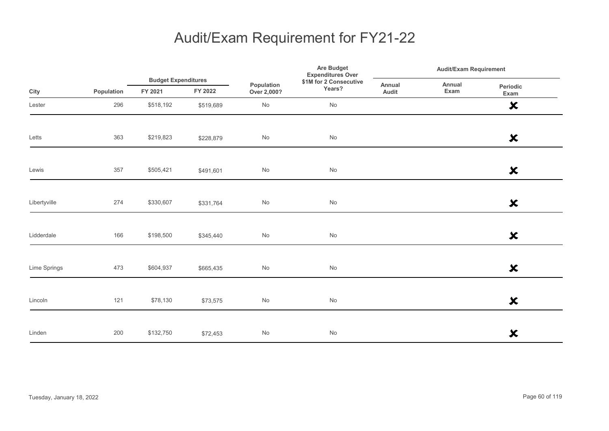|              |            |           | <b>Budget Expenditures</b> |                           | Are Budget<br><b>Expenditures Over</b> |                 | <b>Audit/Exam Requirement</b> |                           |  |
|--------------|------------|-----------|----------------------------|---------------------------|----------------------------------------|-----------------|-------------------------------|---------------------------|--|
| City         | Population | FY 2021   | FY 2022                    | Population<br>Over 2,000? | \$1M for 2 Consecutive<br>Years?       | Annual<br>Audit | Annual<br>Exam                | Periodic<br>Exam          |  |
| Lester       | 296        | \$518,192 | \$519,689                  | $\mathsf{No}$             | No                                     |                 |                               | $\boldsymbol{\mathsf{x}}$ |  |
| Letts        | 363        | \$219,823 | \$228,879                  | $\mathsf{No}$             | $\operatorname{\mathsf{No}}$           |                 |                               | $\boldsymbol{\mathsf{x}}$ |  |
| Lewis        | 357        | \$505,421 | \$491,601                  | $\mathsf{No}$             | $\mathsf{No}$                          |                 |                               | $\boldsymbol{\mathsf{x}}$ |  |
| Libertyville | 274        | \$330,607 | \$331,764                  | $\mathsf{No}$             | $\mathsf{No}$                          |                 |                               | $\boldsymbol{\mathsf{x}}$ |  |
| Lidderdale   | 166        | \$198,500 | \$345,440                  | $\mathsf{No}$             | $\mathsf{No}$                          |                 |                               | $\boldsymbol{\mathsf{x}}$ |  |
| Lime Springs | 473        | \$604,937 | \$665,435                  | $\mathsf{No}$             | No                                     |                 |                               | $\boldsymbol{\mathsf{x}}$ |  |
| Lincoln      | 121        | \$78,130  | \$73,575                   | $\mathsf{No}$             | No                                     |                 |                               | $\boldsymbol{\mathsf{x}}$ |  |
| Linden       | 200        | \$132,750 | \$72,453                   | $\mathsf{No}$             | $\mathsf{No}$                          |                 |                               | $\boldsymbol{\mathsf{x}}$ |  |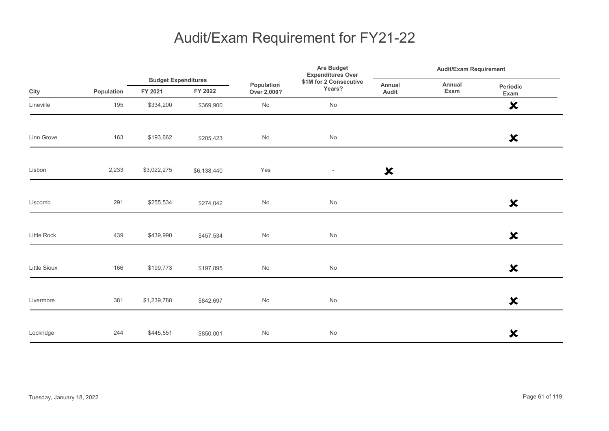|                    |            |                                       |             | Are Budget<br><b>Expenditures Over</b><br>\$1M for 2 Consecutive<br>Population<br>Years?<br>Over 2,000? | <b>Audit/Exam Requirement</b> |                           |                |                           |
|--------------------|------------|---------------------------------------|-------------|---------------------------------------------------------------------------------------------------------|-------------------------------|---------------------------|----------------|---------------------------|
| City               | Population | <b>Budget Expenditures</b><br>FY 2021 | FY 2022     |                                                                                                         |                               | Annual<br>Audit           | Annual<br>Exam | Periodic<br>Exam          |
| Lineville          | 195        | \$334,200                             | \$369,900   | $\operatorname{\mathsf{No}}$                                                                            | No                            |                           |                | $\boldsymbol{\mathsf{x}}$ |
| Linn Grove         | 163        | \$193,662                             | \$205,423   | $\mathsf{No}$                                                                                           | $\operatorname{\mathsf{No}}$  |                           |                | $\boldsymbol{\mathsf{x}}$ |
| Lisbon             | 2,233      | \$3,022,275                           | \$6,138,440 | Yes                                                                                                     | $\sim$                        | $\boldsymbol{\mathsf{x}}$ |                |                           |
| Liscomb            | 291        | \$255,534                             | \$274,042   | $\mathsf{No}$                                                                                           | $\operatorname{\mathsf{No}}$  |                           |                | $\boldsymbol{\mathsf{x}}$ |
| <b>Little Rock</b> | 439        | \$439,990                             | \$457,534   | $\mathsf{No}$                                                                                           | $\operatorname{\mathsf{No}}$  |                           |                | $\boldsymbol{\mathsf{x}}$ |
| Little Sioux       | 166        | \$199,773                             | \$197,895   | No                                                                                                      | No                            |                           |                | $\boldsymbol{\mathsf{x}}$ |
| Livermore          | 381        | \$1,239,788                           | \$842,697   | $\mathsf{No}$                                                                                           | No                            |                           |                | $\boldsymbol{\mathsf{x}}$ |
| Lockridge          | 244        | \$445,551                             | \$850,001   | $\mathsf{No}$                                                                                           | No                            |                           |                | $\boldsymbol{\mathsf{x}}$ |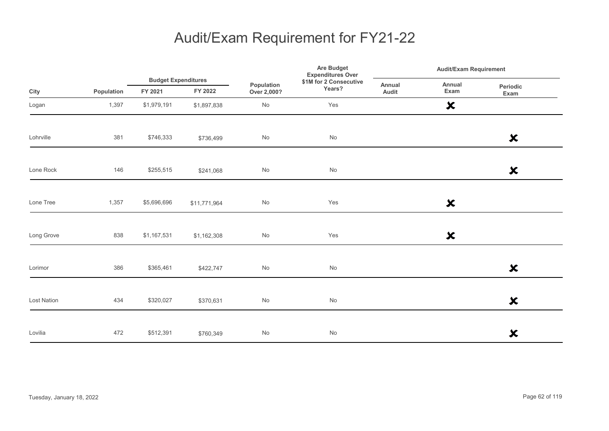|             |            |                                       |              | Are Budget<br><b>Expenditures Over</b> |                                  | <b>Audit/Exam Requirement</b> |                           |                           |
|-------------|------------|---------------------------------------|--------------|----------------------------------------|----------------------------------|-------------------------------|---------------------------|---------------------------|
| City        | Population | <b>Budget Expenditures</b><br>FY 2021 | FY 2022      | Population<br>Over 2,000?              | \$1M for 2 Consecutive<br>Years? | Annual<br>Audit               | Annual<br>Exam            | Periodic<br>Exam          |
| Logan       | 1,397      | \$1,979,191                           | \$1,897,838  | No                                     | Yes                              |                               | $\boldsymbol{\mathsf{x}}$ |                           |
| Lohrville   | 381        | \$746,333                             | \$736,499    | No                                     | No                               |                               |                           | $\boldsymbol{\mathsf{x}}$ |
| Lone Rock   | 146        | \$255,515                             | \$241,068    | No                                     | No                               |                               |                           | $\boldsymbol{\mathsf{x}}$ |
| Lone Tree   | 1,357      | \$5,696,696                           | \$11,771,964 | No                                     | Yes                              |                               | $\boldsymbol{\mathsf{x}}$ |                           |
| Long Grove  | 838        | \$1,167,531                           | \$1,162,308  | No                                     | Yes                              |                               | $\boldsymbol{\mathsf{x}}$ |                           |
| Lorimor     | 386        | \$365,461                             | \$422,747    | $\operatorname{\mathsf{No}}$           | No                               |                               |                           | $\boldsymbol{\mathsf{x}}$ |
| Lost Nation | 434        | \$320,027                             | \$370,631    | No                                     | No                               |                               |                           | $\boldsymbol{\mathsf{x}}$ |
| Lovilia     | 472        | \$512,391                             | \$760,349    | No                                     | No                               |                               |                           | $\boldsymbol{\mathsf{x}}$ |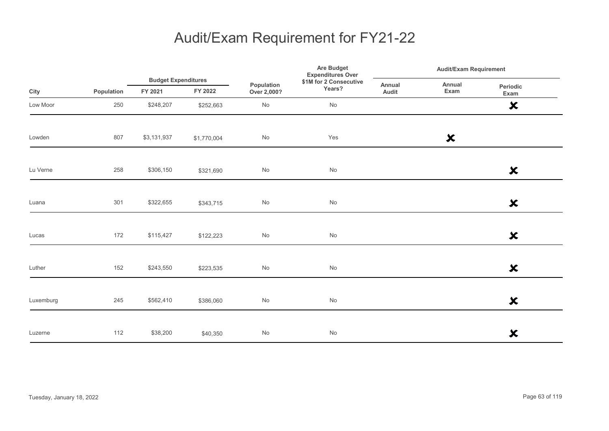|           |            | <b>Budget Expenditures</b> | Are Budget<br><b>Expenditures Over</b> |                           | <b>Audit/Exam Requirement</b>    |                 |                           |                           |
|-----------|------------|----------------------------|----------------------------------------|---------------------------|----------------------------------|-----------------|---------------------------|---------------------------|
| City      | Population | FY 2021                    | FY 2022                                | Population<br>Over 2,000? | \$1M for 2 Consecutive<br>Years? | Annual<br>Audit | Annual<br>Exam            | Periodic<br>Exam          |
| Low Moor  | 250        | \$248,207                  | \$252,663                              | No                        | No                               |                 |                           | $\boldsymbol{\mathsf{x}}$ |
| Lowden    | 807        | \$3,131,937                | \$1,770,004                            | $\mathsf{No}$             | Yes                              |                 | $\boldsymbol{\mathsf{x}}$ |                           |
| Lu Verne  | 258        | \$306,150                  | \$321,690                              | $\mathsf{No}$             | No                               |                 |                           | $\boldsymbol{\mathsf{x}}$ |
| Luana     | 301        | \$322,655                  | \$343,715                              | No                        | $\operatorname{\mathsf{No}}$     |                 |                           | $\boldsymbol{\mathsf{x}}$ |
| Lucas     | 172        | \$115,427                  | \$122,223                              | $\mathsf{No}$             | $\operatorname{\mathsf{No}}$     |                 |                           | $\boldsymbol{\mathsf{x}}$ |
| Luther    | 152        | \$243,550                  | \$223,535                              | $\mathsf{No}$             | No                               |                 |                           | $\boldsymbol{\mathsf{x}}$ |
| Luxemburg | 245        | \$562,410                  | \$386,060                              | $\mathsf{No}$             | $\operatorname{\mathsf{No}}$     |                 |                           | $\boldsymbol{\mathsf{x}}$ |
| Luzerne   | 112        | \$38,200                   | \$40,350                               | $\mathsf{No}$             | $\mathsf{No}$                    |                 |                           | $\boldsymbol{\mathsf{x}}$ |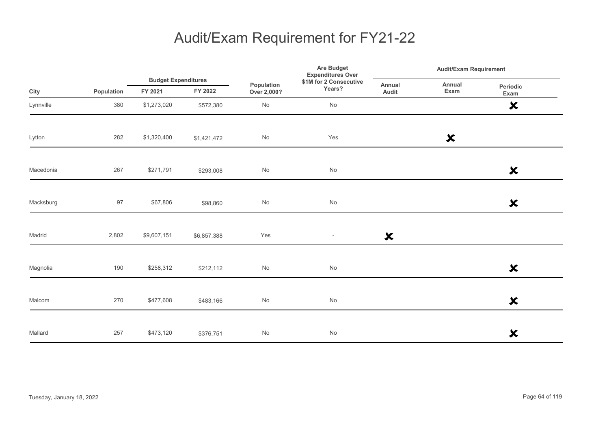|           |            | <b>Budget Expenditures</b> |             |                           | <b>Are Budget</b><br><b>Expenditures Over</b> |                           | <b>Audit/Exam Requirement</b> |                           |  |
|-----------|------------|----------------------------|-------------|---------------------------|-----------------------------------------------|---------------------------|-------------------------------|---------------------------|--|
| City      | Population | FY 2021                    | FY 2022     | Population<br>Over 2,000? | \$1M for 2 Consecutive<br>Years?              | Annual<br>Audit           | Annual<br>Exam                | Periodic<br>Exam          |  |
| Lynnville | 380        | \$1,273,020                | \$572,380   | No                        | No                                            |                           |                               | $\boldsymbol{\mathsf{x}}$ |  |
| Lytton    | 282        | \$1,320,400                | \$1,421,472 | No                        | Yes                                           |                           | $\boldsymbol{\mathsf{x}}$     |                           |  |
| Macedonia | 267        | \$271,791                  | \$293,008   | No                        | No                                            |                           |                               | $\boldsymbol{\mathsf{x}}$ |  |
| Macksburg | 97         | \$67,806                   | \$98,860    | No                        | $\operatorname{\mathsf{No}}$                  |                           |                               | $\boldsymbol{\mathsf{x}}$ |  |
| Madrid    | 2,802      | \$9,607,151                | \$6,857,388 | Yes                       | $\overline{\phantom{a}}$                      | $\boldsymbol{\mathsf{x}}$ |                               |                           |  |
| Magnolia  | 190        | \$258,312                  | \$212,112   | No                        | No                                            |                           |                               | $\boldsymbol{\mathsf{x}}$ |  |
| Malcom    | 270        | \$477,608                  | \$483,166   | No                        | $\operatorname{\mathsf{No}}$                  |                           |                               | $\boldsymbol{\mathsf{x}}$ |  |
| Mallard   | 257        | \$473,120                  | \$376,751   | No                        | No                                            |                           |                               | $\boldsymbol{\mathsf{x}}$ |  |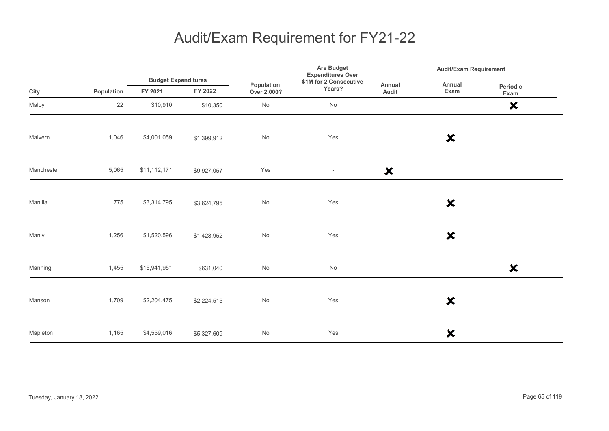|            |            | <b>Budget Expenditures</b> |             |                           | <b>Are Budget</b><br><b>Expenditures Over</b> | <b>Audit/Exam Requirement</b> |                           |                           |
|------------|------------|----------------------------|-------------|---------------------------|-----------------------------------------------|-------------------------------|---------------------------|---------------------------|
| City       | Population | FY 2021                    | FY 2022     | Population<br>Over 2,000? | \$1M for 2 Consecutive<br>Years?              | Annual<br>Audit               | Annual<br>Exam            | Periodic<br>Exam          |
| Maloy      | 22         | \$10,910                   | \$10,350    | No                        | No                                            |                               |                           | $\boldsymbol{\mathsf{x}}$ |
| Malvern    | 1,046      | \$4,001,059                | \$1,399,912 | No                        | Yes                                           |                               | $\boldsymbol{\mathsf{x}}$ |                           |
| Manchester | 5,065      | \$11,112,171               | \$9,927,057 | Yes                       | $\overline{\phantom{a}}$                      | $\boldsymbol{\mathsf{x}}$     |                           |                           |
| Manilla    | 775        | \$3,314,795                | \$3,624,795 | No                        | Yes                                           |                               | $\boldsymbol{\mathsf{x}}$ |                           |
| Manly      | 1,256      | \$1,520,596                | \$1,428,952 | No                        | Yes                                           |                               | $\boldsymbol{\mathsf{x}}$ |                           |
| Manning    | 1,455      | \$15,941,951               | \$631,040   | No                        | $\operatorname{\mathsf{No}}$                  |                               |                           | $\boldsymbol{\mathsf{x}}$ |
| Manson     | 1,709      | \$2,204,475                | \$2,224,515 | No                        | Yes                                           |                               | $\boldsymbol{\mathsf{x}}$ |                           |
| Mapleton   | 1,165      | \$4,559,016                | \$5,327,609 | No                        | Yes                                           |                               | ×                         |                           |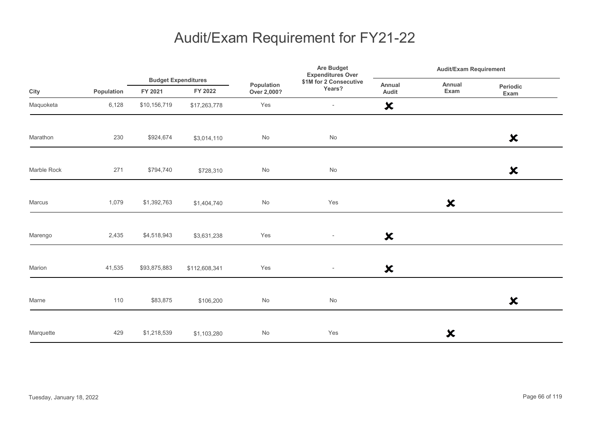|             |            | <b>Budget Expenditures</b> |               |                           | <b>Are Budget</b><br><b>Expenditures Over</b> | <b>Audit/Exam Requirement</b> |                           |                           |
|-------------|------------|----------------------------|---------------|---------------------------|-----------------------------------------------|-------------------------------|---------------------------|---------------------------|
| City        | Population | FY 2021                    | FY 2022       | Population<br>Over 2,000? | \$1M for 2 Consecutive<br>Years?              | Annual<br>Audit               | Annual<br>Exam            | Periodic<br>Exam          |
| Maquoketa   | 6,128      | \$10,156,719               | \$17,263,778  | Yes                       | $\overline{\phantom{a}}$                      | $\boldsymbol{\mathsf{x}}$     |                           |                           |
| Marathon    | 230        | \$924,674                  | \$3,014,110   | No                        | $\operatorname{\mathsf{No}}$                  |                               |                           | $\boldsymbol{\mathsf{x}}$ |
| Marble Rock | 271        | \$794,740                  | \$728,310     | No                        | No                                            |                               |                           | $\boldsymbol{\mathsf{x}}$ |
| Marcus      | 1,079      | \$1,392,763                | \$1,404,740   | No                        | Yes                                           |                               | $\boldsymbol{\mathsf{x}}$ |                           |
| Marengo     | 2,435      | \$4,518,943                | \$3,631,238   | Yes                       | $\overline{\phantom{a}}$                      | $\boldsymbol{\mathsf{x}}$     |                           |                           |
| Marion      | 41,535     | \$93,875,883               | \$112,608,341 | Yes                       | $\overline{\phantom{a}}$                      | $\boldsymbol{\mathsf{x}}$     |                           |                           |
| Marne       | 110        | \$83,875                   | \$106,200     | No                        | No                                            |                               |                           | $\boldsymbol{\mathsf{x}}$ |
| Marquette   | 429        | \$1,218,539                | \$1,103,280   | No                        | Yes                                           |                               | ×                         |                           |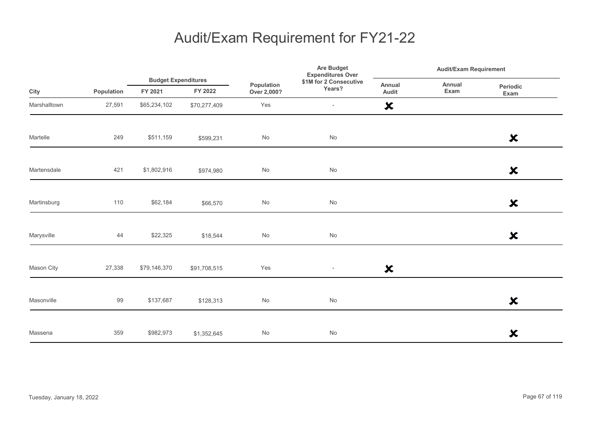|              |            |                                       |              |                              | <b>Are Budget</b><br><b>Expenditures Over</b> |                           | <b>Audit/Exam Requirement</b> |                           |  |
|--------------|------------|---------------------------------------|--------------|------------------------------|-----------------------------------------------|---------------------------|-------------------------------|---------------------------|--|
| City         | Population | <b>Budget Expenditures</b><br>FY 2021 | FY 2022      | Population<br>Over 2,000?    | \$1M for 2 Consecutive<br>Years?              | <b>Annual</b><br>Audit    | Annual<br>Exam                | Periodic<br>Exam          |  |
| Marshalltown | 27,591     | \$65,234,102                          | \$70,277,409 | Yes                          | $\overline{\phantom{a}}$                      | $\boldsymbol{\mathsf{x}}$ |                               |                           |  |
| Martelle     | 249        | \$511,159                             | \$599,231    | No                           | No                                            |                           |                               | $\boldsymbol{\mathsf{x}}$ |  |
| Martensdale  | 421        | \$1,802,916                           | \$974,980    | No                           | No                                            |                           |                               | $\boldsymbol{\mathsf{x}}$ |  |
| Martinsburg  | 110        | \$62,184                              | \$66,570     | $\operatorname{\mathsf{No}}$ | No                                            |                           |                               | $\boldsymbol{\mathsf{x}}$ |  |
| Marysville   | 44         | \$22,325                              | \$18,544     | $\operatorname{\mathsf{No}}$ | No                                            |                           |                               | $\boldsymbol{\mathsf{x}}$ |  |
| Mason City   | 27,338     | \$79,146,370                          | \$91,708,515 | Yes                          | $\sim$                                        | $\boldsymbol{\mathsf{x}}$ |                               |                           |  |
| Masonville   | 99         | \$137,687                             | \$128,313    | $\mathsf{No}$                | No                                            |                           |                               | $\boldsymbol{\mathsf{x}}$ |  |
| Massena      | 359        | \$982,973                             | \$1,352,645  | No                           | No                                            |                           |                               | $\boldsymbol{\mathsf{x}}$ |  |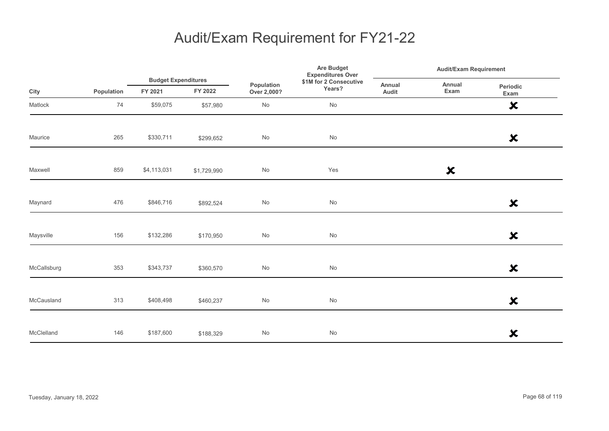|             |            |                                       |             |                              | Are Budget<br><b>Expenditures Over</b> | <b>Audit/Exam Requirement</b> |                           |                           |
|-------------|------------|---------------------------------------|-------------|------------------------------|----------------------------------------|-------------------------------|---------------------------|---------------------------|
| City        | Population | <b>Budget Expenditures</b><br>FY 2021 | FY 2022     | Population<br>Over 2,000?    | \$1M for 2 Consecutive<br>Years?       | Annual<br>Audit               | Annual<br>Exam            | Periodic<br>Exam          |
| Matlock     | 74         | \$59,075                              | \$57,980    | No                           | No                                     |                               |                           | $\boldsymbol{\mathsf{x}}$ |
| Maurice     | 265        | \$330,711                             | \$299,652   | $\operatorname{\mathsf{No}}$ | $\operatorname{\mathsf{No}}$           |                               |                           | $\boldsymbol{\mathsf{x}}$ |
| Maxwell     | 859        | \$4,113,031                           | \$1,729,990 | No                           | Yes                                    |                               | $\boldsymbol{\mathsf{x}}$ |                           |
| Maynard     | 476        | \$846,716                             | \$892,524   | No                           | No                                     |                               |                           | $\boldsymbol{\mathsf{x}}$ |
| Maysville   | 156        | \$132,286                             | \$170,950   | $\operatorname{\mathsf{No}}$ | $\operatorname{\mathsf{No}}$           |                               |                           | $\boldsymbol{\mathsf{x}}$ |
| McCallsburg | 353        | \$343,737                             | \$360,570   | $\operatorname{\mathsf{No}}$ | No                                     |                               |                           | $\boldsymbol{\mathsf{x}}$ |
| McCausland  | 313        | \$408,498                             | \$460,237   | No                           | $\operatorname{\mathsf{No}}$           |                               |                           | $\boldsymbol{\mathsf{x}}$ |
| McClelland  | 146        | \$187,600                             | \$188,329   | $\operatorname{\mathsf{No}}$ | $\mathsf{No}$                          |                               |                           | $\boldsymbol{\mathsf{x}}$ |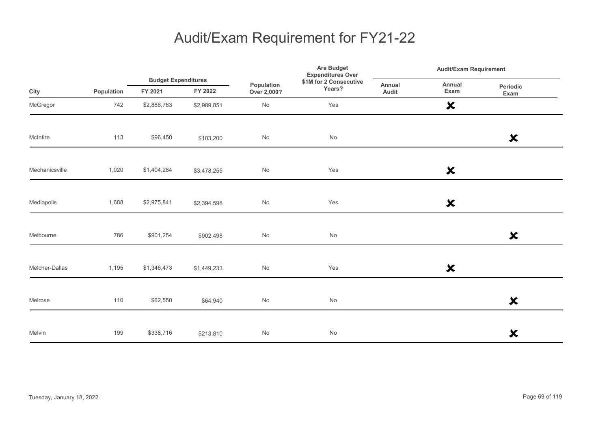|                |            |                                       |             |                           | Are Budget<br><b>Expenditures Over</b> |                 | <b>Audit/Exam Requirement</b> |                           |  |
|----------------|------------|---------------------------------------|-------------|---------------------------|----------------------------------------|-----------------|-------------------------------|---------------------------|--|
| City           | Population | <b>Budget Expenditures</b><br>FY 2021 | FY 2022     | Population<br>Over 2,000? | \$1M for 2 Consecutive<br>Years?       | Annual<br>Audit | Annual<br>Exam                | <b>Periodic</b><br>Exam   |  |
| McGregor       | 742        | \$2,886,763                           | \$2,989,851 | $\mathsf{No}$             | Yes                                    |                 | $\boldsymbol{\mathsf{x}}$     |                           |  |
| McIntire       | 113        | \$96,450                              | \$103,200   | No                        | No                                     |                 |                               | $\boldsymbol{\mathsf{x}}$ |  |
| Mechanicsville | 1,020      | \$1,404,284                           | \$3,478,255 | $\mathsf{No}$             | Yes                                    |                 | $\boldsymbol{\mathsf{x}}$     |                           |  |
| Mediapolis     | 1,688      | \$2,975,841                           | \$2,394,598 | $\mathsf{No}$             | Yes                                    |                 | $\boldsymbol{\mathsf{x}}$     |                           |  |
| Melbourne      | 786        | \$901,254                             | \$902,498   | No                        | $\mathsf{No}$                          |                 |                               | $\boldsymbol{\mathsf{x}}$ |  |
| Melcher-Dallas | 1,195      | \$1,346,473                           | \$1,449,233 | No                        | Yes                                    |                 | $\boldsymbol{\mathsf{x}}$     |                           |  |
| Melrose        | 110        | \$62,550                              | \$64,940    | $\mathsf{No}$             | $\mathsf{No}$                          |                 |                               | $\boldsymbol{\mathsf{x}}$ |  |
| Melvin         | 199        | \$338,716                             | \$213,810   | $\mathsf{No}$             | No                                     |                 |                               | $\boldsymbol{\mathsf{x}}$ |  |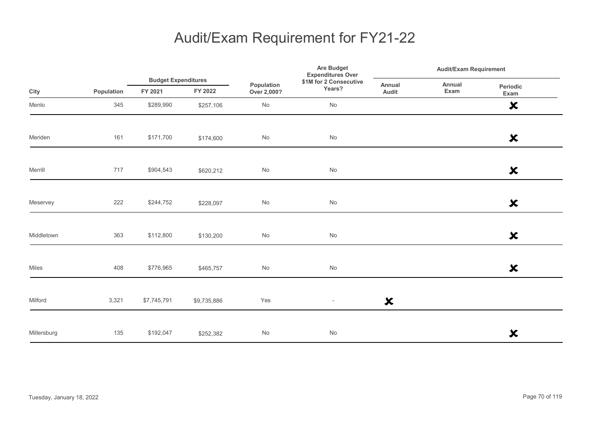|             |            |                                       |             |                              | Are Budget<br><b>Expenditures Over</b> |                           | <b>Audit/Exam Requirement</b> |                           |  |
|-------------|------------|---------------------------------------|-------------|------------------------------|----------------------------------------|---------------------------|-------------------------------|---------------------------|--|
| City        | Population | <b>Budget Expenditures</b><br>FY 2021 | FY 2022     | Population<br>Over 2,000?    | \$1M for 2 Consecutive<br>Years?       | Annual<br>Audit           | Annual<br>Exam                | Periodic<br>Exam          |  |
| Menlo       | 345        | \$289,990                             | \$257,106   | No                           | No                                     |                           |                               | $\boldsymbol{\mathsf{x}}$ |  |
| Meriden     | 161        | \$171,700                             | \$174,600   | No                           | No                                     |                           |                               | $\boldsymbol{\mathsf{x}}$ |  |
| Merrill     | 717        | \$904,543                             | \$620,212   | $\operatorname{\mathsf{No}}$ | No                                     |                           |                               | $\boldsymbol{\mathsf{x}}$ |  |
| Meservey    | 222        | \$244,752                             | \$228,097   | $\operatorname{\mathsf{No}}$ | No                                     |                           |                               | $\boldsymbol{\mathsf{x}}$ |  |
| Middletown  | 363        | \$112,800                             | \$130,200   | No                           | No                                     |                           |                               | $\boldsymbol{\mathsf{x}}$ |  |
| Miles       | 408        | \$776,965                             | \$465,757   | $\operatorname{\mathsf{No}}$ | No                                     |                           |                               | $\boldsymbol{\mathsf{x}}$ |  |
| Milford     | 3,321      | \$7,745,791                           | \$9,735,886 | Yes                          | $\overline{\phantom{a}}$               | $\boldsymbol{\mathsf{x}}$ |                               |                           |  |
| Millersburg | 135        | \$192,047                             | \$252,382   | $\operatorname{\mathsf{No}}$ | No                                     |                           |                               | $\boldsymbol{\mathsf{x}}$ |  |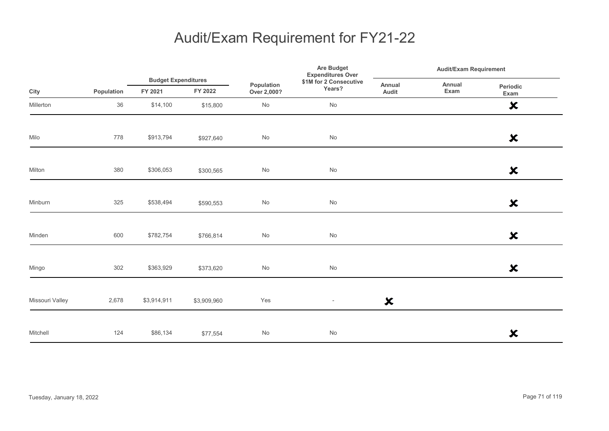|                 |            |                                       |             | Are Budget<br><b>Expenditures Over</b><br>\$1M for 2 Consecutive<br>Population<br>Years?<br>Over 2,000? | <b>Audit/Exam Requirement</b> |                           |                |                           |
|-----------------|------------|---------------------------------------|-------------|---------------------------------------------------------------------------------------------------------|-------------------------------|---------------------------|----------------|---------------------------|
| City            | Population | <b>Budget Expenditures</b><br>FY 2021 | FY 2022     |                                                                                                         |                               | Annual<br>Audit           | Annual<br>Exam | Periodic<br>Exam          |
| Millerton       | 36         | \$14,100                              | \$15,800    | $\mathsf{No}$                                                                                           | $\operatorname{\mathsf{No}}$  |                           |                | $\boldsymbol{\mathsf{x}}$ |
| Milo            | 778        | \$913,794                             | \$927,640   | No                                                                                                      | $\operatorname{\mathsf{No}}$  |                           |                | $\boldsymbol{\mathsf{x}}$ |
| Milton          | 380        | \$306,053                             | \$300,565   | No                                                                                                      | $\mathsf{No}$                 |                           |                | $\boldsymbol{\mathsf{x}}$ |
| Minburn         | 325        | \$538,494                             | \$590,553   | $\mathsf{No}$                                                                                           | $\operatorname{\mathsf{No}}$  |                           |                | $\boldsymbol{\mathsf{x}}$ |
| Minden          | 600        | \$782,754                             | \$766,814   | $\mathsf{No}$                                                                                           | $\mathsf{No}$                 |                           |                | $\boldsymbol{\mathsf{x}}$ |
| Mingo           | 302        | \$363,929                             | \$373,620   | $\mathsf{No}$                                                                                           | $\operatorname{\mathsf{No}}$  |                           |                | $\boldsymbol{\mathsf{x}}$ |
| Missouri Valley | 2,678      | \$3,914,911                           | \$3,909,960 | Yes                                                                                                     | $\overline{\phantom{a}}$      | $\boldsymbol{\mathsf{x}}$ |                |                           |
| Mitchell        | 124        | \$86,134                              | \$77,554    | $\mathsf{No}$                                                                                           | $\mathsf{No}$                 |                           |                | $\boldsymbol{\mathsf{x}}$ |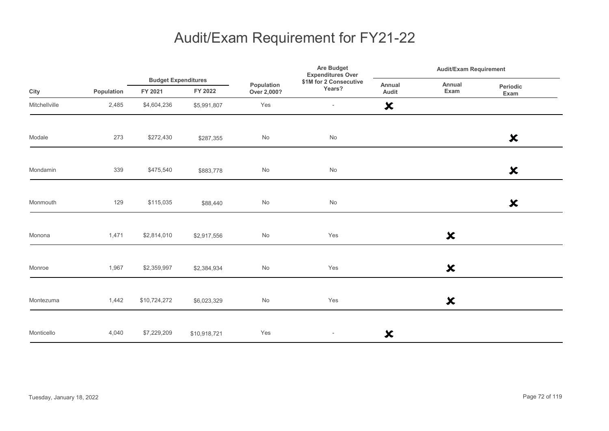|               |            |                                       |              | Are Budget<br><b>Expenditures Over</b> |                                  | <b>Audit/Exam Requirement</b> |                           |                           |  |
|---------------|------------|---------------------------------------|--------------|----------------------------------------|----------------------------------|-------------------------------|---------------------------|---------------------------|--|
| City          | Population | <b>Budget Expenditures</b><br>FY 2021 | FY 2022      | Population<br>Over 2,000?              | \$1M for 2 Consecutive<br>Years? | Annual<br>Audit               | Annual<br>Exam            | Periodic<br>Exam          |  |
| Mitchellville | 2,485      | \$4,604,236                           | \$5,991,807  | Yes                                    | $\overline{\phantom{a}}$         | $\boldsymbol{\mathsf{x}}$     |                           |                           |  |
| Modale        | 273        | \$272,430                             | \$287,355    | No                                     | No                               |                               |                           | $\boldsymbol{\mathsf{x}}$ |  |
| Mondamin      | 339        | \$475,540                             | \$883,778    | $\mathsf{No}$                          | No                               |                               |                           | $\boldsymbol{\mathsf{x}}$ |  |
| Monmouth      | 129        | \$115,035                             | \$88,440     | $\operatorname{\mathsf{No}}$           | $\operatorname{\mathsf{No}}$     |                               |                           | $\boldsymbol{\mathsf{x}}$ |  |
| Monona        | 1,471      | \$2,814,010                           | \$2,917,556  | $\mathsf{No}$                          | Yes                              |                               | $\boldsymbol{\mathsf{x}}$ |                           |  |
| Monroe        | 1,967      | \$2,359,997                           | \$2,384,934  | No                                     | Yes                              |                               | $\boldsymbol{\mathsf{x}}$ |                           |  |
| Montezuma     | 1,442      | \$10,724,272                          | \$6,023,329  | No                                     | Yes                              |                               | $\boldsymbol{\mathsf{x}}$ |                           |  |
| Monticello    | 4,040      | \$7,229,209                           | \$10,918,721 | Yes                                    | $\overline{\phantom{a}}$         | $\boldsymbol{\mathsf{x}}$     |                           |                           |  |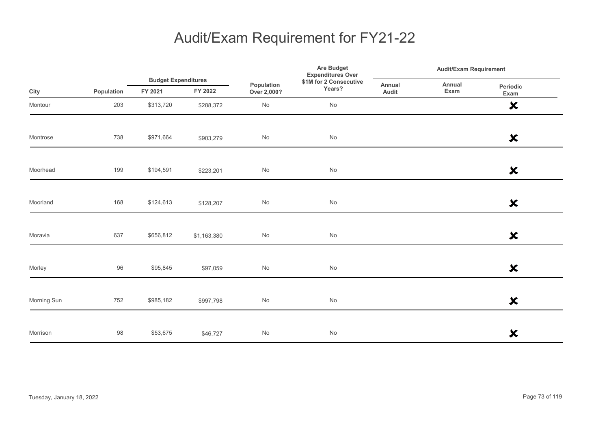|             |            | <b>Budget Expenditures</b> |             |                           | Are Budget<br><b>Expenditures Over</b> | <b>Audit/Exam Requirement</b> |                |                           |
|-------------|------------|----------------------------|-------------|---------------------------|----------------------------------------|-------------------------------|----------------|---------------------------|
| City        | Population | FY 2021                    | FY 2022     | Population<br>Over 2,000? | \$1M for 2 Consecutive<br>Years?       | Annual<br>Audit               | Annual<br>Exam | Periodic<br>Exam          |
| Montour     | 203        | \$313,720                  | \$288,372   | No                        | No                                     |                               |                | $\boldsymbol{\mathsf{x}}$ |
| Montrose    | 738        | \$971,664                  | \$903,279   | $\mathsf{No}$             | $\operatorname{\mathsf{No}}$           |                               |                | $\boldsymbol{\mathsf{x}}$ |
| Moorhead    | 199        | \$194,591                  | \$223,201   | $\mathsf{No}$             | No                                     |                               |                | $\pmb{\times}$            |
| Moorland    | 168        | \$124,613                  | \$128,207   | $\mathsf{No}$             | $\operatorname{\mathsf{No}}$           |                               |                | $\boldsymbol{\mathsf{x}}$ |
| Moravia     | 637        | \$656,812                  | \$1,163,380 | $\mathsf{No}$             | $\operatorname{\mathsf{No}}$           |                               |                | $\boldsymbol{\mathsf{x}}$ |
| Morley      | 96         | \$95,845                   | \$97,059    | $\mathsf{No}$             | No                                     |                               |                | $\boldsymbol{\mathsf{x}}$ |
| Morning Sun | 752        | \$985,182                  | \$997,798   | $\mathsf{No}$             | $\operatorname{\mathsf{No}}$           |                               |                | $\boldsymbol{\mathsf{x}}$ |
| Morrison    | 98         | \$53,675                   | \$46,727    | $\mathsf{No}$             | $\mathsf{No}$                          |                               |                | $\boldsymbol{\mathsf{x}}$ |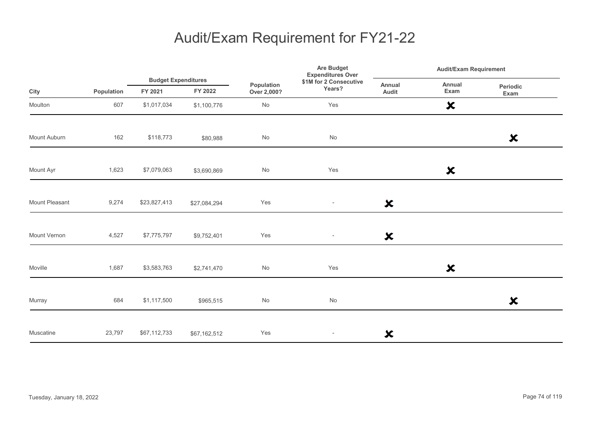|                |            |                                       |              | Are Budget<br><b>Expenditures Over</b><br>\$1M for 2 Consecutive<br>Population<br>Years?<br>Over 2,000? | <b>Audit/Exam Requirement</b> |                           |                           |                           |
|----------------|------------|---------------------------------------|--------------|---------------------------------------------------------------------------------------------------------|-------------------------------|---------------------------|---------------------------|---------------------------|
| City           | Population | <b>Budget Expenditures</b><br>FY 2021 | FY 2022      |                                                                                                         |                               | Annual<br>Audit           | Annual<br>Exam            | Periodic<br>Exam          |
| Moulton        | 607        | \$1,017,034                           | \$1,100,776  | $\operatorname{\mathsf{No}}$                                                                            | Yes                           |                           | $\boldsymbol{\mathsf{x}}$ |                           |
| Mount Auburn   | 162        | \$118,773                             | \$80,988     | No                                                                                                      | No                            |                           |                           | $\boldsymbol{\mathsf{x}}$ |
| Mount Ayr      | 1,623      | \$7,079,063                           | \$3,690,869  | No                                                                                                      | Yes                           |                           | $\boldsymbol{\mathsf{x}}$ |                           |
| Mount Pleasant | 9,274      | \$23,827,413                          | \$27,084,294 | Yes                                                                                                     | $\sim$                        | $\boldsymbol{\mathsf{x}}$ |                           |                           |
| Mount Vernon   | 4,527      | \$7,775,797                           | \$9,752,401  | Yes                                                                                                     | $\overline{\phantom{a}}$      | $\boldsymbol{\mathsf{x}}$ |                           |                           |
| Moville        | 1,687      | \$3,583,763                           | \$2,741,470  | No                                                                                                      | Yes                           |                           | $\boldsymbol{\mathsf{x}}$ |                           |
| Murray         | 684        | \$1,117,500                           | \$965,515    | No                                                                                                      | $\operatorname{\mathsf{No}}$  |                           |                           | $\boldsymbol{\mathsf{x}}$ |
| Muscatine      | 23,797     | \$67,112,733                          | \$67,162,512 | Yes                                                                                                     | $\overline{\phantom{a}}$      | $\boldsymbol{\mathsf{x}}$ |                           |                           |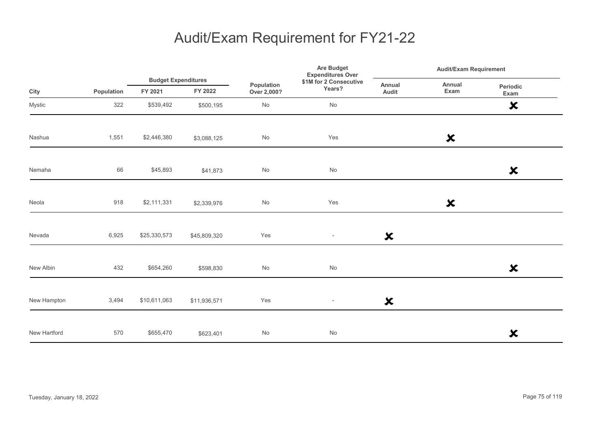|              |            |                                       |              | Are Budget<br><b>Expenditures Over</b> | <b>Audit/Exam Requirement</b>    |                           |                           |                           |  |
|--------------|------------|---------------------------------------|--------------|----------------------------------------|----------------------------------|---------------------------|---------------------------|---------------------------|--|
| City         | Population | <b>Budget Expenditures</b><br>FY 2021 | FY 2022      | Population<br>Over 2,000?              | \$1M for 2 Consecutive<br>Years? | Annual<br>Audit           | Annual<br>Exam            | Periodic<br>Exam          |  |
| Mystic       | 322        | \$539,492                             | \$500,195    | $\mathsf{No}$                          | No                               |                           |                           | $\boldsymbol{\mathsf{x}}$ |  |
| Nashua       | 1,551      | \$2,446,380                           | \$3,088,125  | $\mathsf{No}$                          | Yes                              |                           | $\boldsymbol{\mathsf{x}}$ |                           |  |
| Nemaha       | 66         | \$45,893                              | \$41,873     | No                                     | $\mathsf{No}$                    |                           |                           | $\boldsymbol{\mathsf{x}}$ |  |
| Neola        | 918        | \$2,111,331                           | \$2,339,976  | $\mathsf{No}$                          | Yes                              |                           | $\boldsymbol{\mathsf{x}}$ |                           |  |
| Nevada       | 6,925      | \$25,330,573                          | \$45,809,320 | Yes                                    | $\overline{\phantom{a}}$         | $\boldsymbol{\mathsf{x}}$ |                           |                           |  |
| New Albin    | 432        | \$654,260                             | \$598,830    | $\mathsf{No}$                          | No                               |                           |                           | $\boldsymbol{\mathsf{x}}$ |  |
| New Hampton  | 3,494      | \$10,611,063                          | \$11,936,571 | Yes                                    | $\overline{\phantom{a}}$         | $\boldsymbol{\mathsf{x}}$ |                           |                           |  |
| New Hartford | 570        | \$655,470                             | \$623,401    | $\mathsf{No}$                          | $\mathsf{No}$                    |                           |                           | $\boldsymbol{\mathsf{x}}$ |  |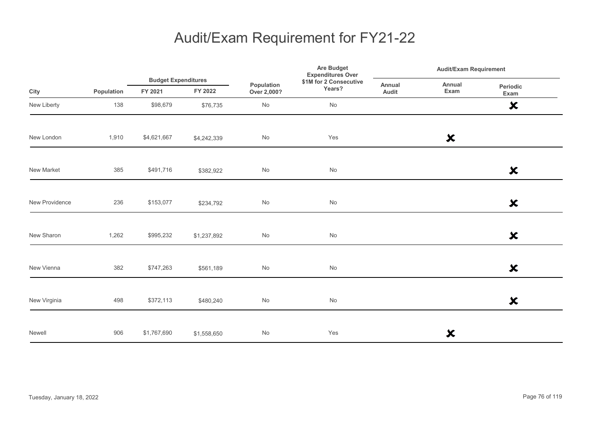|                |            |                                       |             | Population<br>FY 2022<br>Over 2,000? | Are Budget<br><b>Expenditures Over</b> | <b>Audit/Exam Requirement</b> |                           |                           |
|----------------|------------|---------------------------------------|-------------|--------------------------------------|----------------------------------------|-------------------------------|---------------------------|---------------------------|
| City           | Population | <b>Budget Expenditures</b><br>FY 2021 |             |                                      | \$1M for 2 Consecutive<br>Years?       | Annual<br>Audit               | Annual<br>Exam            | Periodic<br>Exam          |
| New Liberty    | 138        | \$98,679                              | \$76,735    | No                                   | No                                     |                               |                           | $\boldsymbol{\mathsf{x}}$ |
| New London     | 1,910      | \$4,621,667                           | \$4,242,339 | No                                   | Yes                                    |                               | $\boldsymbol{\mathsf{x}}$ |                           |
| New Market     | 385        | \$491,716                             | \$382,922   | No                                   | No                                     |                               |                           | $\boldsymbol{\mathsf{x}}$ |
| New Providence | 236        | \$153,077                             | \$234,792   | No                                   | $\operatorname{\mathsf{No}}$           |                               |                           | $\boldsymbol{\mathsf{x}}$ |
| New Sharon     | 1,262      | \$995,232                             | \$1,237,892 | No                                   | No                                     |                               |                           | $\boldsymbol{\mathsf{x}}$ |
| New Vienna     | 382        | \$747,263                             | \$561,189   | No                                   | No                                     |                               |                           | $\boldsymbol{\mathsf{x}}$ |
| New Virginia   | 498        | \$372,113                             | \$480,240   | No                                   | No                                     |                               |                           | $\boldsymbol{\mathsf{x}}$ |
| Newell         | 906        | \$1,767,690                           | \$1,558,650 | No                                   | Yes                                    |                               | ×                         |                           |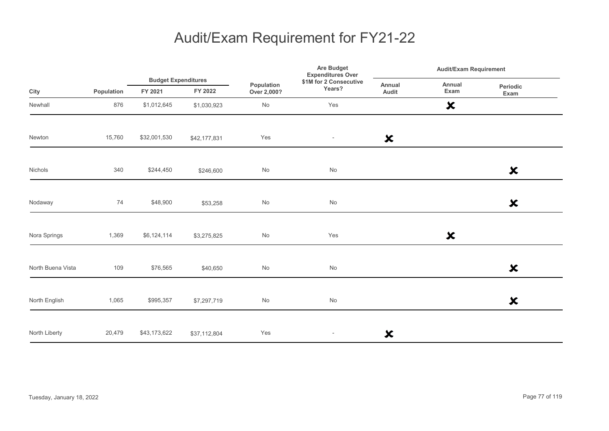|                   |            |              | <b>Budget Expenditures</b> |                              | Are Budget<br><b>Expenditures Over</b> | <b>Audit/Exam Requirement</b> |                           |                           |
|-------------------|------------|--------------|----------------------------|------------------------------|----------------------------------------|-------------------------------|---------------------------|---------------------------|
| City              | Population | FY 2021      | FY 2022                    | Population<br>Over 2,000?    | \$1M for 2 Consecutive<br>Years?       | Annual<br>Audit               | Annual<br>Exam            | Periodic<br>Exam          |
| Newhall           | 876        | \$1,012,645  | \$1,030,923                | No                           | Yes                                    |                               | $\boldsymbol{\mathsf{x}}$ |                           |
| Newton            | 15,760     | \$32,001,530 | \$42,177,831               | Yes                          | $\sim$                                 | $\boldsymbol{\mathsf{x}}$     |                           |                           |
| Nichols           | 340        | \$244,450    | \$246,600                  | No                           | No                                     |                               |                           | $\boldsymbol{\mathsf{x}}$ |
| Nodaway           | 74         | \$48,900     | \$53,258                   | $\operatorname{\mathsf{No}}$ | No                                     |                               |                           | $\boldsymbol{\mathsf{x}}$ |
| Nora Springs      | 1,369      | \$6,124,114  | \$3,275,825                | No                           | Yes                                    |                               | $\boldsymbol{\mathsf{x}}$ |                           |
| North Buena Vista | 109        | \$76,565     | \$40,650                   | $\mathsf{No}$                | $\operatorname{\mathsf{No}}$           |                               |                           | $\boldsymbol{\mathsf{x}}$ |
| North English     | 1,065      | \$995,357    | \$7,297,719                | No                           | No                                     |                               |                           | $\boldsymbol{\mathsf{x}}$ |
| North Liberty     | 20,479     | \$43,173,622 | \$37,112,804               | Yes                          | $\overline{\phantom{a}}$               | ×                             |                           |                           |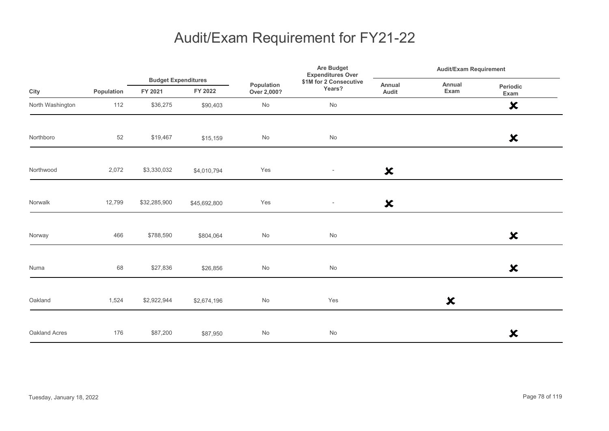|                  |            | <b>Budget Expenditures</b> |              |                              | Are Budget<br><b>Expenditures Over</b> | <b>Audit/Exam Requirement</b> |                           |                           |
|------------------|------------|----------------------------|--------------|------------------------------|----------------------------------------|-------------------------------|---------------------------|---------------------------|
| City             | Population | FY 2021                    | FY 2022      | Population<br>Over 2,000?    | \$1M for 2 Consecutive<br>Years?       | Annual<br>Audit               | Annual<br>Exam            | Periodic<br>Exam          |
| North Washington | 112        | \$36,275                   | \$90,403     | No                           | $\operatorname{\mathsf{No}}$           |                               |                           | $\boldsymbol{\mathsf{x}}$ |
| Northboro        | 52         | \$19,467                   | \$15,159     | No                           | No                                     |                               |                           | $\boldsymbol{\mathsf{x}}$ |
| Northwood        | 2,072      | \$3,330,032                | \$4,010,794  | Yes                          | $\sim$                                 | $\boldsymbol{\mathsf{x}}$     |                           |                           |
| Norwalk          | 12,799     | \$32,285,900               | \$45,692,800 | Yes                          | $\overline{\phantom{a}}$               | $\boldsymbol{\mathsf{x}}$     |                           |                           |
| Norway           | 466        | \$788,590                  | \$804,064    | No                           | $\operatorname{\mathsf{No}}$           |                               |                           | $\boldsymbol{\mathsf{x}}$ |
| Numa             | 68         | \$27,836                   | \$26,856     | $\operatorname{\mathsf{No}}$ | $\operatorname{\mathsf{No}}$           |                               |                           | $\boldsymbol{\mathsf{x}}$ |
| Oakland          | 1,524      | \$2,922,944                | \$2,674,196  | No                           | Yes                                    |                               | $\boldsymbol{\mathsf{x}}$ |                           |
| Oakland Acres    | 176        | \$87,200                   | \$87,950     | No                           | No                                     |                               |                           | $\boldsymbol{\mathsf{x}}$ |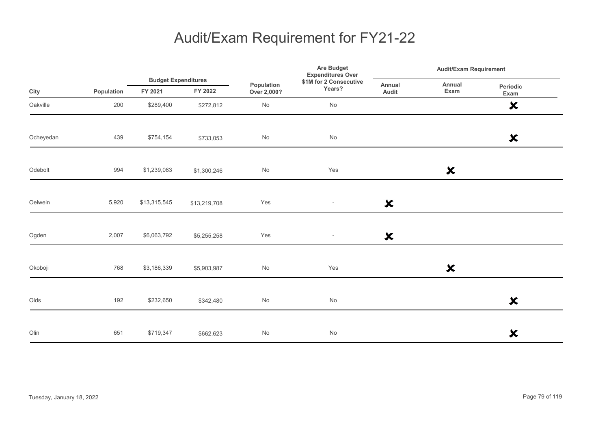|           |            | <b>Budget Expenditures</b> |              |                              | Are Budget<br><b>Expenditures Over</b> | Audit/Exam Requirement    |                           |                           |  |
|-----------|------------|----------------------------|--------------|------------------------------|----------------------------------------|---------------------------|---------------------------|---------------------------|--|
| City      | Population | FY 2021                    | FY 2022      | Population<br>Over 2,000?    | \$1M for 2 Consecutive<br>Years?       | Annual<br>Audit           | Annual<br>Exam            | Periodic<br>Exam          |  |
| Oakville  | 200        | \$289,400                  | \$272,812    | $\operatorname{\mathsf{No}}$ | No                                     |                           |                           | $\boldsymbol{\mathsf{x}}$ |  |
| Ocheyedan | 439        | \$754,154                  | \$733,053    | $\mathsf{No}$                | No                                     |                           |                           | $\boldsymbol{\mathsf{x}}$ |  |
| Odebolt   | 994        | \$1,239,083                | \$1,300,246  | $\mathsf{No}$                | Yes                                    |                           | $\boldsymbol{\mathsf{x}}$ |                           |  |
| Oelwein   | 5,920      | \$13,315,545               | \$13,219,708 | Yes                          | $\overline{\phantom{a}}$               | $\boldsymbol{\mathsf{x}}$ |                           |                           |  |
| Ogden     | 2,007      | \$6,063,792                | \$5,255,258  | Yes                          | $\overline{\phantom{a}}$               | $\boldsymbol{\mathsf{x}}$ |                           |                           |  |
| Okoboji   | 768        | \$3,186,339                | \$5,903,987  | $\mathsf{No}$                | Yes                                    |                           | $\boldsymbol{\mathsf{x}}$ |                           |  |
| Olds      | 192        | \$232,650                  | \$342,480    | $\mathsf{No}$                | No                                     |                           |                           | $\boldsymbol{\mathsf{x}}$ |  |
| Olin      | 651        | \$719,347                  | \$662,623    | $\mathsf{No}$                | No                                     |                           |                           | $\boldsymbol{\mathsf{x}}$ |  |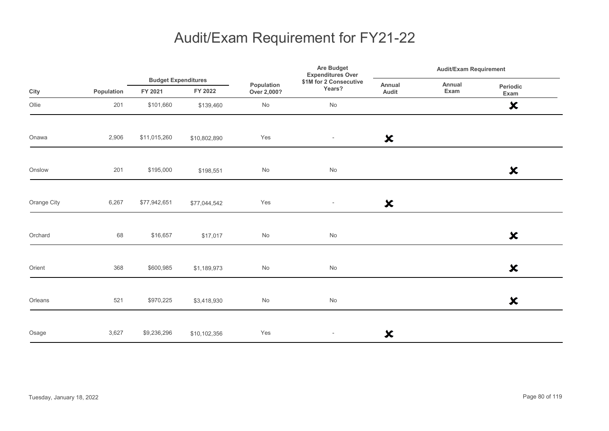|             |            |                                       |              | Population<br>Over 2,000? |                                  | <b>Are Budget</b><br><b>Expenditures Over</b> |                | <b>Audit/Exam Requirement</b> |
|-------------|------------|---------------------------------------|--------------|---------------------------|----------------------------------|-----------------------------------------------|----------------|-------------------------------|
| City        | Population | <b>Budget Expenditures</b><br>FY 2021 | FY 2022      |                           | \$1M for 2 Consecutive<br>Years? | Annual<br>Audit                               | Annual<br>Exam | Periodic<br>Exam              |
| Ollie       | 201        | \$101,660                             | \$139,460    | No                        | No                               |                                               |                | $\boldsymbol{\mathsf{x}}$     |
| Onawa       | 2,906      | \$11,015,260                          | \$10,802,890 | Yes                       | $\overline{\phantom{a}}$         | $\boldsymbol{\mathsf{x}}$                     |                |                               |
| Onslow      | 201        | \$195,000                             | \$198,551    | No                        | $\operatorname{\mathsf{No}}$     |                                               |                | $\boldsymbol{\mathsf{x}}$     |
| Orange City | 6,267      | \$77,942,651                          | \$77,044,542 | Yes                       | $\overline{\phantom{a}}$         | $\boldsymbol{\mathsf{x}}$                     |                |                               |
| Orchard     | 68         | \$16,657                              | \$17,017     | No                        | No                               |                                               |                | $\boldsymbol{\mathsf{x}}$     |
| Orient      | 368        | \$600,985                             | \$1,189,973  | No                        | $\operatorname{\mathsf{No}}$     |                                               |                | $\boldsymbol{\mathsf{x}}$     |
| Orleans     | 521        | \$970,225                             | \$3,418,930  | No                        | $\operatorname{\mathsf{No}}$     |                                               |                | $\boldsymbol{\mathsf{x}}$     |
| Osage       | 3,627      | \$9,236,296                           | \$10,102,356 | Yes                       | $\overline{\phantom{a}}$         | $\boldsymbol{\mathsf{x}}$                     |                |                               |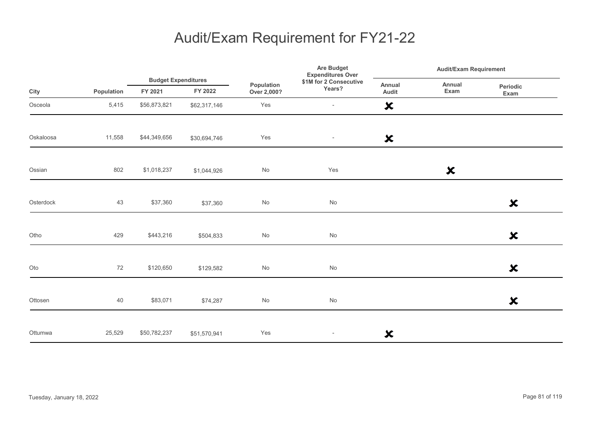|           |            |                                       |              | Population<br>Over 2,000? | <b>Are Budget</b><br><b>Expenditures Over</b> | <b>Audit/Exam Requirement</b> |                           |                           |
|-----------|------------|---------------------------------------|--------------|---------------------------|-----------------------------------------------|-------------------------------|---------------------------|---------------------------|
| City      | Population | <b>Budget Expenditures</b><br>FY 2021 | FY 2022      |                           | \$1M for 2 Consecutive<br>Years?              | Annual<br>Audit               | Annual<br>Exam            | Periodic<br>Exam          |
| Osceola   | 5,415      | \$56,873,821                          | \$62,317,146 | Yes                       | $\overline{\phantom{a}}$                      | $\boldsymbol{\mathsf{x}}$     |                           |                           |
| Oskaloosa | 11,558     | \$44,349,656                          | \$30,694,746 | Yes                       | $\overline{\phantom{a}}$                      | $\boldsymbol{\mathsf{x}}$     |                           |                           |
| Ossian    | 802        | \$1,018,237                           | \$1,044,926  | No                        | Yes                                           |                               | $\boldsymbol{\mathsf{x}}$ |                           |
| Osterdock | 43         | \$37,360                              | \$37,360     | $\mathsf{No}$             | No                                            |                               |                           | $\boldsymbol{\mathsf{x}}$ |
| Otho      | 429        | \$443,216                             | \$504,833    | $\mathsf{No}$             | $\mathsf{No}$                                 |                               |                           | $\boldsymbol{\mathsf{x}}$ |
| Oto       | 72         | \$120,650                             | \$129,582    | $\mathsf{No}$             | $\mathsf{No}$                                 |                               |                           | $\boldsymbol{\mathsf{x}}$ |
| Ottosen   | 40         | \$83,071                              | \$74,287     | $\mathsf{No}$             | No                                            |                               |                           | $\boldsymbol{\mathsf{x}}$ |
| Ottumwa   | 25,529     | \$50,782,237                          | \$51,570,941 | Yes                       | $\sim$                                        | $\boldsymbol{\mathsf{x}}$     |                           |                           |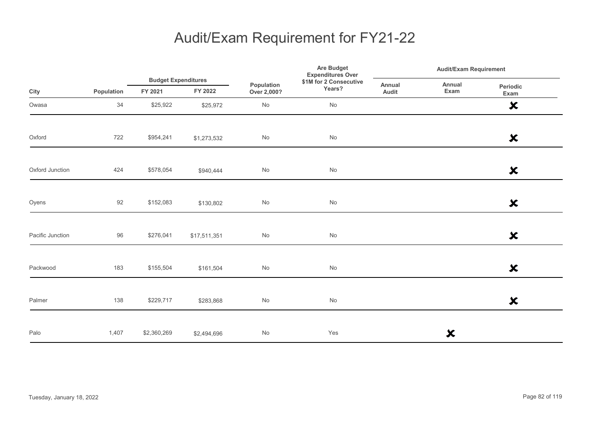|                  |            |             | <b>Budget Expenditures</b> |                           | Are Budget<br><b>Expenditures Over</b> |                 | <b>Audit/Exam Requirement</b> |                           |  |
|------------------|------------|-------------|----------------------------|---------------------------|----------------------------------------|-----------------|-------------------------------|---------------------------|--|
| City             | Population | FY 2021     | FY 2022                    | Population<br>Over 2,000? | \$1M for 2 Consecutive<br>Years?       | Annual<br>Audit | Annual<br>Exam                | Periodic<br>Exam          |  |
| Owasa            | 34         | \$25,922    | \$25,972                   | No                        | No                                     |                 |                               | $\boldsymbol{\mathsf{x}}$ |  |
| Oxford           | 722        | \$954,241   | \$1,273,532                | $\mathsf{No}$             | $\operatorname{\mathsf{No}}$           |                 |                               | $\boldsymbol{\mathsf{x}}$ |  |
| Oxford Junction  | 424        | \$578,054   | \$940,444                  | No                        | No                                     |                 |                               | $\boldsymbol{\mathsf{x}}$ |  |
| Oyens            | 92         | \$152,083   | \$130,802                  | No                        | $\operatorname{\mathsf{No}}$           |                 |                               | $\boldsymbol{\mathsf{x}}$ |  |
| Pacific Junction | 96         | \$276,041   | \$17,511,351               | $\mathsf{No}$             | $\operatorname{\mathsf{No}}$           |                 |                               | $\boldsymbol{\mathsf{x}}$ |  |
| Packwood         | 183        | \$155,504   | \$161,504                  | $\mathsf{No}$             | No                                     |                 |                               | $\boldsymbol{\mathsf{x}}$ |  |
| Palmer           | 138        | \$229,717   | \$283,868                  | $\mathsf{No}$             | $\operatorname{\mathsf{No}}$           |                 |                               | $\boldsymbol{\mathsf{x}}$ |  |
| Palo             | 1,407      | \$2,360,269 | \$2,494,696                | $\mathsf{No}$             | Yes                                    |                 | ×                             |                           |  |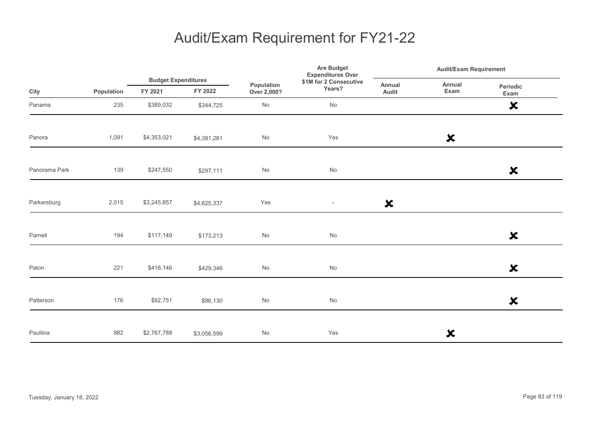|               |            |                                       |             | Are Budget<br><b>Expenditures Over</b><br>\$1M for 2 Consecutive<br>Population<br>Years?<br>Over 2,000? | <b>Audit/Exam Requirement</b> |                           |                           |                           |
|---------------|------------|---------------------------------------|-------------|---------------------------------------------------------------------------------------------------------|-------------------------------|---------------------------|---------------------------|---------------------------|
| City          | Population | <b>Budget Expenditures</b><br>FY 2021 | FY 2022     |                                                                                                         |                               | Annual<br>Audit           | Annual<br>Exam            | Periodic<br>Exam          |
| Panama        | 235        | \$389,032                             | \$344,725   | No                                                                                                      | No                            |                           |                           | $\boldsymbol{\mathsf{x}}$ |
| Panora        | 1,091      | \$4,353,021                           | \$4,381,281 | No                                                                                                      | Yes                           |                           | $\boldsymbol{\mathsf{x}}$ |                           |
| Panorama Park | 139        | \$247,550                             | \$297,111   | No                                                                                                      | No                            |                           |                           | $\boldsymbol{\mathsf{x}}$ |
| Parkersburg   | 2,015      | \$3,245,857                           | \$4,625,337 | Yes                                                                                                     | $\overline{\phantom{a}}$      | $\boldsymbol{\mathsf{x}}$ |                           |                           |
| Parnell       | 194        | \$117,149                             | \$173,213   | $\operatorname{\mathsf{No}}$                                                                            | $\operatorname{\mathsf{No}}$  |                           |                           | $\boldsymbol{\mathsf{x}}$ |
| Paton         | 221        | \$416,146                             | \$429,346   | No                                                                                                      | $\operatorname{\mathsf{No}}$  |                           |                           | $\boldsymbol{\mathsf{x}}$ |
| Patterson     | 176        | \$92,751                              | \$86,130    | No                                                                                                      | No                            |                           |                           | $\boldsymbol{\mathsf{x}}$ |
| Paullina      | 982        | \$2,767,788                           | \$3,056,599 | No                                                                                                      | Yes                           |                           | ×                         |                           |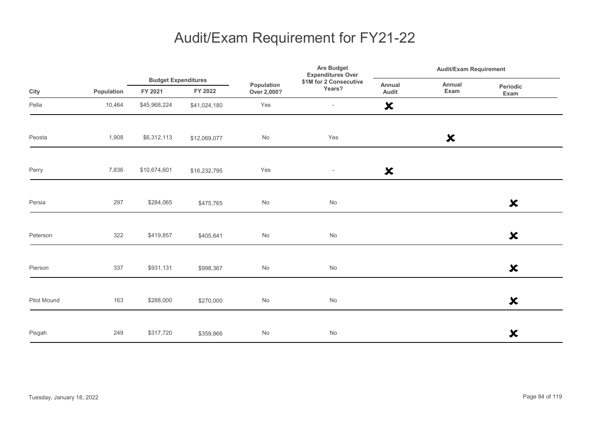|             |            |              | <b>Budget Expenditures</b> |                              | Are Budget<br><b>Expenditures Over</b> | <b>Audit/Exam Requirement</b> |                           |                           |
|-------------|------------|--------------|----------------------------|------------------------------|----------------------------------------|-------------------------------|---------------------------|---------------------------|
| City        | Population | FY 2021      | FY 2022                    | Population<br>Over 2,000?    | \$1M for 2 Consecutive<br>Years?       | Annual<br>Audit               | Annual<br>Exam            | Periodic<br>Exam          |
| Pella       | 10,464     | \$45,968,224 | \$41,024,180               | Yes                          | $\overline{\phantom{a}}$               | $\boldsymbol{\mathsf{x}}$     |                           |                           |
| Peosta      | 1,908      | \$6,312,113  | \$12,069,077               | No                           | Yes                                    |                               | $\boldsymbol{\mathsf{x}}$ |                           |
| Perry       | 7,836      | \$10,674,601 | \$16,232,795               | Yes                          | $\overline{\phantom{a}}$               | $\boldsymbol{\mathsf{x}}$     |                           |                           |
| Persia      | 297        | \$284,065    | \$475,765                  | $\operatorname{\mathsf{No}}$ | No                                     |                               |                           | $\boldsymbol{\mathsf{x}}$ |
| Peterson    | 322        | \$419,857    | \$405,641                  | $\mathsf{No}$                | No                                     |                               |                           | $\boldsymbol{\mathsf{x}}$ |
| Pierson     | 337        | \$931,131    | \$998,367                  | No                           | No                                     |                               |                           | $\boldsymbol{\mathsf{x}}$ |
| Pilot Mound | 163        | \$288,000    | \$270,000                  | No                           | No                                     |                               |                           | $\boldsymbol{\mathsf{x}}$ |
| Pisgah      | 249        | \$317,720    | \$359,866                  | No                           | No                                     |                               |                           | $\boldsymbol{\mathsf{x}}$ |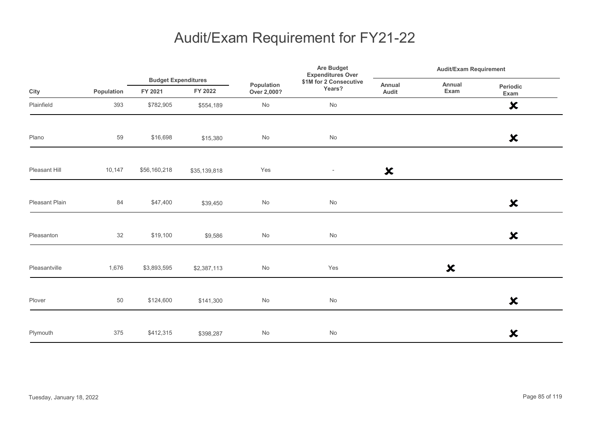|                |            |                                       |              |                              | Are Budget<br><b>Expenditures Over</b> | <b>Audit/Exam Requirement</b> |                           |                           |
|----------------|------------|---------------------------------------|--------------|------------------------------|----------------------------------------|-------------------------------|---------------------------|---------------------------|
| City           | Population | <b>Budget Expenditures</b><br>FY 2021 | FY 2022      | Population<br>Over 2,000?    | \$1M for 2 Consecutive<br>Years?       | <b>Annual</b><br>Audit        | Annual<br>Exam            | Periodic<br>Exam          |
| Plainfield     | 393        | \$782,905                             | \$554,189    | $\operatorname{\mathsf{No}}$ | No                                     |                               |                           | $\boldsymbol{\mathsf{x}}$ |
| Plano          | 59         | \$16,698                              | \$15,380     | $\operatorname{\mathsf{No}}$ | No                                     |                               |                           | $\boldsymbol{\mathsf{x}}$ |
| Pleasant Hill  | 10,147     | \$56,160,218                          | \$35,139,818 | Yes                          | $\sim$                                 | $\boldsymbol{\mathsf{x}}$     |                           |                           |
| Pleasant Plain | 84         | \$47,400                              | \$39,450     | No                           | No                                     |                               |                           | $\boldsymbol{\mathsf{x}}$ |
| Pleasanton     | 32         | \$19,100                              | \$9,586      | $\mathsf{No}$                | No                                     |                               |                           | $\boldsymbol{\mathsf{x}}$ |
| Pleasantville  | 1,676      | \$3,893,595                           | \$2,387,113  | No                           | Yes                                    |                               | $\boldsymbol{\mathsf{x}}$ |                           |
| Plover         | 50         | \$124,600                             | \$141,300    | No                           | No                                     |                               |                           | $\boldsymbol{\mathsf{x}}$ |
| Plymouth       | 375        | \$412,315                             | \$398,287    | No                           | No                                     |                               |                           | $\boldsymbol{\mathsf{x}}$ |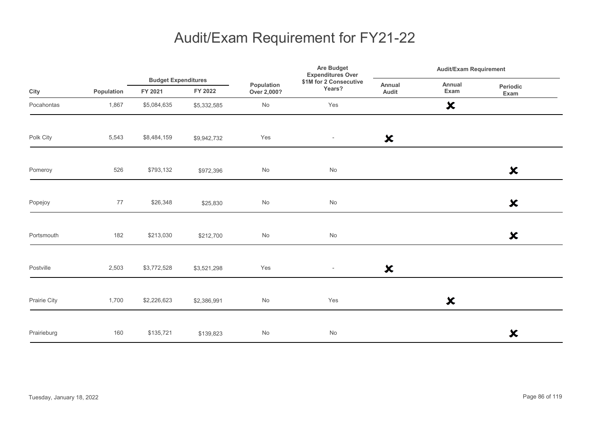|              |            |                                       |             | Are Budget<br><b>Expenditures Over</b><br>\$1M for 2 Consecutive<br>Population<br>Years?<br>Over 2,000? | <b>Audit/Exam Requirement</b> |                           |                           |                           |
|--------------|------------|---------------------------------------|-------------|---------------------------------------------------------------------------------------------------------|-------------------------------|---------------------------|---------------------------|---------------------------|
| City         | Population | <b>Budget Expenditures</b><br>FY 2021 | FY 2022     |                                                                                                         |                               | Annual<br>Audit           | Annual<br>Exam            | Periodic<br>Exam          |
| Pocahontas   | 1,867      | \$5,084,635                           | \$5,332,585 | $\mathsf{No}$                                                                                           | Yes                           |                           | $\boldsymbol{\mathsf{x}}$ |                           |
| Polk City    | 5,543      | \$8,484,159                           | \$9,942,732 | Yes                                                                                                     | $\sim$                        | $\boldsymbol{\mathsf{x}}$ |                           |                           |
| Pomeroy      | 526        | \$793,132                             | \$972,396   | $\mathsf{No}$                                                                                           | $\mathsf{No}$                 |                           |                           | $\boldsymbol{\mathsf{x}}$ |
| Popejoy      | 77         | \$26,348                              | \$25,830    | $\mathsf{No}$                                                                                           | $\mathsf{No}$                 |                           |                           | $\boldsymbol{\mathsf{x}}$ |
| Portsmouth   | 182        | \$213,030                             | \$212,700   | No                                                                                                      | $\mathsf{No}$                 |                           |                           | $\boldsymbol{\mathsf{x}}$ |
| Postville    | 2,503      | \$3,772,528                           | \$3,521,298 | Yes                                                                                                     | $\sim$                        | $\boldsymbol{\mathsf{x}}$ |                           |                           |
| Prairie City | 1,700      | \$2,226,623                           | \$2,386,991 | $\mathsf{No}$                                                                                           | Yes                           |                           | $\boldsymbol{\mathsf{x}}$ |                           |
| Prairieburg  | 160        | \$135,721                             | \$139,823   | $\mathsf{No}$                                                                                           | No                            |                           |                           | $\boldsymbol{\mathsf{x}}$ |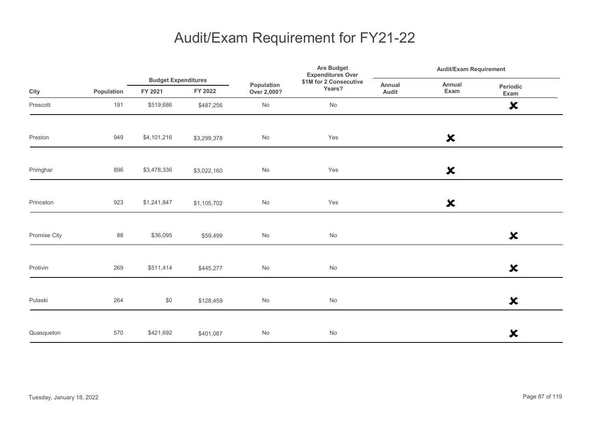|              |            |                                       |             |                           | Are Budget<br><b>Expenditures Over</b> | <b>Audit/Exam Requirement</b> |                           |                           |
|--------------|------------|---------------------------------------|-------------|---------------------------|----------------------------------------|-------------------------------|---------------------------|---------------------------|
| City         | Population | <b>Budget Expenditures</b><br>FY 2021 | FY 2022     | Population<br>Over 2,000? | \$1M for 2 Consecutive<br>Years?       | Annual<br>Audit               | Annual<br>Exam            | Periodic<br>Exam          |
| Prescott     | 191        | \$519,686                             | \$487,256   | No                        | No                                     |                               |                           | $\boldsymbol{\mathsf{x}}$ |
| Preston      | 949        | \$4,101,216                           | \$3,299,378 | No                        | Yes                                    |                               | $\boldsymbol{\mathsf{x}}$ |                           |
| Primghar     | 896        | \$3,478,336                           | \$3,022,160 | No                        | Yes                                    |                               | $\boldsymbol{\mathsf{x}}$ |                           |
| Princeton    | 923        | \$1,241,847                           | \$1,105,702 | No                        | Yes                                    |                               | $\boldsymbol{\mathsf{x}}$ |                           |
| Promise City | 88         | \$36,095                              | \$59,499    | No                        | No                                     |                               |                           | $\boldsymbol{\mathsf{x}}$ |
| Protivin     | 269        | \$511,414                             | \$445,277   | No                        | No                                     |                               |                           | $\boldsymbol{\mathsf{x}}$ |
| Pulaski      | 264        | \$0                                   | \$128,459   | No                        | No                                     |                               |                           | $\boldsymbol{\mathsf{x}}$ |
| Quasqueton   | 570        | \$421,692                             | \$401,087   | No                        | No                                     |                               |                           | $\boldsymbol{\mathsf{x}}$ |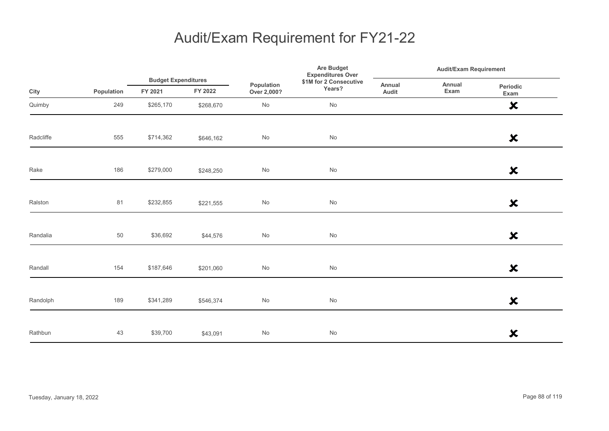|           |            |                                       |           |                           | Are Budget<br><b>Expenditures Over</b> | <b>Audit/Exam Requirement</b> |                |                           |
|-----------|------------|---------------------------------------|-----------|---------------------------|----------------------------------------|-------------------------------|----------------|---------------------------|
| City      | Population | <b>Budget Expenditures</b><br>FY 2021 | FY 2022   | Population<br>Over 2,000? | \$1M for 2 Consecutive<br>Years?       | Annual<br>Audit               | Annual<br>Exam | Periodic<br>Exam          |
| Quimby    | 249        | \$265,170                             | \$268,670 | No                        | No                                     |                               |                | $\boldsymbol{\mathsf{x}}$ |
| Radcliffe | 555        | \$714,362                             | \$646,162 | $\mathsf{No}$             | $\operatorname{\mathsf{No}}$           |                               |                | $\boldsymbol{\mathsf{x}}$ |
| Rake      | 186        | \$279,000                             | \$248,250 | $\mathsf{No}$             | $\operatorname{\mathsf{No}}$           |                               |                | $\boldsymbol{\mathsf{x}}$ |
| Ralston   | 81         | \$232,855                             | \$221,555 | $\mathsf{No}$             | $\operatorname{\mathsf{No}}$           |                               |                | $\boldsymbol{\mathsf{x}}$ |
| Randalia  | 50         | \$36,692                              | \$44,576  | $\mathsf{No}$             | $\operatorname{\mathsf{No}}$           |                               |                | $\boldsymbol{\mathsf{x}}$ |
| Randall   | 154        | \$187,646                             | \$201,060 | $\mathsf{No}$             | $\operatorname{\mathsf{No}}$           |                               |                | $\boldsymbol{\mathsf{x}}$ |
| Randolph  | 189        | \$341,289                             | \$546,374 | $\mathsf{No}$             | $\operatorname{\mathsf{No}}$           |                               |                | $\boldsymbol{\mathsf{x}}$ |
| Rathbun   | 43         | \$39,700                              | \$43,091  | $\mathsf{No}$             | $\mathsf{No}$                          |                               |                | $\boldsymbol{\mathsf{x}}$ |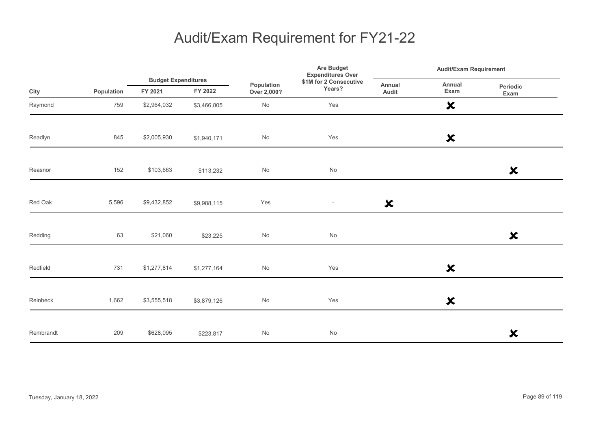|           |            |             | <b>Budget Expenditures</b> |                              | <b>Are Budget</b><br><b>Expenditures Over</b> |                           | <b>Audit/Exam Requirement</b> |                           |  |
|-----------|------------|-------------|----------------------------|------------------------------|-----------------------------------------------|---------------------------|-------------------------------|---------------------------|--|
| City      | Population | FY 2021     | FY 2022                    | Population<br>Over 2,000?    | \$1M for 2 Consecutive<br>Years?              | Annual<br>Audit           | Annual<br>Exam                | Periodic<br>Exam          |  |
| Raymond   | 759        | \$2,964,032 | \$3,466,805                | $\operatorname{\mathsf{No}}$ | Yes                                           |                           | $\boldsymbol{\mathsf{x}}$     |                           |  |
| Readlyn   | 845        | \$2,005,930 | \$1,940,171                | No                           | Yes                                           |                           | $\boldsymbol{\mathsf{x}}$     |                           |  |
| Reasnor   | 152        | \$103,663   | \$113,232                  | No                           | No                                            |                           |                               | $\boldsymbol{\mathsf{x}}$ |  |
| Red Oak   | 5,596      | \$9,432,852 | \$9,988,115                | Yes                          | $\overline{\phantom{a}}$                      | $\boldsymbol{\mathsf{x}}$ |                               |                           |  |
| Redding   | 63         | \$21,060    | \$23,225                   | $\mathsf{No}$                | No                                            |                           |                               | $\boldsymbol{\mathsf{x}}$ |  |
| Redfield  | 731        | \$1,277,814 | \$1,277,164                | No                           | Yes                                           |                           | $\boldsymbol{\mathsf{x}}$     |                           |  |
| Reinbeck  | 1,662      | \$3,555,518 | \$3,879,126                | $\mathsf{No}$                | Yes                                           |                           | ×                             |                           |  |
| Rembrandt | 209        | \$628,095   | \$223,817                  | No                           | No                                            |                           |                               | $\boldsymbol{\mathsf{x}}$ |  |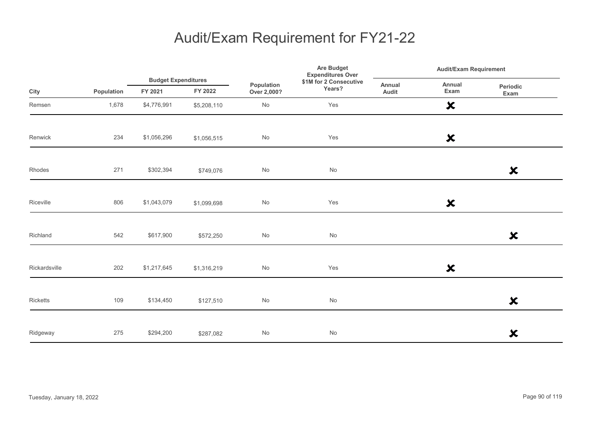|               |            |                                       |             |                              | <b>Are Budget</b><br><b>Expenditures Over</b> |                 | <b>Audit/Exam Requirement</b> |                           |  |
|---------------|------------|---------------------------------------|-------------|------------------------------|-----------------------------------------------|-----------------|-------------------------------|---------------------------|--|
| City          | Population | <b>Budget Expenditures</b><br>FY 2021 | FY 2022     | Population<br>Over 2,000?    | \$1M for 2 Consecutive<br>Years?              | Annual<br>Audit | Annual<br>Exam                | Periodic<br>Exam          |  |
| Remsen        | 1,678      | \$4,776,991                           | \$5,208,110 | $\operatorname{\mathsf{No}}$ | Yes                                           |                 | $\boldsymbol{\mathsf{x}}$     |                           |  |
| Renwick       | 234        | \$1,056,296                           | \$1,056,515 | $\operatorname{\mathsf{No}}$ | Yes                                           |                 | $\boldsymbol{\mathsf{x}}$     |                           |  |
| Rhodes        | 271        | \$302,394                             | \$749,076   | $\operatorname{\mathsf{No}}$ | No                                            |                 |                               | $\boldsymbol{\mathsf{x}}$ |  |
| Riceville     | 806        | \$1,043,079                           | \$1,099,698 | $\operatorname{\mathsf{No}}$ | Yes                                           |                 | $\boldsymbol{\mathsf{x}}$     |                           |  |
| Richland      | 542        | \$617,900                             | \$572,250   | $\mathsf{No}$                | No                                            |                 |                               | $\boldsymbol{\mathsf{x}}$ |  |
| Rickardsville | 202        | \$1,217,645                           | \$1,316,219 | No                           | Yes                                           |                 | $\boldsymbol{\mathsf{x}}$     |                           |  |
| Ricketts      | 109        | \$134,450                             | \$127,510   | No                           | No                                            |                 |                               | $\boldsymbol{\mathsf{x}}$ |  |
| Ridgeway      | 275        | \$294,200                             | \$287,082   | No                           | No                                            |                 |                               | $\boldsymbol{\mathsf{x}}$ |  |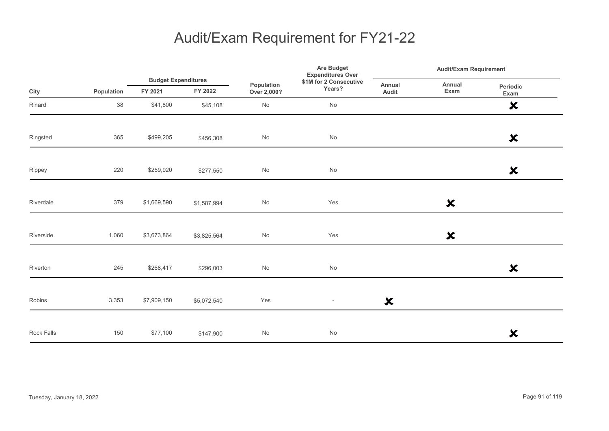|            |            |                                       |             |                              | <b>Are Budget</b><br><b>Expenditures Over</b> |                           | <b>Audit/Exam Requirement</b> |                           |  |
|------------|------------|---------------------------------------|-------------|------------------------------|-----------------------------------------------|---------------------------|-------------------------------|---------------------------|--|
| City       | Population | <b>Budget Expenditures</b><br>FY 2021 | FY 2022     | Population<br>Over 2,000?    | \$1M for 2 Consecutive<br>Years?              | Annual<br>Audit           | Annual<br>Exam                | Periodic<br>Exam          |  |
| Rinard     | 38         | \$41,800                              | \$45,108    | $\operatorname{\mathsf{No}}$ | No                                            |                           |                               | $\boldsymbol{\mathsf{x}}$ |  |
| Ringsted   | 365        | \$499,205                             | \$456,308   | No                           | No                                            |                           |                               | $\boldsymbol{\mathsf{x}}$ |  |
| Rippey     | 220        | \$259,920                             | \$277,550   | $\operatorname{\mathsf{No}}$ | No                                            |                           |                               | $\boldsymbol{\mathsf{x}}$ |  |
| Riverdale  | 379        | \$1,669,590                           | \$1,587,994 | No                           | Yes                                           |                           | $\boldsymbol{\mathsf{x}}$     |                           |  |
| Riverside  | 1,060      | \$3,673,864                           | \$3,825,564 | $\mathsf{No}$                | Yes                                           |                           | $\boldsymbol{\mathsf{x}}$     |                           |  |
| Riverton   | 245        | \$268,417                             | \$296,003   | No                           | No                                            |                           |                               | $\boldsymbol{\mathsf{x}}$ |  |
| Robins     | 3,353      | \$7,909,150                           | \$5,072,540 | Yes                          | $\overline{\phantom{a}}$                      | $\boldsymbol{\mathsf{x}}$ |                               |                           |  |
| Rock Falls | 150        | \$77,100                              | \$147,900   | No                           | No                                            |                           |                               | $\boldsymbol{\mathsf{x}}$ |  |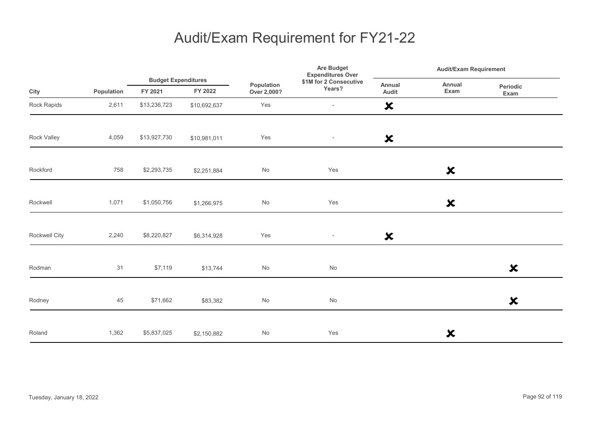|               |            |                                       |              | <b>Are Budget</b><br><b>Expenditures Over</b> | <b>Audit/Exam Requirement</b>    |                           |                           |                           |
|---------------|------------|---------------------------------------|--------------|-----------------------------------------------|----------------------------------|---------------------------|---------------------------|---------------------------|
| City          | Population | <b>Budget Expenditures</b><br>FY 2021 | FY 2022      | Population<br>Over 2,000?                     | \$1M for 2 Consecutive<br>Years? | Annual<br>Audit           | Annual<br>Exam            | Periodic<br>Exam          |
| Rock Rapids   | 2,611      | \$13,236,723                          | \$10,692,637 | Yes                                           | $\overline{\phantom{a}}$         | $\boldsymbol{\mathsf{x}}$ |                           |                           |
| Rock Valley   | 4,059      | \$13,927,730                          | \$10,981,011 | Yes                                           | $\overline{\phantom{a}}$         | $\boldsymbol{\mathsf{x}}$ |                           |                           |
| Rockford      | 758        | \$2,293,735                           | \$2,251,884  | No                                            | Yes                              |                           | $\boldsymbol{\mathsf{x}}$ |                           |
| Rockwell      | 1,071      | \$1,050,756                           | \$1,266,975  | No                                            | Yes                              |                           | $\boldsymbol{\mathsf{x}}$ |                           |
| Rockwell City | 2,240      | \$8,220,827                           | \$6,314,928  | Yes                                           | $\overline{\phantom{a}}$         | $\boldsymbol{\mathsf{x}}$ |                           |                           |
| Rodman        | 31         | \$7,119                               | \$13,744     | No                                            | $\operatorname{\mathsf{No}}$     |                           |                           | $\boldsymbol{\mathsf{x}}$ |
| Rodney        | 45         | \$71,662                              | \$83,382     | No                                            | No                               |                           |                           | $\boldsymbol{\mathsf{x}}$ |
| Roland        | 1,362      | \$5,837,025                           | \$2,150,882  | No                                            | Yes                              |                           | ×                         |                           |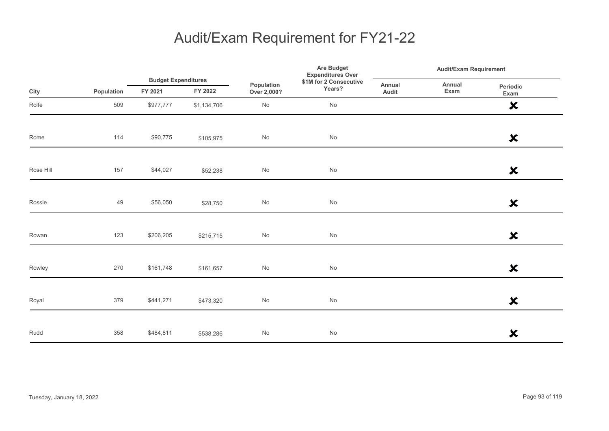|           |            |                                                                               |                                                              |                 |                              | <b>Audit/Exam Requirement</b> |  |                           |  |
|-----------|------------|-------------------------------------------------------------------------------|--------------------------------------------------------------|-----------------|------------------------------|-------------------------------|--|---------------------------|--|
| City      | Population | <b>Budget Expenditures</b><br>Population<br>FY 2022<br>FY 2021<br>Over 2,000? | <b>Expenditures Over</b><br>\$1M for 2 Consecutive<br>Years? | Annual<br>Audit | Annual<br>Exam               | Periodic<br>Exam              |  |                           |  |
| Rolfe     | 509        | \$977,777                                                                     | \$1,134,706                                                  | No              | No                           |                               |  | $\boldsymbol{\mathsf{x}}$ |  |
| Rome      | 114        | \$90,775                                                                      | \$105,975                                                    | No              | No                           |                               |  | $\boldsymbol{\mathsf{x}}$ |  |
| Rose Hill | 157        | \$44,027                                                                      | \$52,238                                                     | $\mathsf{No}$   | $\operatorname{\mathsf{No}}$ |                               |  | $\boldsymbol{\mathsf{x}}$ |  |
| Rossie    | 49         | \$56,050                                                                      | \$28,750                                                     | $\mathsf{No}$   | $\operatorname{\mathsf{No}}$ |                               |  | $\boldsymbol{\mathsf{x}}$ |  |
| Rowan     | 123        | \$206,205                                                                     | \$215,715                                                    | $\mathsf{No}$   | No                           |                               |  | $\boldsymbol{\mathsf{x}}$ |  |
| Rowley    | 270        | \$161,748                                                                     | \$161,657                                                    | $\mathsf{No}$   | No                           |                               |  | $\boldsymbol{\mathsf{x}}$ |  |
| Royal     | 379        | \$441,271                                                                     | \$473,320                                                    | $\mathsf{No}$   | $\operatorname{\mathsf{No}}$ |                               |  | $\boldsymbol{\mathsf{x}}$ |  |
| Rudd      | 358        | \$484,811                                                                     | \$538,286                                                    | $\mathsf{No}$   | No                           |                               |  | $\boldsymbol{\mathsf{x}}$ |  |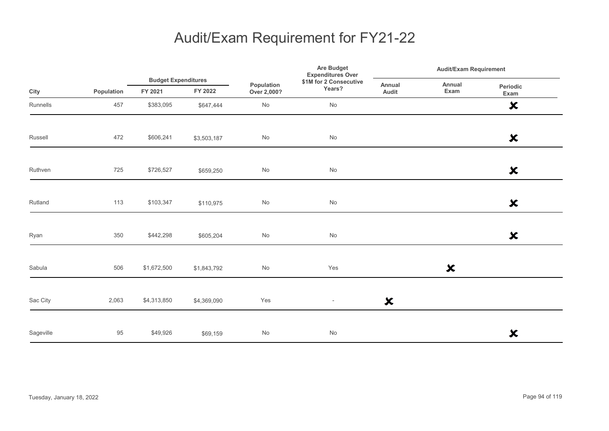|           |            |                                       |             |                              | Are Budget<br><b>Expenditures Over</b> | <b>Audit/Exam Requirement</b> |                           |                           |  |
|-----------|------------|---------------------------------------|-------------|------------------------------|----------------------------------------|-------------------------------|---------------------------|---------------------------|--|
| City      | Population | <b>Budget Expenditures</b><br>FY 2021 | FY 2022     | Population<br>Over 2,000?    | \$1M for 2 Consecutive<br>Years?       | Annual<br>Audit               | Annual<br>Exam            | Periodic<br>Exam          |  |
| Runnells  | 457        | \$383,095                             | \$647,444   | No                           | No                                     |                               |                           | $\boldsymbol{\mathsf{x}}$ |  |
| Russell   | 472        | \$606,241                             | \$3,503,187 | $\mathsf{No}$                | No                                     |                               |                           | $\boldsymbol{\mathsf{x}}$ |  |
| Ruthven   | 725        | \$726,527                             | \$659,250   | $\operatorname{\mathsf{No}}$ | $\operatorname{\mathsf{No}}$           |                               |                           | $\boldsymbol{\mathsf{x}}$ |  |
| Rutland   | 113        | \$103,347                             | \$110,975   | No                           | $\operatorname{\mathsf{No}}$           |                               |                           | $\boldsymbol{\mathsf{x}}$ |  |
| Ryan      | 350        | \$442,298                             | \$605,204   | No                           | No                                     |                               |                           | $\boldsymbol{\mathsf{x}}$ |  |
| Sabula    | 506        | \$1,672,500                           | \$1,843,792 | $\operatorname{\mathsf{No}}$ | Yes                                    |                               | $\boldsymbol{\mathsf{x}}$ |                           |  |
| Sac City  | 2,063      | \$4,313,850                           | \$4,369,090 | Yes                          | $\overline{\phantom{a}}$               | $\boldsymbol{\mathsf{x}}$     |                           |                           |  |
| Sageville | 95         | \$49,926                              | \$69,159    | $\operatorname{\mathsf{No}}$ | $\operatorname{\mathsf{No}}$           |                               |                           | ×                         |  |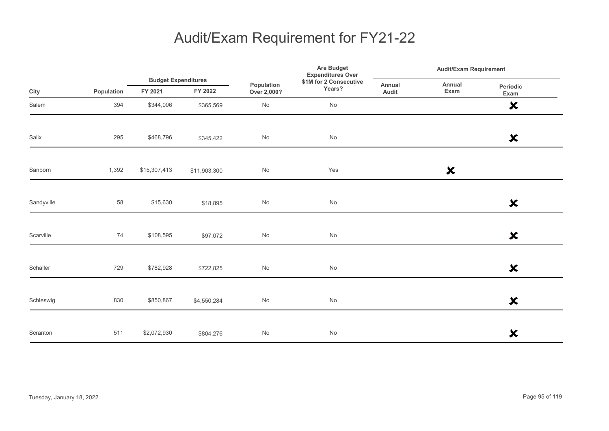|            |            |                                       |              |                           | <b>Are Budget</b><br><b>Expenditures Over</b> | <b>Audit/Exam Requirement</b> |                           |                           |
|------------|------------|---------------------------------------|--------------|---------------------------|-----------------------------------------------|-------------------------------|---------------------------|---------------------------|
| City       | Population | <b>Budget Expenditures</b><br>FY 2021 | FY 2022      | Population<br>Over 2,000? | \$1M for 2 Consecutive<br>Years?              | Annual<br>Audit               | Annual<br>Exam            | Periodic<br>Exam          |
| Salem      | 394        | \$344,006                             | \$365,569    | $\mathsf{No}$             | $\operatorname{\mathsf{No}}$                  |                               |                           | $\boldsymbol{\mathsf{x}}$ |
| Salix      | 295        | \$468,796                             | \$345,422    | $\mathsf{No}$             | $\operatorname{\mathsf{No}}$                  |                               |                           | $\boldsymbol{\mathsf{x}}$ |
| Sanborn    | 1,392      | \$15,307,413                          | \$11,903,300 | $\mathsf{No}$             | Yes                                           |                               | $\boldsymbol{\mathsf{x}}$ |                           |
| Sandyville | 58         | \$15,630                              | \$18,895     | $\mathsf{No}$             | $\operatorname{\mathsf{No}}$                  |                               |                           | $\boldsymbol{\mathsf{x}}$ |
| Scarville  | 74         | \$108,595                             | \$97,072     | $\mathsf{No}$             | $\mathsf{No}$                                 |                               |                           | $\boldsymbol{\mathsf{x}}$ |
| Schaller   | 729        | \$782,928                             | \$722,825    | $\mathsf{No}$             | $\mathsf{No}$                                 |                               |                           | $\boldsymbol{\mathsf{x}}$ |
| Schleswig  | 830        | \$850,867                             | \$4,550,284  | $\mathsf{No}$             | $\operatorname{\mathsf{No}}$                  |                               |                           | $\boldsymbol{\mathsf{x}}$ |
| Scranton   | 511        | \$2,072,930                           | \$804,276    | $\mathsf{No}$             | $\mathsf{No}$                                 |                               |                           | $\boldsymbol{\mathsf{x}}$ |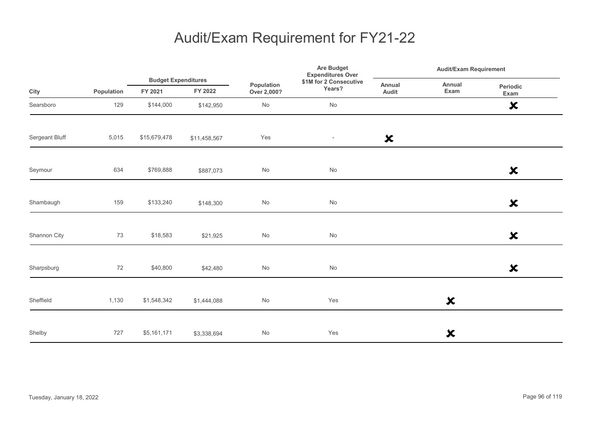|                |            |                                       |              |                              | Are Budget<br><b>Expenditures Over</b> | Audit/Exam Requirement    |                           |                           |
|----------------|------------|---------------------------------------|--------------|------------------------------|----------------------------------------|---------------------------|---------------------------|---------------------------|
| City           | Population | <b>Budget Expenditures</b><br>FY 2021 | FY 2022      | Population<br>Over 2,000?    | \$1M for 2 Consecutive<br>Years?       | Annual<br>Audit           | Annual<br>Exam            | Periodic<br>Exam          |
| Searsboro      | 129        | \$144,000                             | \$142,950    | No                           | No                                     |                           |                           | $\boldsymbol{\mathsf{x}}$ |
| Sergeant Bluff | 5,015      | \$15,679,478                          | \$11,458,567 | Yes                          | $\overline{\phantom{a}}$               | $\boldsymbol{\mathsf{x}}$ |                           |                           |
| Seymour        | 634        | \$769,888                             | \$887,073    | No                           | $\operatorname{\mathsf{No}}$           |                           |                           | $\boldsymbol{\mathsf{x}}$ |
| Shambaugh      | 159        | \$133,240                             | \$148,300    | $\operatorname{\mathsf{No}}$ | $\operatorname{\mathsf{No}}$           |                           |                           | $\boldsymbol{\mathsf{x}}$ |
| Shannon City   | 73         | \$18,583                              | \$21,925     | No                           | No                                     |                           |                           | $\boldsymbol{\mathsf{x}}$ |
| Sharpsburg     | 72         | \$40,800                              | \$42,480     | No                           | No                                     |                           |                           | $\boldsymbol{\mathsf{x}}$ |
| Sheffield      | 1,130      | \$1,548,342                           | \$1,444,088  | No                           | Yes                                    |                           | $\boldsymbol{\mathsf{x}}$ |                           |
| Shelby         | 727        | \$5,161,171                           | \$3,338,694  | No                           | Yes                                    |                           | ×                         |                           |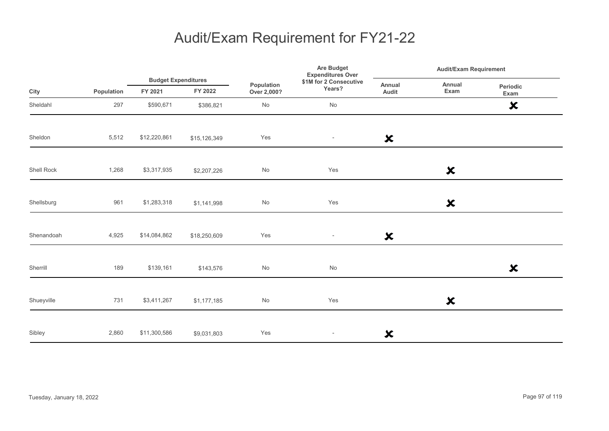|            |            |                                       |              | Population<br>Over 2,000? | <b>Are Budget</b><br><b>Expenditures Over</b><br>\$1M for 2 Consecutive<br>Years? | <b>Audit/Exam Requirement</b> |                           |                           |
|------------|------------|---------------------------------------|--------------|---------------------------|-----------------------------------------------------------------------------------|-------------------------------|---------------------------|---------------------------|
| City       | Population | <b>Budget Expenditures</b><br>FY 2021 | FY 2022      |                           |                                                                                   | Annual<br>Audit               | Annual<br>Exam            | Periodic<br>Exam          |
| Sheldahl   | 297        | \$590,671                             | \$386,821    | No                        | $\operatorname{\mathsf{No}}$                                                      |                               |                           | $\boldsymbol{\mathsf{x}}$ |
| Sheldon    | 5,512      | \$12,220,861                          | \$15,126,349 | Yes                       | $\overline{\phantom{a}}$                                                          | $\boldsymbol{\mathsf{x}}$     |                           |                           |
| Shell Rock | 1,268      | \$3,317,935                           | \$2,207,226  | No                        | Yes                                                                               |                               | $\boldsymbol{\mathsf{x}}$ |                           |
| Shellsburg | 961        | \$1,283,318                           | \$1,141,998  | No                        | Yes                                                                               |                               | $\boldsymbol{\mathsf{x}}$ |                           |
| Shenandoah | 4,925      | \$14,084,862                          | \$18,250,609 | Yes                       | $\overline{\phantom{a}}$                                                          | $\boldsymbol{\mathsf{x}}$     |                           |                           |
| Sherrill   | 189        | \$139,161                             | \$143,576    | No                        | No                                                                                |                               |                           | ×                         |
| Shueyville | 731        | \$3,411,267                           | \$1,177,185  | No                        | Yes                                                                               |                               | $\boldsymbol{\mathsf{x}}$ |                           |
| Sibley     | 2,860      | \$11,300,586                          | \$9,031,803  | Yes                       | $\overline{\phantom{a}}$                                                          | $\boldsymbol{\mathsf{x}}$     |                           |                           |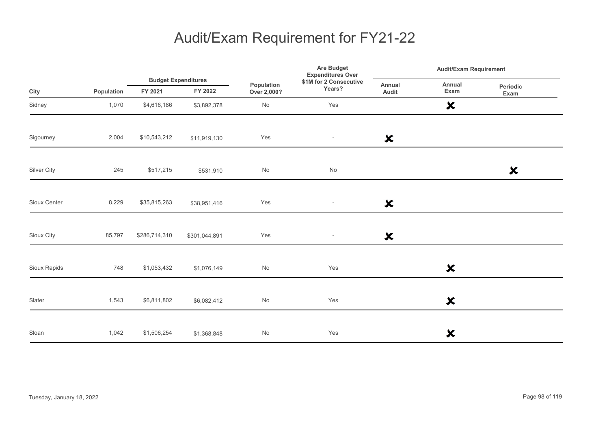|              |            | <b>Budget Expenditures</b> |               |                           | Are Budget<br><b>Expenditures Over</b> | <b>Audit/Exam Requirement</b> |                           |                           |  |
|--------------|------------|----------------------------|---------------|---------------------------|----------------------------------------|-------------------------------|---------------------------|---------------------------|--|
| City         | Population | FY 2021                    | FY 2022       | Population<br>Over 2,000? | \$1M for 2 Consecutive<br>Years?       | Annual<br>Audit               | Annual<br>Exam            | Periodic<br>Exam          |  |
| Sidney       | 1,070      | \$4,616,186                | \$3,892,378   | No                        | Yes                                    |                               | $\boldsymbol{\mathsf{x}}$ |                           |  |
| Sigourney    | 2,004      | \$10,543,212               | \$11,919,130  | Yes                       | $\overline{\phantom{a}}$               | $\boldsymbol{\mathsf{x}}$     |                           |                           |  |
| Silver City  | 245        | \$517,215                  | \$531,910     | $\mathsf{No}$             | No                                     |                               |                           | $\boldsymbol{\mathsf{x}}$ |  |
| Sioux Center | 8,229      | \$35,815,263               | \$38,951,416  | Yes                       | $\overline{\phantom{a}}$               | $\boldsymbol{\mathsf{x}}$     |                           |                           |  |
| Sioux City   | 85,797     | \$286,714,310              | \$301,044,891 | Yes                       | $\overline{\phantom{a}}$               | $\boldsymbol{\mathsf{x}}$     |                           |                           |  |
| Sioux Rapids | 748        | \$1,053,432                | \$1,076,149   | $\mathsf{No}$             | Yes                                    |                               | $\boldsymbol{\mathsf{x}}$ |                           |  |
| Slater       | 1,543      | \$6,811,802                | \$6,082,412   | $\mathsf{No}$             | Yes                                    |                               | $\boldsymbol{\mathsf{x}}$ |                           |  |
| Sloan        | 1,042      | \$1,506,254                | \$1,368,848   | $\mathsf{No}$             | Yes                                    |                               | ×                         |                           |  |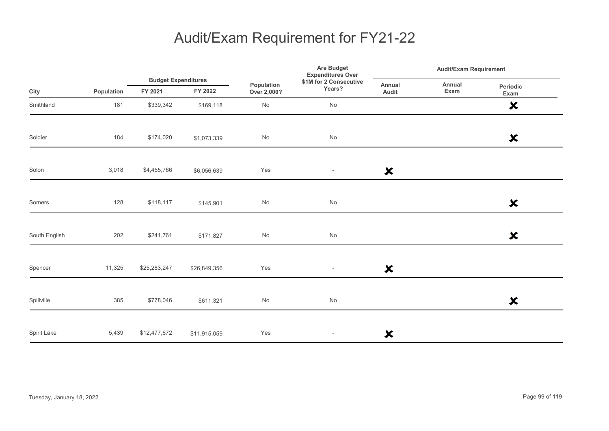|               |            |              | <b>Budget Expenditures</b> |                           | Are Budget<br><b>Expenditures Over</b> |                           | <b>Audit/Exam Requirement</b> |                           |  |
|---------------|------------|--------------|----------------------------|---------------------------|----------------------------------------|---------------------------|-------------------------------|---------------------------|--|
| City          | Population | FY 2021      | FY 2022                    | Population<br>Over 2,000? | \$1M for 2 Consecutive<br>Years?       | Annual<br>Audit           | Annual<br>Exam                | Periodic<br>Exam          |  |
| Smithland     | 181        | \$339,342    | \$169,118                  | $\mathsf{No}$             | No                                     |                           |                               | $\boldsymbol{\mathsf{x}}$ |  |
| Soldier       | 184        | \$174,020    | \$1,073,339                | No                        | No                                     |                           |                               | $\boldsymbol{\mathsf{x}}$ |  |
| Solon         | 3,018      | \$4,455,766  | \$6,056,639                | Yes                       | $\overline{\phantom{a}}$               | $\boldsymbol{\mathsf{x}}$ |                               |                           |  |
| Somers        | 128        | \$118,117    | \$145,901                  | $\mathsf{No}$             | $\mathsf{No}$                          |                           |                               | $\boldsymbol{\mathsf{x}}$ |  |
| South English | 202        | \$241,761    | \$171,827                  | $\mathsf{No}$             | $\operatorname{\mathsf{No}}$           |                           |                               | $\boldsymbol{\mathsf{x}}$ |  |
| Spencer       | 11,325     | \$25,283,247 | \$26,849,356               | Yes                       | $\overline{\phantom{a}}$               | $\boldsymbol{\mathsf{x}}$ |                               |                           |  |
| Spillville    | 385        | \$778,046    | \$611,321                  | No                        | No                                     |                           |                               | $\boldsymbol{\mathsf{x}}$ |  |
| Spirit Lake   | 5,439      | \$12,477,672 | \$11,915,059               | Yes                       | $\overline{\phantom{a}}$               | ×                         |                               |                           |  |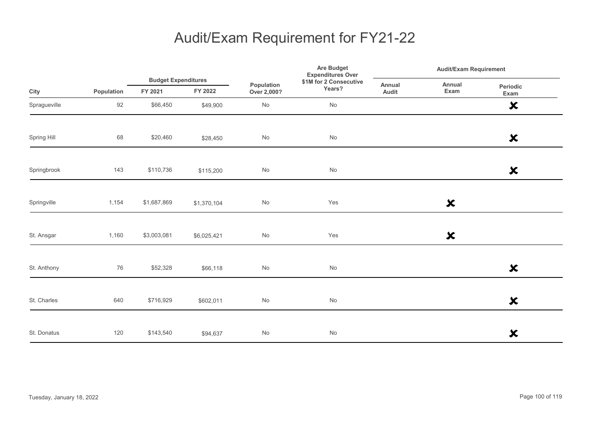|              |            |                                       |             |                           | Are Budget<br><b>Expenditures Over</b> | <b>Audit/Exam Requirement</b> |                           |                           |
|--------------|------------|---------------------------------------|-------------|---------------------------|----------------------------------------|-------------------------------|---------------------------|---------------------------|
| City         | Population | <b>Budget Expenditures</b><br>FY 2021 | FY 2022     | Population<br>Over 2,000? | \$1M for 2 Consecutive<br>Years?       | Annual<br>Audit               | Annual<br>Exam            | Periodic<br>Exam          |
| Spragueville | 92         | \$66,450                              | \$49,900    | No                        | No                                     |                               |                           | $\boldsymbol{\mathsf{x}}$ |
| Spring Hill  | 68         | \$20,460                              | \$28,450    | No                        | No                                     |                               |                           | $\boldsymbol{\mathsf{x}}$ |
| Springbrook  | 143        | \$110,736                             | \$115,200   | $\mathsf{No}$             | $\operatorname{\mathsf{No}}$           |                               |                           | $\boldsymbol{\mathsf{x}}$ |
| Springville  | 1,154      | \$1,687,869                           | \$1,370,104 | $\mathsf{No}$             | Yes                                    |                               | $\boldsymbol{\mathsf{x}}$ |                           |
| St. Ansgar   | 1,160      | \$3,003,081                           | \$6,025,421 | $\mathsf{No}$             | Yes                                    |                               | $\boldsymbol{\mathsf{x}}$ |                           |
| St. Anthony  | 76         | \$52,328                              | \$66,118    | No                        | No                                     |                               |                           | $\boldsymbol{\mathsf{x}}$ |
| St. Charles  | 640        | \$716,929                             | \$602,011   | $\mathsf{No}$             | $\operatorname{\mathsf{No}}$           |                               |                           | $\boldsymbol{\mathsf{x}}$ |
| St. Donatus  | 120        | \$143,540                             | \$94,637    | $\mathsf{No}$             | $\mathsf{No}$                          |                               |                           | $\boldsymbol{\mathsf{x}}$ |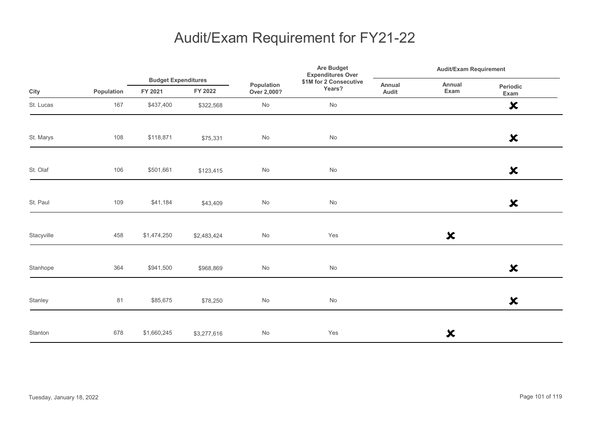|            |            |                                       |             |                           | Are Budget<br><b>Expenditures Over</b> |                 | <b>Audit/Exam Requirement</b> |                           |  |
|------------|------------|---------------------------------------|-------------|---------------------------|----------------------------------------|-----------------|-------------------------------|---------------------------|--|
| City       | Population | <b>Budget Expenditures</b><br>FY 2021 | FY 2022     | Population<br>Over 2,000? | \$1M for 2 Consecutive<br>Years?       | Annual<br>Audit | Annual<br>Exam                | Periodic<br>Exam          |  |
| St. Lucas  | 167        | \$437,400                             | \$322,568   | $\mathsf{No}$             | No                                     |                 |                               | $\boldsymbol{\mathsf{x}}$ |  |
| St. Marys  | 108        | \$118,871                             | \$75,331    | $\mathsf{No}$             | $\operatorname{\mathsf{No}}$           |                 |                               | $\boldsymbol{\mathsf{x}}$ |  |
| St. Olaf   | 106        | \$501,661                             | \$123,415   | $\mathsf{No}$             | $\operatorname{\mathsf{No}}$           |                 |                               | $\boldsymbol{\mathsf{x}}$ |  |
| St. Paul   | 109        | \$41,184                              | \$43,409    | No                        | $\operatorname{\mathsf{No}}$           |                 |                               | $\boldsymbol{\mathsf{x}}$ |  |
| Stacyville | 458        | \$1,474,250                           | \$2,483,424 | $\mathsf{No}$             | Yes                                    |                 | $\boldsymbol{\mathsf{x}}$     |                           |  |
| Stanhope   | 364        | \$941,500                             | \$968,869   | $\mathsf{No}$             | $\operatorname{\mathsf{No}}$           |                 |                               | $\boldsymbol{\mathsf{x}}$ |  |
| Stanley    | 81         | \$85,675                              | \$78,250    | $\mathsf{No}$             | $\operatorname{\mathsf{No}}$           |                 |                               | $\boldsymbol{\mathsf{x}}$ |  |
| Stanton    | 678        | \$1,660,245                           | \$3,277,616 | $\mathsf{No}$             | Yes                                    |                 | ×                             |                           |  |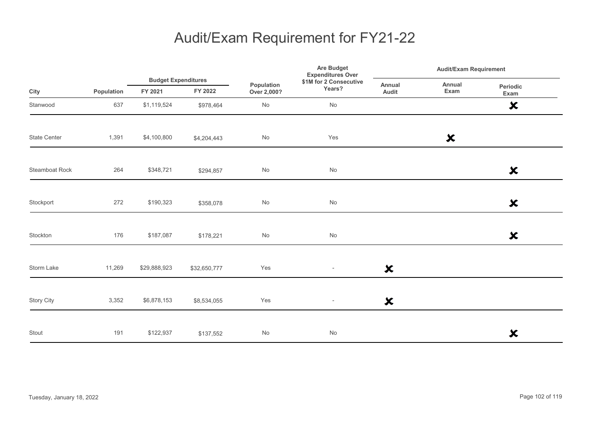|                     |            | <b>Budget Expenditures</b> |              |                           | Are Budget<br><b>Expenditures Over</b> | <b>Audit/Exam Requirement</b> |                           |                           |
|---------------------|------------|----------------------------|--------------|---------------------------|----------------------------------------|-------------------------------|---------------------------|---------------------------|
| City                | Population | FY 2021                    | FY 2022      | Population<br>Over 2,000? | \$1M for 2 Consecutive<br>Years?       | Annual<br>Audit               | Annual<br>Exam            | Periodic<br>Exam          |
| Stanwood            | 637        | \$1,119,524                | \$978,464    | No                        | $\operatorname{\mathsf{No}}$           |                               |                           | $\boldsymbol{\mathsf{x}}$ |
| <b>State Center</b> | 1,391      | \$4,100,800                | \$4,204,443  | No                        | Yes                                    |                               | $\boldsymbol{\mathsf{x}}$ |                           |
| Steamboat Rock      | 264        | \$348,721                  | \$294,857    | $\mathsf{No}$             | $\operatorname{\mathsf{No}}$           |                               |                           | $\boldsymbol{\mathsf{x}}$ |
| Stockport           | 272        | \$190,323                  | \$358,078    | No                        | $\operatorname{\mathsf{No}}$           |                               |                           | $\boldsymbol{\mathsf{x}}$ |
| Stockton            | 176        | \$187,087                  | \$178,221    | No                        | $\operatorname{\mathsf{No}}$           |                               |                           | $\boldsymbol{\mathsf{x}}$ |
| Storm Lake          | 11,269     | \$29,888,923               | \$32,650,777 | Yes                       | $\overline{\phantom{a}}$               | $\boldsymbol{\mathsf{x}}$     |                           |                           |
| <b>Story City</b>   | 3,352      | \$6,878,153                | \$8,534,055  | Yes                       | $\overline{\phantom{a}}$               | $\boldsymbol{\mathsf{x}}$     |                           |                           |
| Stout               | 191        | \$122,937                  | \$137,552    | No                        | No                                     |                               |                           | $\boldsymbol{\mathsf{x}}$ |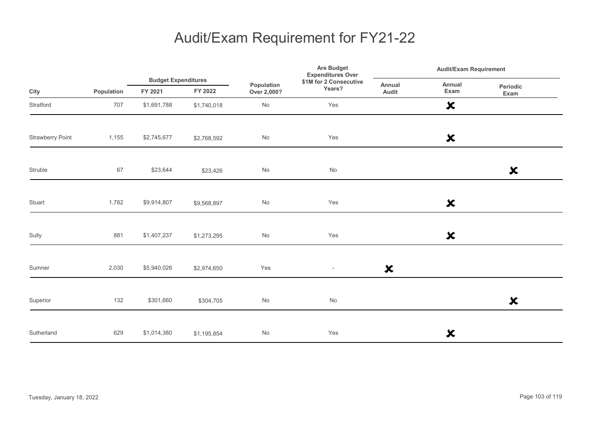|                         |            |                                       |             | <b>Are Budget</b><br><b>Expenditures Over</b> | <b>Audit/Exam Requirement</b>    |                           |                           |                           |  |
|-------------------------|------------|---------------------------------------|-------------|-----------------------------------------------|----------------------------------|---------------------------|---------------------------|---------------------------|--|
| City                    | Population | <b>Budget Expenditures</b><br>FY 2021 | FY 2022     | Population<br>Over 2,000?                     | \$1M for 2 Consecutive<br>Years? | Annual<br>Audit           | Annual<br>Exam            | Periodic<br>Exam          |  |
| Stratford               | 707        | \$1,691,788                           | \$1,740,018 | No                                            | Yes                              |                           | $\boldsymbol{\mathsf{x}}$ |                           |  |
| <b>Strawberry Point</b> | 1,155      | \$2,745,677                           | \$2,768,592 | $\mathsf{No}$                                 | Yes                              |                           | $\boldsymbol{\mathsf{x}}$ |                           |  |
| Struble                 | 67         | \$23,644                              | \$23,426    | $\mathsf{No}$                                 | No                               |                           |                           | $\boldsymbol{\mathsf{x}}$ |  |
| Stuart                  | 1,782      | \$9,914,807                           | \$9,568,897 | $\mathsf{No}$                                 | Yes                              |                           | $\boldsymbol{\mathsf{x}}$ |                           |  |
| Sully                   | 881        | \$1,407,237                           | \$1,273,295 | $\mathsf{No}$                                 | Yes                              |                           | $\boldsymbol{\mathsf{x}}$ |                           |  |
| Sumner                  | 2,030      | \$5,940,026                           | \$2,974,650 | Yes                                           | $\overline{\phantom{a}}$         | $\boldsymbol{\mathsf{x}}$ |                           |                           |  |
| Superior                | 132        | \$301,660                             | \$304,705   | No                                            | No                               |                           |                           | $\boldsymbol{\mathsf{x}}$ |  |
| Sutherland              | 629        | \$1,014,380                           | \$1,195,854 | No                                            | Yes                              |                           | $\boldsymbol{\mathsf{x}}$ |                           |  |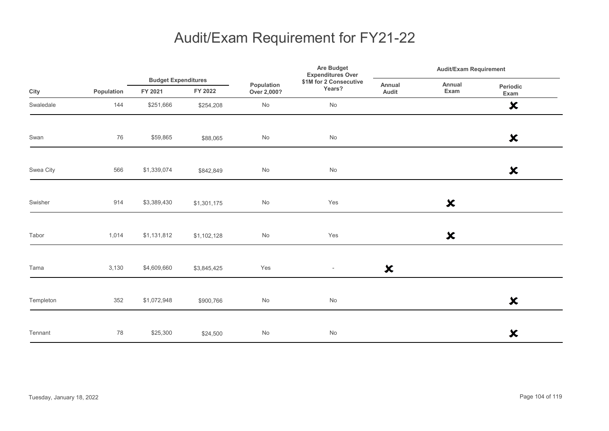|           |            | <b>Budget Expenditures</b> |             | <b>Expenditures Over</b>  | Are Budget                       | <b>Audit/Exam Requirement</b> |                           |                           |
|-----------|------------|----------------------------|-------------|---------------------------|----------------------------------|-------------------------------|---------------------------|---------------------------|
| City      | Population | FY 2021                    | FY 2022     | Population<br>Over 2,000? | \$1M for 2 Consecutive<br>Years? | Annual<br>Audit               | Annual<br>Exam            | Periodic<br>Exam          |
| Swaledale | 144        | \$251,666                  | \$254,208   | $\mathsf{No}$             | No                               |                               |                           | $\boldsymbol{\mathsf{x}}$ |
| Swan      | 76         | \$59,865                   | \$88,065    | No                        | No                               |                               |                           | $\boldsymbol{\mathsf{x}}$ |
| Swea City | 566        | \$1,339,074                | \$842,849   | $\mathsf{No}$             | $\operatorname{\mathsf{No}}$     |                               |                           | $\boldsymbol{\mathsf{x}}$ |
| Swisher   | 914        | \$3,389,430                | \$1,301,175 | $\mathsf{No}$             | Yes                              |                               | $\boldsymbol{\mathsf{x}}$ |                           |
| Tabor     | 1,014      | \$1,131,812                | \$1,102,128 | $\mathsf{No}$             | Yes                              |                               | $\boldsymbol{\mathsf{x}}$ |                           |
| Tama      | 3,130      | \$4,609,660                | \$3,845,425 | Yes                       | $\overline{\phantom{a}}$         | $\boldsymbol{\mathsf{x}}$     |                           |                           |
| Templeton | 352        | \$1,072,948                | \$900,766   | $\mathsf{No}$             | $\operatorname{\mathsf{No}}$     |                               |                           | $\boldsymbol{\mathsf{x}}$ |
| Tennant   | 78         | \$25,300                   | \$24,500    | $\mathsf{No}$             | $\mathsf{No}$                    |                               |                           | $\boldsymbol{\mathsf{x}}$ |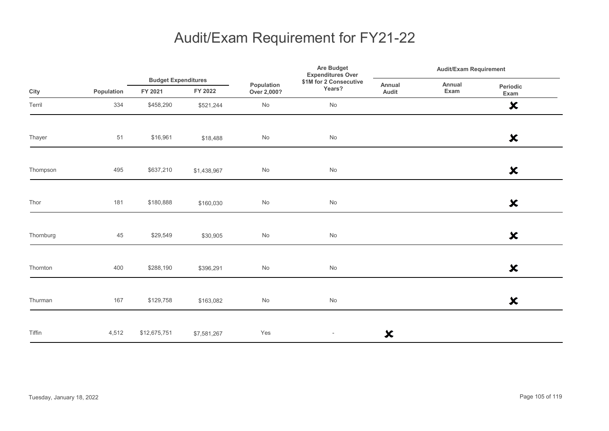|           |            |              | <b>Budget Expenditures</b> |                              | Are Budget<br><b>Expenditures Over</b> | <b>Audit/Exam Requirement</b> |                |                           |
|-----------|------------|--------------|----------------------------|------------------------------|----------------------------------------|-------------------------------|----------------|---------------------------|
| City      | Population | FY 2021      | FY 2022                    | Population<br>Over 2,000?    | \$1M for 2 Consecutive<br>Years?       | Annual<br>Audit               | Annual<br>Exam | Periodic<br>Exam          |
| Terril    | 334        | \$458,290    | \$521,244                  | No                           | No                                     |                               |                | $\boldsymbol{\mathsf{x}}$ |
| Thayer    | 51         | \$16,961     | \$18,488                   | No                           | No                                     |                               |                | $\boldsymbol{\mathsf{x}}$ |
| Thompson  | 495        | \$637,210    | \$1,438,967                | $\operatorname{\mathsf{No}}$ | No                                     |                               |                | $\boldsymbol{\mathsf{x}}$ |
| Thor      | 181        | \$180,888    | \$160,030                  | $\operatorname{\mathsf{No}}$ | No                                     |                               |                | $\boldsymbol{\mathsf{x}}$ |
| Thornburg | 45         | \$29,549     | \$30,905                   | No                           | No                                     |                               |                | $\boldsymbol{\mathsf{x}}$ |
| Thornton  | 400        | \$288,190    | \$396,291                  | $\operatorname{\mathsf{No}}$ | No                                     |                               |                | $\boldsymbol{\mathsf{x}}$ |
| Thurman   | 167        | \$129,758    | \$163,082                  | No                           | No                                     |                               |                | $\boldsymbol{\mathsf{x}}$ |
| Tiffin    | 4,512      | \$12,675,751 | \$7,581,267                | Yes                          | $\overline{\phantom{a}}$               | $\boldsymbol{\mathsf{x}}$     |                |                           |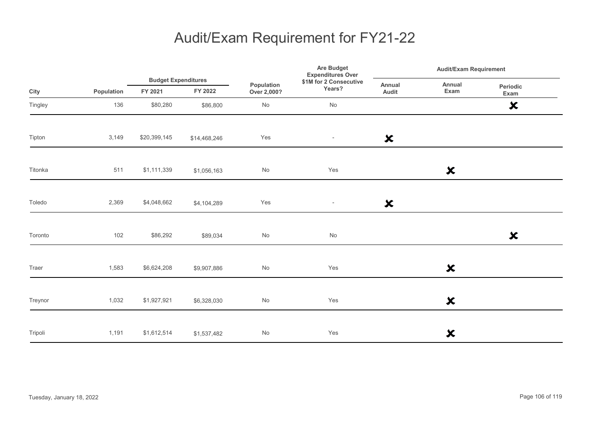|         |            |              | <b>Budget Expenditures</b> |                           | Are Budget<br><b>Expenditures Over</b> | <b>Audit/Exam Requirement</b> |                           |                           |
|---------|------------|--------------|----------------------------|---------------------------|----------------------------------------|-------------------------------|---------------------------|---------------------------|
| City    | Population | FY 2021      | FY 2022                    | Population<br>Over 2,000? | \$1M for 2 Consecutive<br>Years?       | Annual<br>Audit               | Annual<br>Exam            | Periodic<br>Exam          |
| Tingley | 136        | \$80,280     | \$86,800                   | $\mathsf{No}$             | No                                     |                               |                           | $\boldsymbol{\mathsf{x}}$ |
| Tipton  | 3,149      | \$20,399,145 | \$14,468,246               | Yes                       | $\overline{\phantom{a}}$               | $\boldsymbol{\mathsf{x}}$     |                           |                           |
| Titonka | 511        | \$1,111,339  | \$1,056,163                | $\mathsf{No}$             | Yes                                    |                               | $\boldsymbol{\mathsf{x}}$ |                           |
| Toledo  | 2,369      | \$4,048,662  | \$4,104,289                | Yes                       | $\overline{\phantom{a}}$               | $\boldsymbol{\mathsf{x}}$     |                           |                           |
| Toronto | 102        | \$86,292     | \$89,034                   | $\mathsf{No}$             | No                                     |                               |                           | $\boldsymbol{\mathsf{x}}$ |
| Traer   | 1,583      | \$6,624,208  | \$9,907,886                | $\mathsf{No}$             | Yes                                    |                               | $\boldsymbol{\mathsf{x}}$ |                           |
| Treynor | 1,032      | \$1,927,921  | \$6,328,030                | $\mathsf{No}$             | Yes                                    |                               | $\boldsymbol{\mathsf{x}}$ |                           |
| Tripoli | 1,191      | \$1,612,514  | \$1,537,482                | $\mathsf{No}$             | Yes                                    |                               | $\boldsymbol{\mathsf{x}}$ |                           |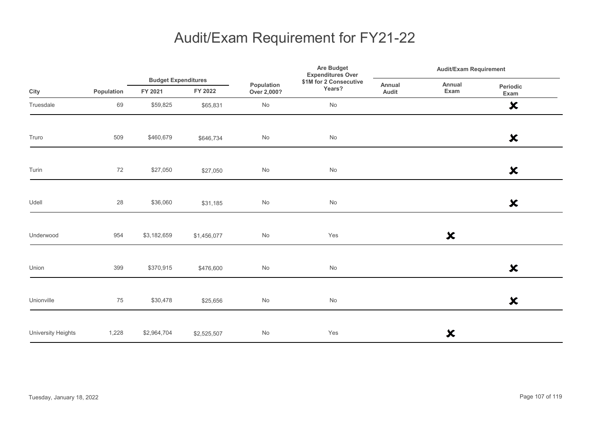|                    |            |                                       |             |                           | Are Budget<br><b>Expenditures Over</b> |                 | <b>Audit/Exam Requirement</b> |                           |  |
|--------------------|------------|---------------------------------------|-------------|---------------------------|----------------------------------------|-----------------|-------------------------------|---------------------------|--|
| City               | Population | <b>Budget Expenditures</b><br>FY 2021 | FY 2022     | Population<br>Over 2,000? | \$1M for 2 Consecutive<br>Years?       | Annual<br>Audit | Annual<br>Exam                | Periodic<br>Exam          |  |
| Truesdale          | 69         | \$59,825                              | \$65,831    | No                        | No                                     |                 |                               | $\boldsymbol{\mathsf{x}}$ |  |
| Truro              | 509        | \$460,679                             | \$646,734   | No                        | No                                     |                 |                               | $\boldsymbol{\mathsf{x}}$ |  |
| Turin              | 72         | \$27,050                              | \$27,050    | $\mathsf{No}$             | $\operatorname{\mathsf{No}}$           |                 |                               | $\boldsymbol{\mathsf{x}}$ |  |
| Udell              | 28         | \$36,060                              | \$31,185    | $\mathsf{No}$             | $\operatorname{\mathsf{No}}$           |                 |                               | $\boldsymbol{\mathsf{x}}$ |  |
| Underwood          | 954        | \$3,182,659                           | \$1,456,077 | $\mathsf{No}$             | Yes                                    |                 | $\boldsymbol{\mathsf{x}}$     |                           |  |
| Union              | 399        | \$370,915                             | \$476,600   | $\mathsf{No}$             | No                                     |                 |                               | $\boldsymbol{\mathsf{x}}$ |  |
| Unionville         | 75         | \$30,478                              | \$25,656    | $\mathsf{No}$             | $\operatorname{\mathsf{No}}$           |                 |                               | $\boldsymbol{\mathsf{x}}$ |  |
| University Heights | 1,228      | \$2,964,704                           | \$2,525,507 | $\mathsf{No}$             | Yes                                    |                 | ×                             |                           |  |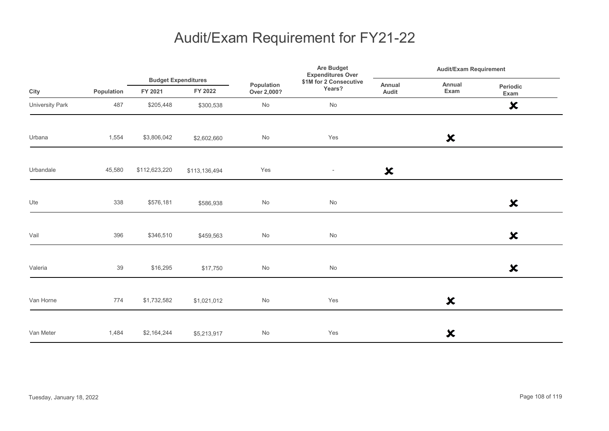|                 |            |               | <b>Budget Expenditures</b> |                              | Are Budget<br><b>Expenditures Over</b> | <b>Audit/Exam Requirement</b> |                           |                           |
|-----------------|------------|---------------|----------------------------|------------------------------|----------------------------------------|-------------------------------|---------------------------|---------------------------|
| City            | Population | FY 2021       | FY 2022                    | Population<br>Over 2,000?    | \$1M for 2 Consecutive<br>Years?       | Annual<br>Audit               | Annual<br>Exam            | Periodic<br>Exam          |
| University Park | 487        | \$205,448     | \$300,538                  | No                           | No                                     |                               |                           | $\boldsymbol{\mathsf{x}}$ |
| Urbana          | 1,554      | \$3,806,042   | \$2,602,660                | $\operatorname{\mathsf{No}}$ | Yes                                    |                               | $\boldsymbol{\mathsf{x}}$ |                           |
| Urbandale       | 45,580     | \$112,623,220 | \$113,136,494              | Yes                          | $\overline{\phantom{a}}$               | $\boldsymbol{\mathsf{x}}$     |                           |                           |
| Ute             | 338        | \$576,181     | \$586,938                  | No                           | $\operatorname{\mathsf{No}}$           |                               |                           | $\boldsymbol{\mathsf{x}}$ |
| Vail            | 396        | \$346,510     | \$459,563                  | $\operatorname{\mathsf{No}}$ | $\operatorname{\mathsf{No}}$           |                               |                           | $\boldsymbol{\mathsf{x}}$ |
| Valeria         | 39         | \$16,295      | \$17,750                   | $\operatorname{\mathsf{No}}$ | $\operatorname{\mathsf{No}}$           |                               |                           | $\boldsymbol{\mathsf{x}}$ |
| Van Horne       | 774        | \$1,732,582   | \$1,021,012                | No                           | Yes                                    |                               | $\boldsymbol{\mathsf{x}}$ |                           |
| Van Meter       | 1,484      | \$2,164,244   | \$5,213,917                | No                           | Yes                                    |                               | $\boldsymbol{\mathsf{x}}$ |                           |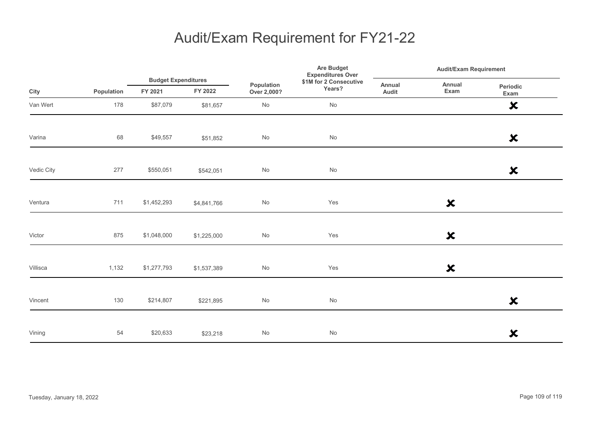|            |            |                                       |             |                              | <b>Are Budget</b><br><b>Expenditures Over</b> |                 | <b>Audit/Exam Requirement</b> |                           |  |
|------------|------------|---------------------------------------|-------------|------------------------------|-----------------------------------------------|-----------------|-------------------------------|---------------------------|--|
| City       | Population | <b>Budget Expenditures</b><br>FY 2021 | FY 2022     | Population<br>Over 2,000?    | \$1M for 2 Consecutive<br>Years?              | Annual<br>Audit | Annual<br>Exam                | Periodic<br>Exam          |  |
| Van Wert   | 178        | \$87,079                              | \$81,657    | No                           | No                                            |                 |                               | $\boldsymbol{\mathsf{x}}$ |  |
| Varina     | 68         | \$49,557                              | \$51,852    | No                           | No                                            |                 |                               | $\boldsymbol{\mathsf{x}}$ |  |
| Vedic City | 277        | \$550,051                             | \$542,051   | $\operatorname{\mathsf{No}}$ | No                                            |                 |                               | $\boldsymbol{\mathsf{x}}$ |  |
| Ventura    | 711        | \$1,452,293                           | \$4,841,766 | $\operatorname{\mathsf{No}}$ | Yes                                           |                 | $\boldsymbol{\mathsf{x}}$     |                           |  |
| Victor     | 875        | \$1,048,000                           | \$1,225,000 | No                           | Yes                                           |                 | $\boldsymbol{\mathsf{x}}$     |                           |  |
| Villisca   | 1,132      | \$1,277,793                           | \$1,537,389 | No                           | Yes                                           |                 | $\boldsymbol{\mathsf{x}}$     |                           |  |
| Vincent    | 130        | \$214,807                             | \$221,895   | No                           | No                                            |                 |                               | $\boldsymbol{\mathsf{x}}$ |  |
| Vining     | 54         | \$20,633                              | \$23,218    | No                           | No                                            |                 |                               | $\boldsymbol{\mathsf{x}}$ |  |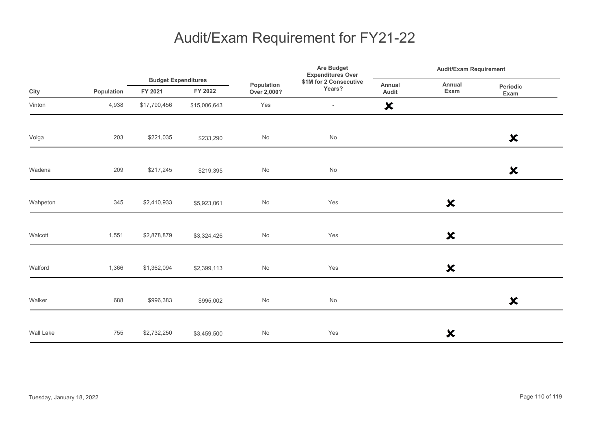|           |            | <b>Budget Expenditures</b> | Are Budget<br><b>Expenditures Over</b> |                           | <b>Audit/Exam Requirement</b>    |                           |                           |                           |
|-----------|------------|----------------------------|----------------------------------------|---------------------------|----------------------------------|---------------------------|---------------------------|---------------------------|
| City      | Population | FY 2021                    | FY 2022                                | Population<br>Over 2,000? | \$1M for 2 Consecutive<br>Years? | Annual<br>Audit           | Annual<br>Exam            | Periodic<br>Exam          |
| Vinton    | 4,938      | \$17,790,456               | \$15,006,643                           | Yes                       | $\overline{\phantom{a}}$         | $\boldsymbol{\mathsf{x}}$ |                           |                           |
| Volga     | 203        | \$221,035                  | \$233,290                              | $\mathsf{No}$             | $\operatorname{\mathsf{No}}$     |                           |                           | $\boldsymbol{\mathsf{x}}$ |
| Wadena    | 209        | \$217,245                  | \$219,395                              | $\mathsf{No}$             | $\mathsf{No}$                    |                           |                           | $\boldsymbol{\mathsf{x}}$ |
| Wahpeton  | 345        | \$2,410,933                | \$5,923,061                            | $\mathsf{No}$             | Yes                              |                           | $\boldsymbol{\mathsf{x}}$ |                           |
| Walcott   | 1,551      | \$2,878,879                | \$3,324,426                            | $\mathsf{No}$             | Yes                              |                           | $\boldsymbol{\mathsf{x}}$ |                           |
| Walford   | 1,366      | \$1,362,094                | \$2,399,113                            | $\mathsf{No}$             | Yes                              |                           | $\boldsymbol{\mathsf{x}}$ |                           |
| Walker    | 688        | \$996,383                  | \$995,002                              | $\mathsf{No}$             | $\mathsf{No}$                    |                           |                           | $\boldsymbol{\mathsf{x}}$ |
| Wall Lake | 755        | \$2,732,250                | \$3,459,500                            | $\mathsf{No}$             | Yes                              |                           | ×                         |                           |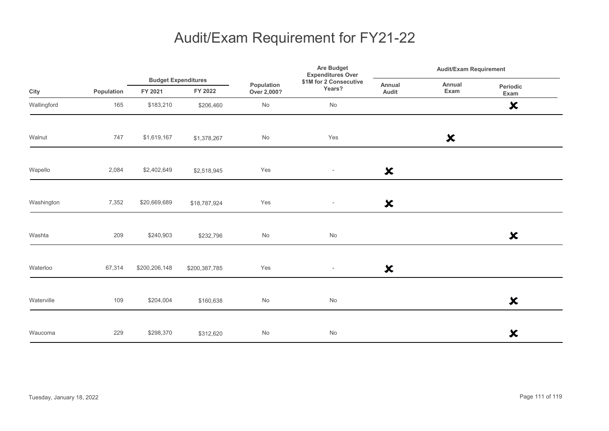|             |            |                                       |               | Are Budget<br><b>Expenditures Over</b> |                                  |                           | <b>Audit/Exam Requirement</b> |                           |  |
|-------------|------------|---------------------------------------|---------------|----------------------------------------|----------------------------------|---------------------------|-------------------------------|---------------------------|--|
| City        | Population | <b>Budget Expenditures</b><br>FY 2021 | FY 2022       | Population<br>Over 2,000?              | \$1M for 2 Consecutive<br>Years? | <b>Annual</b><br>Audit    | Annual<br>Exam                | Periodic<br>Exam          |  |
| Wallingford | 165        | \$183,210                             | \$206,460     | $\mathsf{No}$                          | No                               |                           |                               | $\boldsymbol{\mathsf{x}}$ |  |
| Walnut      | 747        | \$1,619,167                           | \$1,378,267   | $\mathsf{No}$                          | Yes                              |                           | $\boldsymbol{\mathsf{x}}$     |                           |  |
| Wapello     | 2,084      | \$2,402,649                           | \$2,518,945   | Yes                                    | $\sim$                           | $\boldsymbol{\mathsf{x}}$ |                               |                           |  |
| Washington  | 7,352      | \$20,669,689                          | \$18,787,924  | Yes                                    | $\overline{\phantom{a}}$         | $\boldsymbol{\mathsf{x}}$ |                               |                           |  |
| Washta      | 209        | \$240,903                             | \$232,796     | $\mathsf{No}$                          | $\mathsf{No}$                    |                           |                               | $\boldsymbol{\mathsf{x}}$ |  |
| Waterloo    | 67,314     | \$200,206,148                         | \$200,387,785 | Yes                                    | $\sim$                           | $\boldsymbol{\mathsf{x}}$ |                               |                           |  |
| Waterville  | 109        | \$204,004                             | \$160,638     | $\mathsf{No}$                          | No                               |                           |                               | $\boldsymbol{\mathsf{x}}$ |  |
| Waucoma     | 229        | \$298,370                             | \$312,620     | $\mathsf{No}$                          | $\mathsf{No}$                    |                           |                               | $\boldsymbol{\mathsf{x}}$ |  |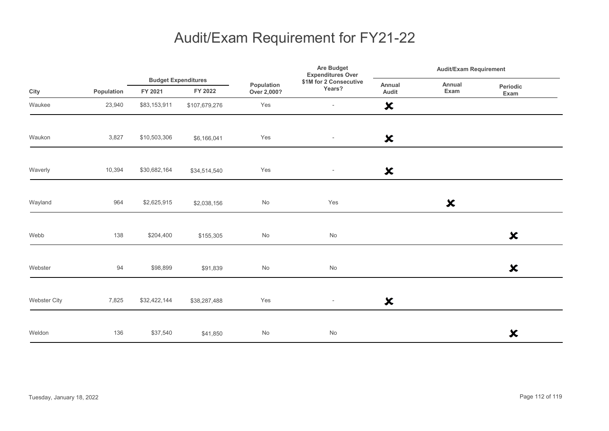|              |            |              |                                       |                              | Are Budget<br><b>Expenditures Over</b> |                           | <b>Audit/Exam Requirement</b> |                           |  |
|--------------|------------|--------------|---------------------------------------|------------------------------|----------------------------------------|---------------------------|-------------------------------|---------------------------|--|
| City         | Population | FY 2021      | <b>Budget Expenditures</b><br>FY 2022 | Population<br>Over 2,000?    | \$1M for 2 Consecutive<br>Years?       | Annual<br>Audit           | Annual<br>Exam                | Periodic<br>Exam          |  |
| Waukee       | 23,940     | \$83,153,911 | \$107,679,276                         | Yes                          | $\overline{\phantom{a}}$               | $\boldsymbol{\mathsf{x}}$ |                               |                           |  |
| Waukon       | 3,827      | \$10,503,306 | \$6,166,041                           | Yes                          | $\sim$                                 | $\boldsymbol{\mathsf{x}}$ |                               |                           |  |
| Waverly      | 10,394     | \$30,682,164 | \$34,514,540                          | Yes                          | $\overline{\phantom{a}}$               | ×                         |                               |                           |  |
| Wayland      | 964        | \$2,625,915  | \$2,038,156                           | No                           | Yes                                    |                           | $\boldsymbol{\mathsf{x}}$     |                           |  |
| Webb         | 138        | \$204,400    | \$155,305                             | No                           | No                                     |                           |                               | $\boldsymbol{\mathsf{x}}$ |  |
| Webster      | 94         | \$98,899     | \$91,839                              | $\operatorname{\mathsf{No}}$ | No                                     |                           |                               | $\boldsymbol{\mathsf{x}}$ |  |
| Webster City | 7,825      | \$32,422,144 | \$38,287,488                          | Yes                          | $\overline{\phantom{a}}$               | $\boldsymbol{\mathsf{x}}$ |                               |                           |  |
| Weldon       | 136        | \$37,540     | \$41,850                              | $\mathsf{No}$                | No                                     |                           |                               | $\boldsymbol{\mathsf{x}}$ |  |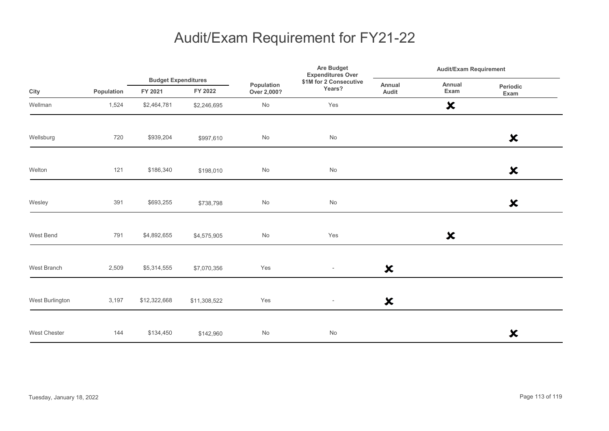|                 |            |              | <b>Budget Expenditures</b> | Are Budget<br><b>Expenditures Over</b> |                                  | <b>Audit/Exam Requirement</b> |                           |                           |  |
|-----------------|------------|--------------|----------------------------|----------------------------------------|----------------------------------|-------------------------------|---------------------------|---------------------------|--|
| City            | Population | FY 2021      | FY 2022                    | Population<br>Over 2,000?              | \$1M for 2 Consecutive<br>Years? | Annual<br>Audit               | Annual<br>Exam            | <b>Periodic</b><br>Exam   |  |
| Wellman         | 1,524      | \$2,464,781  | \$2,246,695                | No                                     | Yes                              |                               | $\boldsymbol{\mathsf{x}}$ |                           |  |
| Wellsburg       | 720        | \$939,204    | \$997,610                  | No                                     | No                               |                               |                           | $\boldsymbol{\mathsf{x}}$ |  |
| Welton          | 121        | \$186,340    | \$198,010                  | $\mathsf{No}$                          | $\mathsf{No}$                    |                               |                           | $\boldsymbol{\mathsf{x}}$ |  |
| Wesley          | 391        | \$693,255    | \$738,798                  | $\mathsf{No}$                          | No                               |                               |                           | $\boldsymbol{\mathsf{x}}$ |  |
| West Bend       | 791        | \$4,892,655  | \$4,575,905                | No                                     | Yes                              |                               | $\boldsymbol{\mathsf{x}}$ |                           |  |
| West Branch     | 2,509      | \$5,314,555  | \$7,070,356                | Yes                                    | $\sim$                           | $\boldsymbol{\mathsf{x}}$     |                           |                           |  |
| West Burlington | 3,197      | \$12,322,668 | \$11,308,522               | Yes                                    | $\overline{\phantom{a}}$         | $\boldsymbol{\mathsf{x}}$     |                           |                           |  |
| West Chester    | 144        | \$134,450    | \$142,960                  | $\mathsf{No}$                          | No                               |                               |                           | $\boldsymbol{\mathsf{x}}$ |  |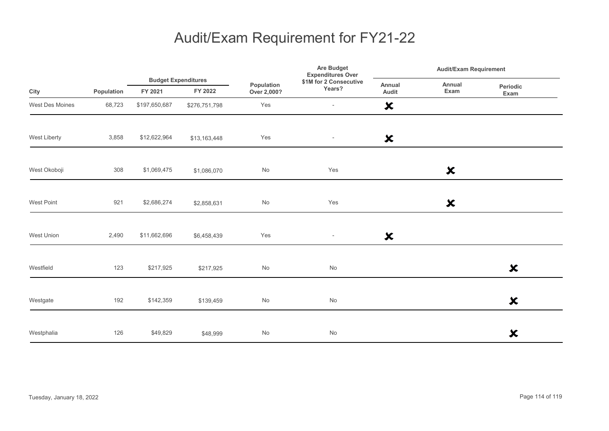|                 |            |               |                                       | Are Budget<br><b>Expenditures Over</b> |                                  | <b>Audit/Exam Requirement</b> |                           |                           |
|-----------------|------------|---------------|---------------------------------------|----------------------------------------|----------------------------------|-------------------------------|---------------------------|---------------------------|
| City            | Population | FY 2021       | <b>Budget Expenditures</b><br>FY 2022 | Population<br>Over 2,000?              | \$1M for 2 Consecutive<br>Years? | <b>Annual</b><br>Audit        | Annual<br>Exam            | Periodic<br>Exam          |
| West Des Moines | 68,723     | \$197,650,687 | \$276,751,798                         | Yes                                    | $\overline{\phantom{a}}$         | $\boldsymbol{\mathsf{x}}$     |                           |                           |
| West Liberty    | 3,858      | \$12,622,964  | \$13,163,448                          | Yes                                    | $\overline{\phantom{a}}$         | $\boldsymbol{\mathsf{x}}$     |                           |                           |
| West Okoboji    | 308        | \$1,069,475   | \$1,086,070                           | $\mathsf{No}$                          | Yes                              |                               | $\boldsymbol{\mathsf{x}}$ |                           |
| West Point      | 921        | \$2,686,274   | \$2,858,631                           | No                                     | Yes                              |                               | $\boldsymbol{\mathsf{x}}$ |                           |
| West Union      | 2,490      | \$11,662,696  | \$6,458,439                           | Yes                                    | $\sim$                           | $\boldsymbol{\mathsf{x}}$     |                           |                           |
| Westfield       | 123        | \$217,925     | \$217,925                             | No                                     | No                               |                               |                           | $\boldsymbol{\mathsf{x}}$ |
| Westgate        | 192        | \$142,359     | \$139,459                             | No                                     | No                               |                               |                           | $\boldsymbol{\mathsf{x}}$ |
| Westphalia      | 126        | \$49,829      | \$48,999                              | No                                     | No                               |                               |                           | $\boldsymbol{\mathsf{x}}$ |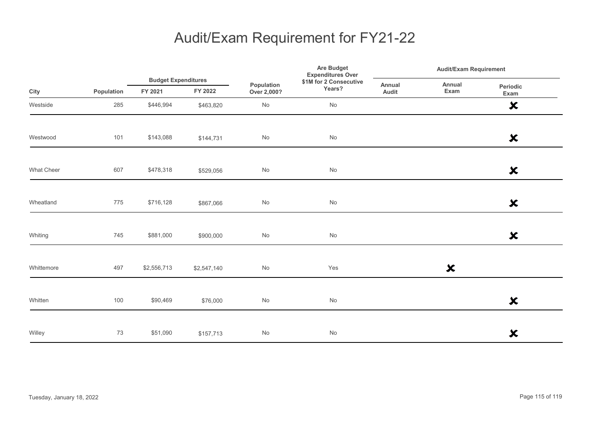|                   |            | <b>Budget Expenditures</b> |             |                              | <b>Are Budget</b><br><b>Expenditures Over</b> |                 | <b>Audit/Exam Requirement</b> |                           |  |
|-------------------|------------|----------------------------|-------------|------------------------------|-----------------------------------------------|-----------------|-------------------------------|---------------------------|--|
| City              | Population | FY 2021                    | FY 2022     | Population<br>Over 2,000?    | \$1M for 2 Consecutive<br>Years?              | Annual<br>Audit | Annual<br>Exam                | Periodic<br>Exam          |  |
| Westside          | 285        | \$446,994                  | \$463,820   | No                           | No                                            |                 |                               | $\boldsymbol{\mathsf{x}}$ |  |
| Westwood          | 101        | \$143,088                  | \$144,731   | No                           | No                                            |                 |                               | $\boldsymbol{\mathsf{x}}$ |  |
| <b>What Cheer</b> | 607        | \$478,318                  | \$529,056   | $\operatorname{\mathsf{No}}$ | No                                            |                 |                               | $\boldsymbol{\mathsf{x}}$ |  |
| Wheatland         | 775        | \$716,128                  | \$867,066   | $\operatorname{\mathsf{No}}$ | No                                            |                 |                               | $\boldsymbol{\mathsf{x}}$ |  |
| Whiting           | 745        | \$881,000                  | \$900,000   | No                           | No                                            |                 |                               | $\boldsymbol{\mathsf{x}}$ |  |
| Whittemore        | 497        | \$2,556,713                | \$2,547,140 | No                           | Yes                                           |                 | $\boldsymbol{\mathsf{x}}$     |                           |  |
| Whitten           | 100        | \$90,469                   | \$76,000    | No                           | No                                            |                 |                               | $\boldsymbol{\mathsf{x}}$ |  |
| Willey            | 73         | \$51,090                   | \$157,713   | No                           | No                                            |                 |                               | $\boldsymbol{\mathsf{x}}$ |  |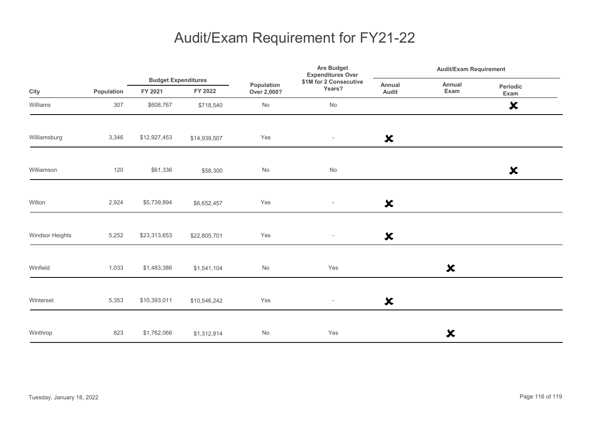|                 |            | <b>Budget Expenditures</b> |              |                           | Are Budget<br><b>Expenditures Over</b> |                           | <b>Audit/Exam Requirement</b> |                           |  |
|-----------------|------------|----------------------------|--------------|---------------------------|----------------------------------------|---------------------------|-------------------------------|---------------------------|--|
| City            | Population | FY 2021                    | FY 2022      | Population<br>Over 2,000? | \$1M for 2 Consecutive<br>Years?       | Annual<br>Audit           | Annual<br>Exam                | Periodic<br>Exam          |  |
| Williams        | 307        | \$608,767                  | \$718,540    | $\mathsf{No}$             | $\operatorname{\mathsf{No}}$           |                           |                               | $\boldsymbol{\mathsf{x}}$ |  |
| Williamsburg    | 3,346      | \$12,927,453               | \$14,939,507 | Yes                       | $\overline{\phantom{a}}$               | $\boldsymbol{\mathsf{x}}$ |                               |                           |  |
| Williamson      | 120        | \$61,336                   | \$58,300     | No                        | No                                     |                           |                               | $\boldsymbol{\mathsf{x}}$ |  |
| Wilton          | 2,924      | \$5,739,894                | \$6,652,457  | Yes                       | $\overline{\phantom{a}}$               | $\boldsymbol{\mathsf{x}}$ |                               |                           |  |
| Windsor Heights | 5,252      | \$23,313,653               | \$22,805,701 | Yes                       | $\sim$                                 | $\boldsymbol{\mathsf{x}}$ |                               |                           |  |
| Winfield        | 1,033      | \$1,483,386                | \$1,541,104  | $\mathsf{No}$             | Yes                                    |                           | ×                             |                           |  |
| Winterset       | 5,353      | \$10,393,011               | \$10,546,242 | Yes                       | $\overline{\phantom{a}}$               | $\boldsymbol{\mathsf{x}}$ |                               |                           |  |
| Winthrop        | 823        | \$1,762,066                | \$1,312,814  | $\mathsf{No}$             | Yes                                    |                           | $\boldsymbol{\mathsf{x}}$     |                           |  |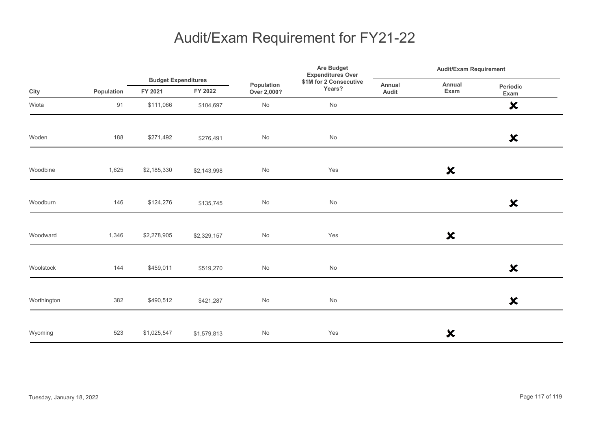|             |            |                                       |             | Are Budget<br><b>Expenditures Over</b> |                                  |                 | <b>Audit/Exam Requirement</b> |                           |  |
|-------------|------------|---------------------------------------|-------------|----------------------------------------|----------------------------------|-----------------|-------------------------------|---------------------------|--|
| City        | Population | <b>Budget Expenditures</b><br>FY 2021 | FY 2022     | Population<br>Over 2,000?              | \$1M for 2 Consecutive<br>Years? | Annual<br>Audit | Annual<br>Exam                | Periodic<br>Exam          |  |
| Wiota       | 91         | \$111,066                             | \$104,697   | No                                     | No                               |                 |                               | $\boldsymbol{\mathsf{x}}$ |  |
| Woden       | 188        | \$271,492                             | \$276,491   | No                                     | No                               |                 |                               | $\boldsymbol{\mathsf{x}}$ |  |
| Woodbine    | 1,625      | \$2,185,330                           | \$2,143,998 | No                                     | Yes                              |                 | $\boldsymbol{\mathsf{x}}$     |                           |  |
| Woodburn    | 146        | \$124,276                             | \$135,745   | No                                     | No                               |                 |                               | $\boldsymbol{\mathsf{x}}$ |  |
| Woodward    | 1,346      | \$2,278,905                           | \$2,329,157 | No                                     | Yes                              |                 | $\boldsymbol{\mathsf{x}}$     |                           |  |
| Woolstock   | 144        | \$459,011                             | \$519,270   | $\operatorname{\mathsf{No}}$           | No                               |                 |                               | $\boldsymbol{\mathsf{x}}$ |  |
| Worthington | 382        | \$490,512                             | \$421,287   | No                                     | No                               |                 |                               | $\boldsymbol{\mathsf{x}}$ |  |
| Wyoming     | 523        | \$1,025,547                           | \$1,579,813 | No                                     | Yes                              |                 | ×                             |                           |  |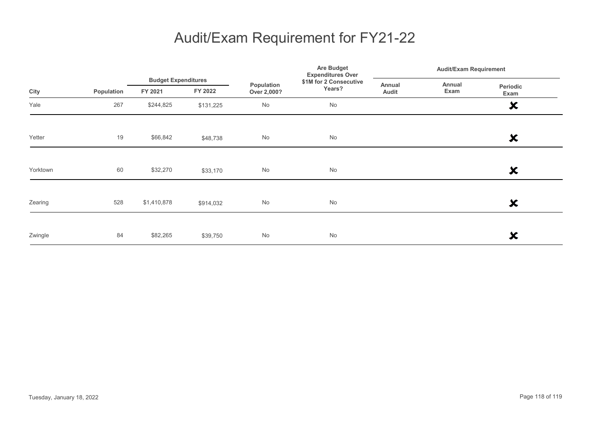|          |            | <b>Budget Expenditures</b> |           | <b>Are Budget</b><br><b>Expenditures Over</b> |                        |        | <b>Audit/Exam Requirement</b> |                           |  |
|----------|------------|----------------------------|-----------|-----------------------------------------------|------------------------|--------|-------------------------------|---------------------------|--|
|          |            |                            |           | Population                                    | \$1M for 2 Consecutive | Annual | Annual                        | Periodic                  |  |
| City     | Population | FY 2021                    | FY 2022   | Over 2,000?                                   | Years?                 | Audit  | Exam<br>Exam                  |                           |  |
| Yale     | 267        | \$244,825                  | \$131,225 | No                                            | No                     |        |                               | $\boldsymbol{\mathsf{x}}$ |  |
|          |            |                            |           |                                               |                        |        |                               |                           |  |
| Yetter   | 19         | \$66,842                   | \$48,738  | No                                            | No                     |        |                               | ×                         |  |
|          |            |                            |           |                                               |                        |        |                               |                           |  |
| Yorktown | 60         | \$32,270                   | \$33,170  | No                                            | No                     |        |                               | ×                         |  |
|          |            |                            |           |                                               |                        |        |                               |                           |  |
| Zearing  | 528        | \$1,410,878                | \$914,032 | No                                            | No                     |        |                               | ×                         |  |
|          |            |                            |           |                                               |                        |        |                               |                           |  |
| Zwingle  | 84         | \$82,265                   | \$39,750  | No                                            | No                     |        |                               | X                         |  |